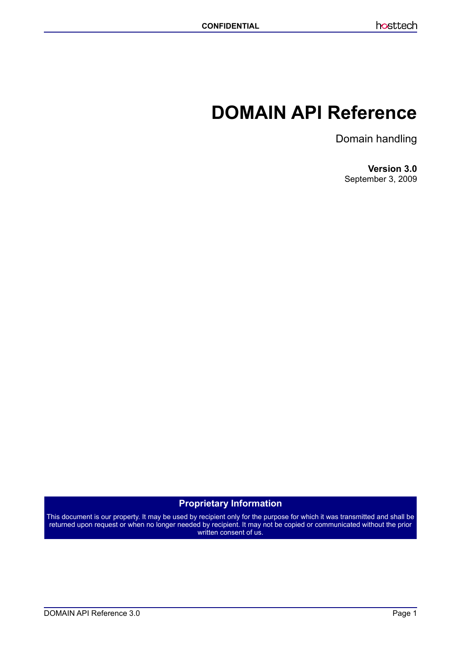# **DOMAIN API Reference**

Domain handling

**Version 3.0** September 3, 2009

# **Proprietary Information**

This document is our property. It may be used by recipient only for the purpose for which it was transmitted and shall be returned upon request or when no longer needed by recipient. It may not be copied or communicated without the prior written consent of us.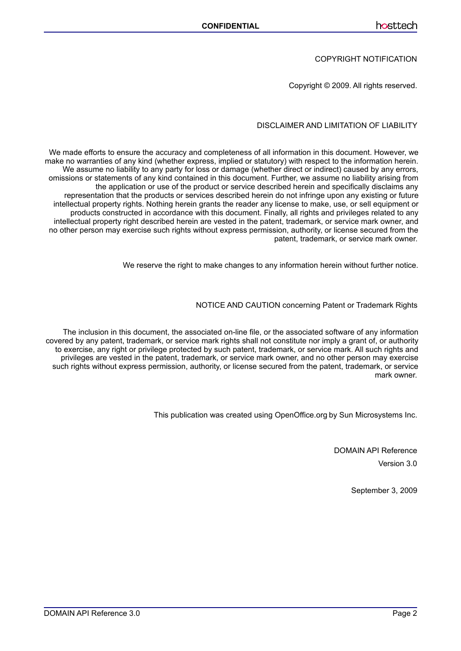#### COPYRIGHT NOTIFICATION

Copyright © 2009. All rights reserved.

#### DISCLAIMER AND LIMITATION OF LIABILITY

We made efforts to ensure the accuracy and completeness of all information in this document. However, we make no warranties of any kind (whether express, implied or statutory) with respect to the information herein. We assume no liability to any party for loss or damage (whether direct or indirect) caused by any errors, omissions or statements of any kind contained in this document. Further, we assume no liability arising from the application or use of the product or service described herein and specifically disclaims any representation that the products or services described herein do not infringe upon any existing or future intellectual property rights. Nothing herein grants the reader any license to make, use, or sell equipment or products constructed in accordance with this document. Finally, all rights and privileges related to any intellectual property right described herein are vested in the patent, trademark, or service mark owner, and no other person may exercise such rights without express permission, authority, or license secured from the patent, trademark, or service mark owner.

We reserve the right to make changes to any information herein without further notice.

NOTICE AND CAUTION concerning Patent or Trademark Rights

The inclusion in this document, the associated on-line file, or the associated software of any information covered by any patent, trademark, or service mark rights shall not constitute nor imply a grant of, or authority to exercise, any right or privilege protected by such patent, trademark, or service mark. All such rights and privileges are vested in the patent, trademark, or service mark owner, and no other person may exercise such rights without express permission, authority, or license secured from the patent, trademark, or service mark owner.

This publication was created using OpenOffice.org by Sun Microsystems Inc.

DOMAIN API Reference Version 3.0

September 3, 2009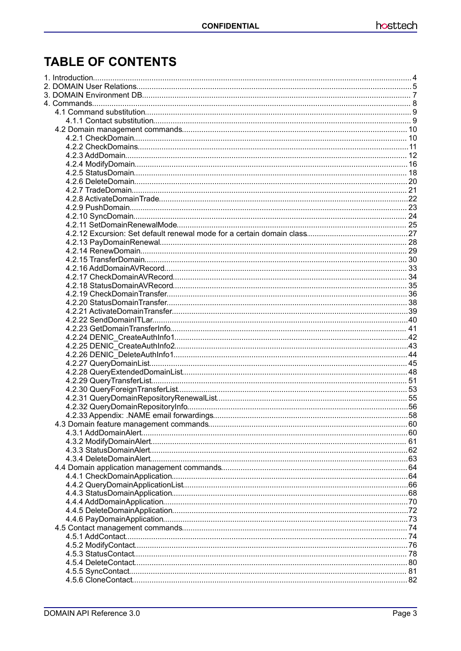# **TABLE OF CONTENTS**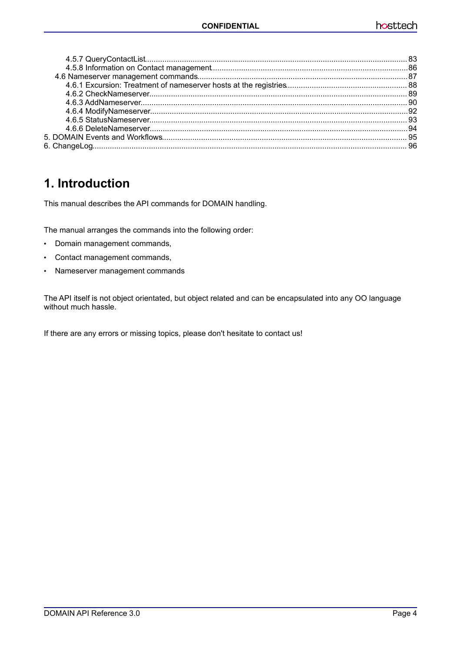# **1. Introduction**

This manual describes the API commands for DOMAIN handling.

The manual arranges the commands into the following order:

- Domain management commands,
- Contact management commands,
- Nameserver management commands

The API itself is not object orientated, but object related and can be encapsulated into any OO language without much hassle.

If there are any errors or missing topics, please don't hesitate to contact us!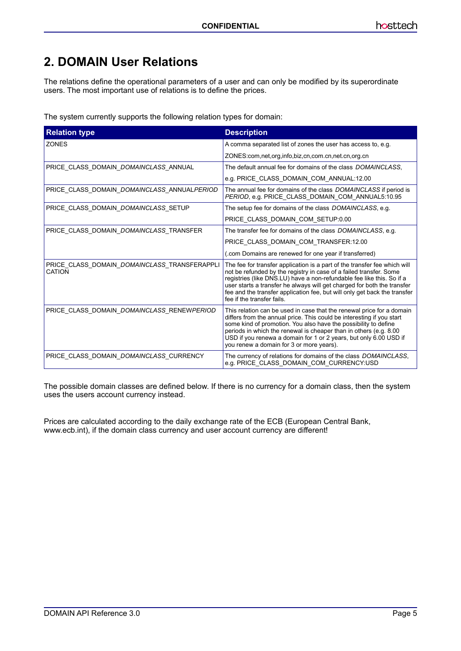# **2. DOMAIN User Relations**

The relations define the operational parameters of a user and can only be modified by its superordinate users. The most important use of relations is to define the prices.

The system currently supports the following relation types for domain:

| <b>Relation type</b>                                          | <b>Description</b>                                                                                                                                                                                                                                                                                                                                                                                             |
|---------------------------------------------------------------|----------------------------------------------------------------------------------------------------------------------------------------------------------------------------------------------------------------------------------------------------------------------------------------------------------------------------------------------------------------------------------------------------------------|
| <b>ZONES</b>                                                  | A comma separated list of zones the user has access to, e.g.                                                                                                                                                                                                                                                                                                                                                   |
|                                                               | ZONES:com, net, org, info, biz, cn, com. cn, net. cn, org. cn                                                                                                                                                                                                                                                                                                                                                  |
| PRICE CLASS DOMAIN DOMAINCLASS ANNUAL                         | The default annual fee for domains of the class DOMAINCLASS,                                                                                                                                                                                                                                                                                                                                                   |
|                                                               | e.g. PRICE CLASS DOMAIN COM ANNUAL:12.00                                                                                                                                                                                                                                                                                                                                                                       |
| PRICE CLASS DOMAIN DOMAINCLASS ANNUALPERIOD                   | The annual fee for domains of the class DOMAINCLASS if period is<br>PERIOD, e.g. PRICE CLASS DOMAIN COM ANNUAL5:10.95                                                                                                                                                                                                                                                                                          |
| PRICE CLASS DOMAIN DOMAINCLASS SETUP                          | The setup fee for domains of the class DOMAINCLASS, e.g.                                                                                                                                                                                                                                                                                                                                                       |
|                                                               | PRICE CLASS DOMAIN COM SETUP:0.00                                                                                                                                                                                                                                                                                                                                                                              |
| PRICE CLASS DOMAIN DOMAINCLASS TRANSFER                       | The transfer fee for domains of the class DOMAINCLASS, e.g.                                                                                                                                                                                                                                                                                                                                                    |
|                                                               | PRICE CLASS DOMAIN COM TRANSFER:12.00                                                                                                                                                                                                                                                                                                                                                                          |
|                                                               | (.com Domains are renewed for one year if transferred)                                                                                                                                                                                                                                                                                                                                                         |
| PRICE_CLASS_DOMAIN_DOMAINCLASS_TRANSFERAPPLI<br><b>CATION</b> | The fee for transfer application is a part of the transfer fee which will<br>not be refunded by the registry in case of a failed transfer. Some<br>registries (like DNS.LU) have a non-refundable fee like this. So if a<br>user starts a transfer he always will get charged for both the transfer<br>fee and the transfer application fee, but will only get back the transfer<br>fee if the transfer fails. |
| PRICE_CLASS_DOMAIN_DOMAINCLASS_RENEWPERIOD                    | This relation can be used in case that the renewal price for a domain<br>differs from the annual price. This could be interesting if you start<br>some kind of promotion. You also have the possibility to define<br>periods in which the renewal is cheaper than in others (e.g. 8.00<br>USD if you renewa a domain for 1 or 2 years, but only 6.00 USD if<br>you renew a domain for 3 or more years).        |
| PRICE CLASS DOMAIN DOMAINCLASS CURRENCY                       | The currency of relations for domains of the class DOMAINCLASS,<br>e.g. PRICE CLASS DOMAIN COM CURRENCY:USD                                                                                                                                                                                                                                                                                                    |

The possible domain classes are defined below. If there is no currency for a domain class, then the system uses the users account currency instead.

Prices are calculated according to the daily exchange rate of the ECB (European Central Bank, www.ecb.int), if the domain class currency and user account currency are different!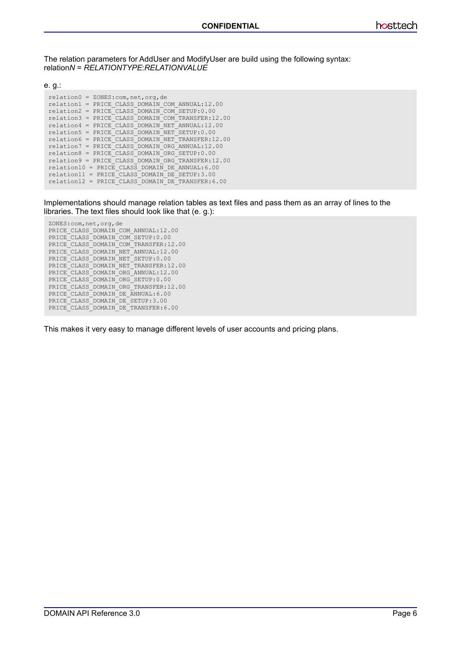The relation parameters for AddUser and ModifyUser are build using the following syntax: relation*N* = *RELATIONTYPE*:*RELATIONVALUE*

| I<br>×<br>۰. |  |  |
|--------------|--|--|

|  | $relation0 = ZONES:com, net, org, de$                |
|--|------------------------------------------------------|
|  | relation1 = PRICE CLASS DOMAIN COM ANNUAL:12.00      |
|  | relation2 = PRICE CLASS DOMAIN COM SETUP:0.00        |
|  | relation3 = PRICE CLASS DOMAIN COM TRANSFER:12.00    |
|  | relation4 = PRICE CLASS DOMAIN NET ANNUAL:12.00      |
|  | relation5 = PRICE CLASS DOMAIN NET SETUP:0.00        |
|  | relation6 = PRICE CLASS DOMAIN NET TRANSFER:12.00    |
|  | $relation7 = PRICE CLASS DOMAIN ORG ANNUAL:12.00$    |
|  | relation8 = PRICE CLASS DOMAIN ORG SETUP:0.00        |
|  | $relation9$ = PRICE CLASS DOMAIN ORG TRANSFER:12.00  |
|  | $relationalO = PRICE CLASS DOMAIN DE ANNUAL:6.00$    |
|  | relation11 = PRICE CLASS DOMAIN DE SETUP:3.00        |
|  | $relational2$ = PRICE CLASS DOMAIN DE TRANSFER: 6.00 |

Implementations should manage relation tables as text files and pass them as an array of lines to the libraries. The text files should look like that (e. g.):

```
ZONES:com,net,org,de
PRICE CLASS DOMAIN COM ANNUAL:12.00
PRICE_CLASS_DOMAIN_COM_SETUP:0.00
PRICE_CLASS_DOMAIN_COM_TRANSFER:12.00
PRICE_CLASS_DOMAIN_NET_ANNUAL:12.00
PRICE_CLASS_DOMAIN_NET_SETUP:0.00
PRICE_CLASS_DOMAIN_NET_TRANSFER:12.00
PRICE_CLASS_DOMAIN_ORG_ANNUAL:12.00
PRICE_CLASS_DOMAIN_ORG_SETUP:0.00
PRICE_CLASS_DOMAIN_ORG_TRANSFER:12.00
PRICE_CLASS_DOMAIN_DE_ANNUAL:6.00
PRICE_CLASS_DOMAIN_DE_SETUP:3.00
PRICE_CLASS_DOMAIN_DE_TRANSFER: 6.00
```
This makes it very easy to manage different levels of user accounts and pricing plans.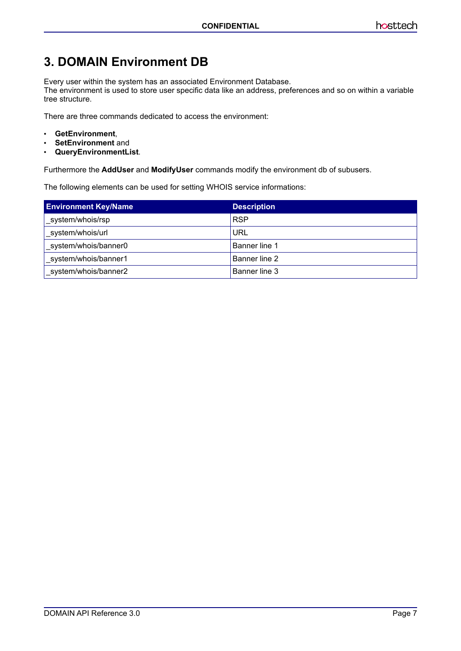# **3. DOMAIN Environment DB**

Every user within the system has an associated Environment Database. The environment is used to store user specific data like an address, preferences and so on within a variable tree structure.

There are three commands dedicated to access the environment:

- **GetEnvironment**,
- **SetEnvironment** and
- **QueryEnvironmentList**.

Furthermore the **AddUser** and **ModifyUser** commands modify the environment db of subusers.

The following elements can be used for setting WHOIS service informations:

| <b>Environment Key/Name</b> | <b>Description</b> |
|-----------------------------|--------------------|
| system/whois/rsp            | <b>RSP</b>         |
| system/whois/url            | URL                |
| system/whois/banner0        | Banner line 1      |
| system/whois/banner1        | Banner line 2      |
| system/whois/banner2        | Banner line 3      |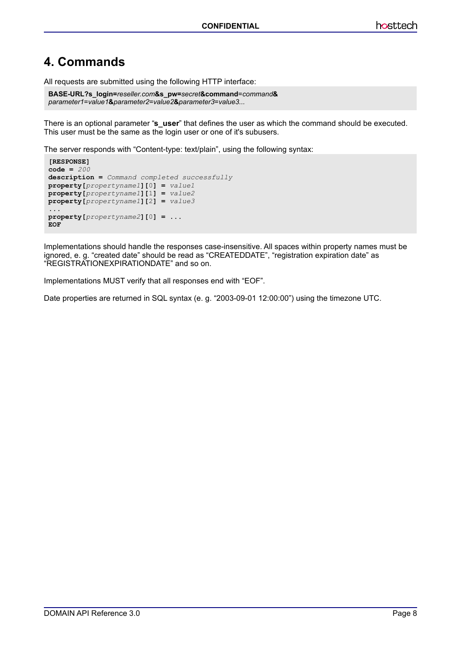# **4. Commands**

All requests are submitted using the following HTTP interface:

```
BASE-URL?s_login=reseller.com&s_pw=secret&command=command&
parameter1=value1&parameter2=value2&parameter3=value3...
```
There is an optional parameter "**s\_user**" that defines the user as which the command should be executed. This user must be the same as the login user or one of it's subusers.

The server responds with "Content-type: text/plain", using the following syntax:

```
[RESPONSE]
code = 200
description = Command completed successfully
property[propertyname1][0] = value1
property[propertyname1][1] = value2
property[propertyname1][2] = value3
...
property[propertyname2][0] = ...
EOF
```
Implementations should handle the responses case-insensitive. All spaces within property names must be ignored, e. g. "created date" should be read as "CREATEDDATE", "registration expiration date" as "REGISTRATIONEXPIRATIONDATE" and so on.

Implementations MUST verify that all responses end with "EOF".

Date properties are returned in SQL syntax (e. g. "2003-09-01 12:00:00") using the timezone UTC.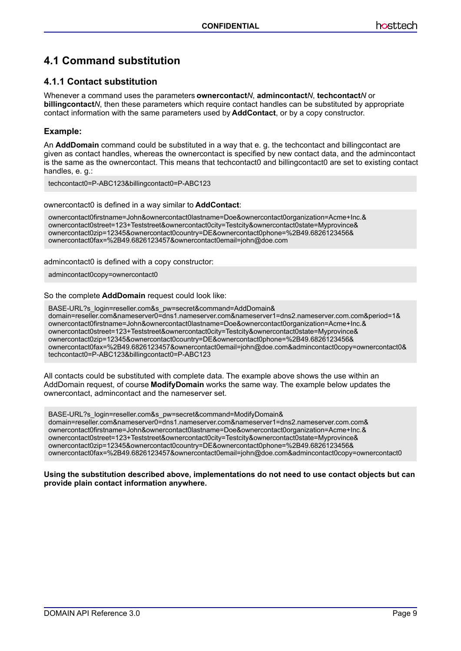# **4.1 Command substitution**

## **4.1.1 Contact substitution**

Whenever a command uses the parameters **ownercontact***N*, **admincontact***N*, **techcontact***N* or **billingcontact***N*, then these parameters which require contact handles can be substituted by appropriate contact information with the same parameters used by **AddContact**, or by a copy constructor.

#### **Example:**

An **AddDomain** command could be substituted in a way that e. g. the techcontact and billingcontact are given as contact handles, whereas the ownercontact is specified by new contact data, and the admincontact is the same as the ownercontact. This means that techcontact0 and billingcontact0 are set to existing contact handles, e. g.:

techcontact0=P-ABC123&billingcontact0=P-ABC123

ownercontact0 is defined in a way similar to **AddContact**:

ownercontact0firstname=John&ownercontact0lastname=Doe&ownercontact0organization=Acme+Inc.& ownercontact0street=123+Teststreet&ownercontact0city=Testcity&ownercontact0state=Myprovince& ownercontact0zip=12345&ownercontact0country=DE&ownercontact0phone=%2B49.6826123456& ownercontact0fax=%2B49.6826123457&ownercontact0email=john@doe.com

#### admincontact0 is defined with a copy constructor:

admincontact0copy=ownercontact0

#### So the complete **AddDomain** request could look like:

BASE-URL?s\_login=reseller.com&s\_pw=secret&command=AddDomain& domain=reseller.com&nameserver0=dns1.nameserver.com&nameserver1=dns2.nameserver.com.com&period=1& ownercontact0firstname=John&ownercontact0lastname=Doe&ownercontact0organization=Acme+Inc.& ownercontact0street=123+Teststreet&ownercontact0city=Testcity&ownercontact0state=Myprovince& ownercontact0zip=12345&ownercontact0country=DE&ownercontact0phone=%2B49.6826123456& ownercontact0fax=%2B49.6826123457&ownercontact0email=john@doe.com&admincontact0copy=ownercontact0& techcontact0=P-ABC123&billingcontact0=P-ABC123

All contacts could be substituted with complete data. The example above shows the use within an AddDomain request, of course **ModifyDomain** works the same way. The example below updates the ownercontact, admincontact and the nameserver set.

BASE-URL?s\_login=reseller.com&s\_pw=secret&command=ModifyDomain& domain=reseller.com&nameserver0=dns1.nameserver.com&nameserver1=dns2.nameserver.com.com& ownercontact0firstname=John&ownercontact0lastname=Doe&ownercontact0organization=Acme+Inc.& ownercontact0street=123+Teststreet&ownercontact0city=Testcity&ownercontact0state=Myprovince& ownercontact0zip=12345&ownercontact0country=DE&ownercontact0phone=%2B49.6826123456& ownercontact0fax=%2B49.6826123457&ownercontact0email=john@doe.com&admincontact0copy=ownercontact0

#### **Using the substitution described above, implementations do not need to use contact objects but can provide plain contact information anywhere.**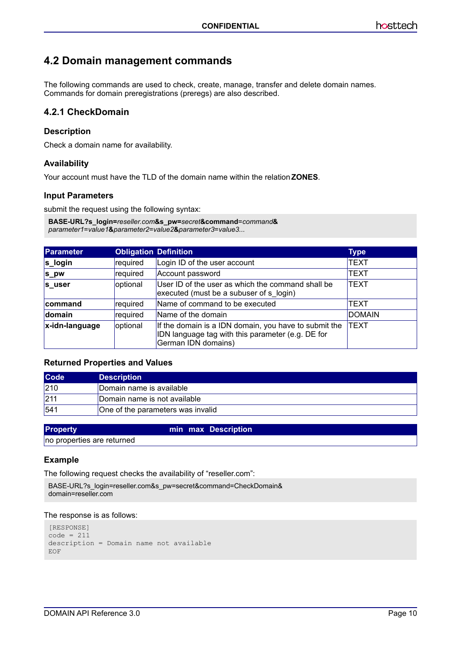# **4.2 Domain management commands**

The following commands are used to check, create, manage, transfer and delete domain names. Commands for domain preregistrations (preregs) are also described.

## **4.2.1 CheckDomain**

#### **Description**

Check a domain name for availability.

#### **Availability**

Your account must have the TLD of the domain name within the relation **ZONES**.

#### **Input Parameters**

submit the request using the following syntax:

**BASE-URL?s\_login=***reseller.com***&s\_pw=***secret***&command**=*command***&** *parameter1*=*value1***&***parameter2*=*value2***&***parameter3*=*value3...*

| Parameter           | <b>Obligation Definition</b> |                                                                                                                                   | <b>Type</b>   |
|---------------------|------------------------------|-----------------------------------------------------------------------------------------------------------------------------------|---------------|
| required<br>s_login |                              | Login ID of the user account                                                                                                      | <b>TEXT</b>   |
| s_pw                | required                     | Account password                                                                                                                  | <b>TEXT</b>   |
| s user              | optional                     | User ID of the user as which the command shall be<br>executed (must be a subuser of s login)                                      | <b>TEXT</b>   |
| command             | required                     | Name of command to be executed                                                                                                    | <b>TEXT</b>   |
| domain              | required                     | Name of the domain                                                                                                                | <b>DOMAIN</b> |
| x-idn-language      | optional                     | If the domain is a IDN domain, you have to submit the<br>IDN language tag with this parameter (e.g. DE for<br>German IDN domains) | <b>ITEXT</b>  |

#### **Returned Properties and Values**

| <b>Code</b> | <b>Description</b>                |
|-------------|-----------------------------------|
| 210         | Domain name is available          |
| 21          | Domain name is not available      |
| 541         | One of the parameters was invalid |

**Property min max Description** no properties are returned

#### **Example**

The following request checks the availability of "reseller.com":

```
BASE-URL?s_login=reseller.com&s_pw=secret&command=CheckDomain&
domain=reseller.com
```

```
[RESPONSE]
code = 211description = Domain name not available
EOF
```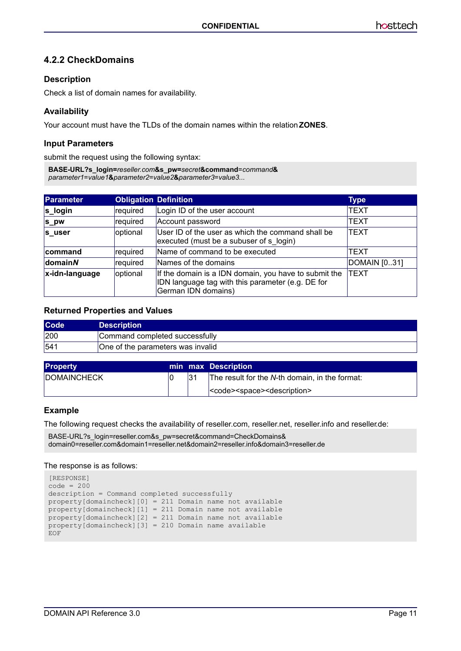# **4.2.2 CheckDomains**

### **Description**

Check a list of domain names for availability.

### **Availability**

Your account must have the TLDs of the domain names within the relation **ZONES**.

#### **Input Parameters**

submit the request using the following syntax:

**BASE-URL?s\_login=***reseller.com***&s\_pw=***secret***&command**=*command***&** *parameter1*=*value1***&***parameter2*=*value2***&***parameter3*=*value3...*

| Parameter        | <b>Obligation Definition</b> |                                                                                                                                   | <b>Type</b>  |
|------------------|------------------------------|-----------------------------------------------------------------------------------------------------------------------------------|--------------|
| s_login          | required                     | Login ID of the user account                                                                                                      | <b>TEXT</b>  |
| required<br>s_pw |                              | Account password                                                                                                                  | <b>TEXT</b>  |
| s user           | optional                     | User ID of the user as which the command shall be<br>executed (must be a subuser of s login)                                      | <b>TEXT</b>  |
| <b>command</b>   | required                     | Name of command to be executed                                                                                                    | TEXT         |
| domainN          | required                     | Names of the domains                                                                                                              | DOMAIN [031] |
| x-idn-language   | optional                     | If the domain is a IDN domain, you have to submit the<br>IDN language tag with this parameter (e.g. DE for<br>German IDN domains) | <b>TEXT</b>  |

#### **Returned Properties and Values**

| <b>Code</b> | <b>Description</b>                |
|-------------|-----------------------------------|
| 200         | Command completed successfully    |
| 541         | One of the parameters was invalid |

| <b>Property</b>    |  | min max Description                            |
|--------------------|--|------------------------------------------------|
| <b>DOMAINCHECK</b> |  | The result for the N-th domain, in the format: |
|                    |  | $ <$ code> $<$ space> $<$ description>         |

#### **Example**

The following request checks the availability of reseller.com, reseller.net, reseller.info and reseller.de:

BASE-URL?s\_login=reseller.com&s\_pw=secret&command=CheckDomains& domain0=reseller.com&domain1=reseller.net&domain2=reseller.info&domain3=reseller.de

```
[RESPONSE]
code = 200description = Command completed successfully
property[domaincheck][0] = 211 Domain name not available
property[domaincheck][1] = 211 Domain name not available
property[domaincheck][2] = 211 Domain name not available
property[domaincheck][3] = 210 Domain name available
EOF
```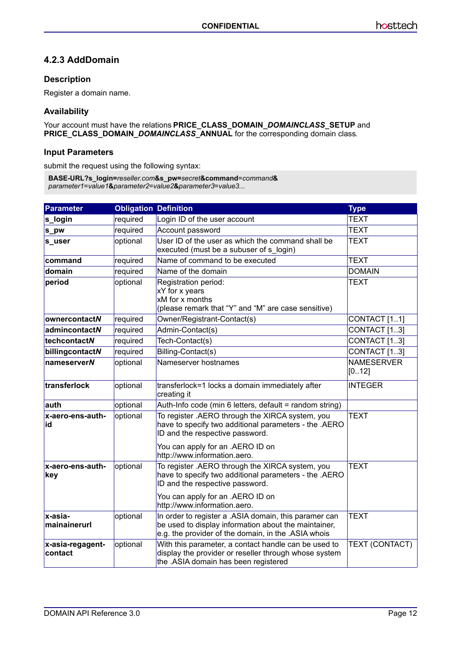# **4.2.3 AddDomain**

## **Description**

Register a domain name.

### **Availability**

Your account must have the relations **PRICE\_CLASS\_DOMAIN\_DOMAINCLASS\_SETUP** and **PRICE CLASS DOMAIN DOMAINCLASS ANNUAL** for the corresponding domain class.

#### **Input Parameters**

submit the request using the following syntax:

**BASE-URL?s\_login=***reseller.com***&s\_pw=***secret***&command**=*command***&** *parameter1*=*value1***&***parameter2*=*value2***&***parameter3*=*value3...*

| <b>Parameter</b>            | <b>Obligation Definition</b> |                                                                                                                                                                                                                 | <b>Type</b>                |
|-----------------------------|------------------------------|-----------------------------------------------------------------------------------------------------------------------------------------------------------------------------------------------------------------|----------------------------|
| s_login                     | required                     | Login ID of the user account                                                                                                                                                                                    | <b>TEXT</b>                |
| s_pw                        | required                     | Account password                                                                                                                                                                                                | <b>TEXT</b>                |
| s_user                      | optional                     | User ID of the user as which the command shall be<br>executed (must be a subuser of s_login)                                                                                                                    | TEXT                       |
| command                     | required                     | Name of command to be executed                                                                                                                                                                                  | <b>TEXT</b>                |
| domain                      | required                     | Name of the domain                                                                                                                                                                                              | <b>DOMAIN</b>              |
| period                      | optional                     | Registration period:<br>xY for x years<br>xM for x months<br>(please remark that "Y" and "M" are case sensitive)                                                                                                | TEXT                       |
| ownercontactN               | required                     | Owner/Registrant-Contact(s)                                                                                                                                                                                     | CONTACT [11]               |
| admincontactN               | required                     | Admin-Contact(s)                                                                                                                                                                                                | CONTACT [13]               |
| techcontactN                | required                     | Tech-Contact(s)                                                                                                                                                                                                 | CONTACT [13]               |
| billingcontactN             | required                     | Billing-Contact(s)                                                                                                                                                                                              | CONTACT [13]               |
| nameserverN                 | optional                     | Nameserver hostnames                                                                                                                                                                                            | <b>NAMESERVER</b><br>[012] |
| transferlock                | optional                     | transferlock=1 locks a domain immediately after<br>creating it                                                                                                                                                  | <b>INTEGER</b>             |
| auth                        | optional                     | Auth-Info code (min 6 letters, default = random string)                                                                                                                                                         |                            |
| x-aero-ens-auth-<br>id      | optional                     | To register .AERO through the XIRCA system, you<br>have to specify two additional parameters - the .AERO<br>ID and the respective password.<br>You can apply for an .AERO ID on<br>http://www.information.aero. | <b>TEXT</b>                |
| x-aero-ens-auth-<br>key     | optional                     | To register .AERO through the XIRCA system, you<br>have to specify two additional parameters - the .AERO<br>ID and the respective password.<br>You can apply for an .AERO ID on                                 | <b>TEXT</b>                |
| x-asia-                     |                              | http://www.information.aero.                                                                                                                                                                                    | <b>TEXT</b>                |
| optional<br>mainainerurl    |                              | In order to register a .ASIA domain, this paramer can<br>be used to display information about the maintainer,<br>e.g. the provider of the domain, in the .ASIA whois                                            |                            |
| x-asia-regagent-<br>contact | optional                     | With this parameter, a contact handle can be used to<br>display the provider or reseller through whose system<br>the .ASIA domain has been registered                                                           | TEXT (CONTACT)             |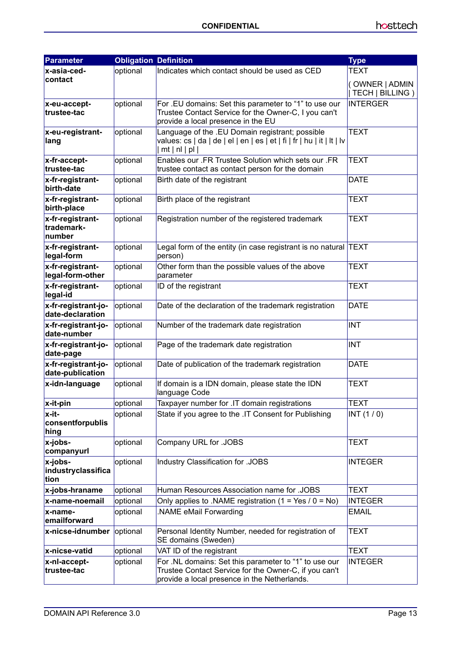| <b>Parameter</b>                         | <b>Obligation Definition</b> |                                                                                                                                                                | <b>Type</b>                          |
|------------------------------------------|------------------------------|----------------------------------------------------------------------------------------------------------------------------------------------------------------|--------------------------------------|
| x-asia-ced-                              | optional                     | Indicates which contact should be used as CED                                                                                                                  | <b>TEXT</b>                          |
| contact                                  |                              |                                                                                                                                                                | (OWNER   ADMIN<br>  TECH   BILLING ) |
| x-eu-accept-<br>trustee-tac              | optional                     | For .EU domains: Set this parameter to "1" to use our<br>Trustee Contact Service for the Owner-C, I you can't<br>provide a local presence in the EU            | <b>INTERGER</b>                      |
| x-eu-registrant-<br>lang                 | optional                     | Language of the .EU Domain registrant; possible<br>values: cs   da   de   el   en   es   et   fi   fr   hu   it   lt   lv<br>mt   nl   pl                      | <b>TEXT</b>                          |
| x-fr-accept-<br>trustee-tac              | optional                     | Enables our .FR Trustee Solution which sets our .FR<br>trustee contact as contact person for the domain                                                        | <b>TEXT</b>                          |
| x-fr-registrant-<br>birth-date           | optional                     | Birth date of the registrant                                                                                                                                   | <b>DATE</b>                          |
| x-fr-registrant-<br>birth-place          | optional                     | Birth place of the registrant                                                                                                                                  | <b>TEXT</b>                          |
| x-fr-registrant-<br>trademark-<br>number | optional                     | Registration number of the registered trademark                                                                                                                | TEXT                                 |
| x-fr-registrant-<br>legal-form           | optional                     | Legal form of the entity (in case registrant is no natural TEXT<br>person)                                                                                     |                                      |
| x-fr-registrant-<br>legal-form-other     | optional                     | Other form than the possible values of the above<br>parameter                                                                                                  | TEXT                                 |
| x-fr-registrant-<br>legal-id             | optional                     | ID of the registrant                                                                                                                                           | TEXT                                 |
| x-fr-registrant-jo-<br>date-declaration  | optional                     | Date of the declaration of the trademark registration                                                                                                          | <b>DATE</b>                          |
| x-fr-registrant-jo-<br>date-number       | optional                     | Number of the trademark date registration                                                                                                                      | <b>INT</b>                           |
| x-fr-registrant-jo-<br>date-page         | optional                     | Page of the trademark date registration                                                                                                                        | <b>INT</b>                           |
| x-fr-registrant-jo-<br>date-publication  | optional                     | Date of publication of the trademark registration                                                                                                              | <b>DATE</b>                          |
| x-idn-language                           | optional                     | If domain is a IDN domain, please state the IDN<br>language Code                                                                                               | <b>TEXT</b>                          |
| x-it-pin                                 | optional                     | Taxpayer number for .IT domain registrations                                                                                                                   | <b>TEXT</b>                          |
| x-it-<br>consentforpublis<br>hing        | optional                     | State if you agree to the .IT Consent for Publishing                                                                                                           | INT (1/0)                            |
| x-jobs-<br>companyurl                    | optional                     | Company URL for .JOBS                                                                                                                                          | TEXT                                 |
| x-jobs-<br>industryclassifica<br>tion    | optional                     | Industry Classification for .JOBS                                                                                                                              | <b>INTEGER</b>                       |
| x-jobs-hraname                           | optional                     | Human Resources Association name for .JOBS                                                                                                                     | <b>TEXT</b>                          |
| x-name-noemail                           | optional                     | Only applies to .NAME registration $(1 = Yes / 0 = No)$                                                                                                        | <b>INTEGER</b>                       |
| x-name-<br>emailforward                  | optional                     | NAME eMail Forwarding                                                                                                                                          | <b>EMAIL</b>                         |
| x-nicse-idnumber optional                |                              | Personal Identity Number, needed for registration of<br>SE domains (Sweden)                                                                                    | TEXT                                 |
| x-nicse-vatid                            | optional                     | VAT ID of the registrant                                                                                                                                       | <b>TEXT</b>                          |
| x-nl-accept-<br>trustee-tac              | optional                     | For .NL domains: Set this parameter to "1" to use our<br>Trustee Contact Service for the Owner-C, if you can't<br>provide a local presence in the Netherlands. | <b>INTEGER</b>                       |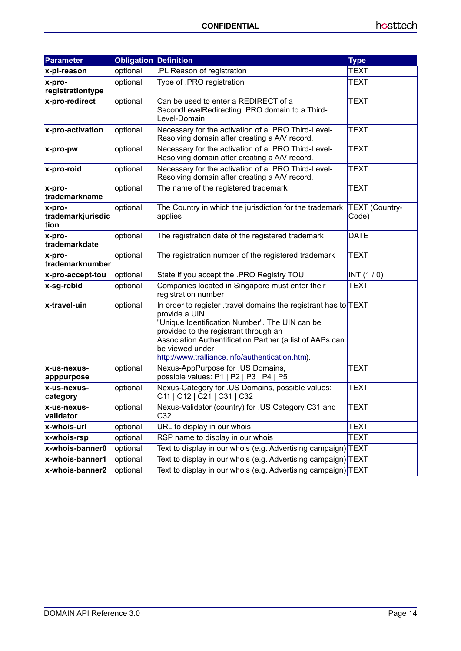| <b>Parameter</b>                    | <b>Obligation Definition</b> |                                                                                                                                                                                                                                                                                                              | <b>Type</b>                    |
|-------------------------------------|------------------------------|--------------------------------------------------------------------------------------------------------------------------------------------------------------------------------------------------------------------------------------------------------------------------------------------------------------|--------------------------------|
| x-pl-reason                         | optional                     | .PL Reason of registration                                                                                                                                                                                                                                                                                   | <b>TEXT</b>                    |
| x-pro-<br>registrationtype          | optional                     | Type of .PRO registration                                                                                                                                                                                                                                                                                    | TEXT                           |
| x-pro-redirect                      | optional                     | Can be used to enter a REDIRECT of a<br>SecondLevelRedirecting .PRO domain to a Third-<br>Level-Domain                                                                                                                                                                                                       | TEXT                           |
| x-pro-activation                    | optional                     | Necessary for the activation of a .PRO Third-Level-<br>Resolving domain after creating a A/V record.                                                                                                                                                                                                         | <b>TEXT</b>                    |
| x-pro-pw                            | optional                     | Necessary for the activation of a .PRO Third-Level-<br>Resolving domain after creating a A/V record.                                                                                                                                                                                                         | <b>TEXT</b>                    |
| x-pro-roid                          | optional                     | Necessary for the activation of a .PRO Third-Level-<br>Resolving domain after creating a A/V record.                                                                                                                                                                                                         | <b>TEXT</b>                    |
| x-pro-<br>trademarkname             | optional                     | The name of the registered trademark                                                                                                                                                                                                                                                                         | <b>TEXT</b>                    |
| x-pro-<br>trademarkjurisdic<br>tion | optional                     | The Country in which the jurisdiction for the trademark<br>applies                                                                                                                                                                                                                                           | <b>TEXT (Country-</b><br>Code) |
| x-pro-<br>trademarkdate             | optional                     | The registration date of the registered trademark                                                                                                                                                                                                                                                            | <b>DATE</b>                    |
| x-pro-<br>trademarknumber           | optional                     | The registration number of the registered trademark                                                                                                                                                                                                                                                          | TEXT                           |
| x-pro-accept-tou                    | optional                     | State if you accept the .PRO Registry TOU                                                                                                                                                                                                                                                                    | INT (1/0)                      |
| x-sg-rcbid                          | optional                     | Companies located in Singapore must enter their<br>registration number                                                                                                                                                                                                                                       | <b>TEXT</b>                    |
| x-travel-uin                        | optional                     | In order to register travel domains the registrant has to TEXT<br>provide a UIN<br>"Unique Identification Number". The UIN can be<br>provided to the registrant through an<br>Association Authentification Partner (a list of AAPs can<br>be viewed under<br>http://www.tralliance.info/authentication.htm). |                                |
| x-us-nexus-<br>apppurpose           | optional                     | Nexus-AppPurpose for .US Domains,<br>possible values: P1   P2   P3   P4   P5                                                                                                                                                                                                                                 | <b>TEXT</b>                    |
| x-us-nexus-<br>category             | optional                     | Nexus-Category for .US Domains, possible values:<br>C11   C12   C21   C31   C32                                                                                                                                                                                                                              | <b>TEXT</b>                    |
| x-us-nexus-<br>validator            | optional                     | Nexus-Validator (country) for .US Category C31 and<br>C32                                                                                                                                                                                                                                                    | <b>TEXT</b>                    |
| x-whois-url                         | optional                     | URL to display in our whois                                                                                                                                                                                                                                                                                  | <b>TEXT</b>                    |
| x-whois-rsp                         | optional                     | RSP name to display in our whois                                                                                                                                                                                                                                                                             | <b>TEXT</b>                    |
| x-whois-banner0                     | optional                     | Text to display in our whois (e.g. Advertising campaign) TEXT                                                                                                                                                                                                                                                |                                |
| x-whois-banner1                     | optional                     | Text to display in our whois (e.g. Advertising campaign) TEXT                                                                                                                                                                                                                                                |                                |
| x-whois-banner2                     | optional                     | Text to display in our whois (e.g. Advertising campaign) TEXT                                                                                                                                                                                                                                                |                                |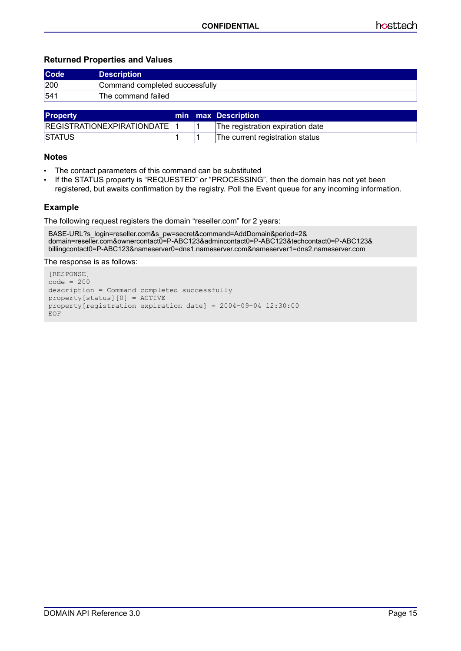#### **Returned Properties and Values**

| <b>Code</b> | <b>Description</b>             |
|-------------|--------------------------------|
| 200         | Command completed successfully |
| 541         | 'The command failed            |

| <b>Property</b>                     |  | min max Description              |
|-------------------------------------|--|----------------------------------|
| <b>REGISTRATIONEXPIRATIONDATE 1</b> |  | The registration expiration date |
| <b>STATUS</b>                       |  | The current registration status  |

#### **Notes**

- The contact parameters of this command can be substituted
- If the STATUS property is "REQUESTED" or "PROCESSING", then the domain has not yet been registered, but awaits confirmation by the registry. Poll the Event queue for any incoming information.

#### **Example**

The following request registers the domain "reseller.com" for 2 years:

```
BASE-URL?s_login=reseller.com&s_pw=secret&command=AddDomain&period=2&
domain=reseller.com&ownercontact0=P-ABC123&admincontact0=P-ABC123&techcontact0=P-ABC123&
billingcontact0=P-ABC123&nameserver0=dns1.nameserver.com&nameserver1=dns2.nameserver.com
```

```
[RESPONSE]
code = 200description = Command completed successfully
property[status][0] = ACTIVE
property[registration expiration date] = 2004-09-04 12:30:00
EOF
```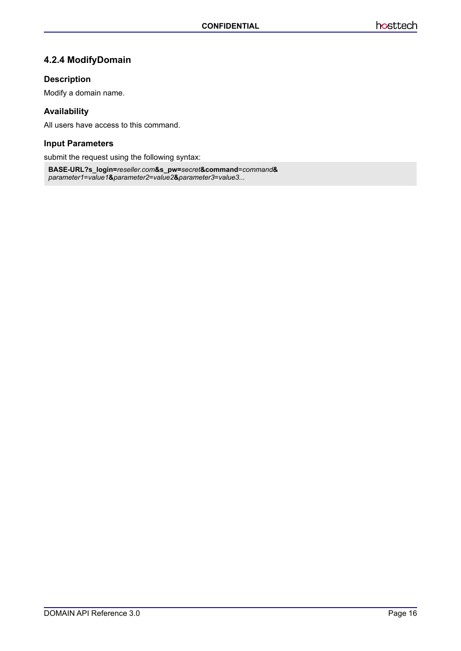# **4.2.4 ModifyDomain**

### **Description**

Modify a domain name.

## **Availability**

All users have access to this command.

#### **Input Parameters**

submit the request using the following syntax:

**BASE-URL?s\_login=***reseller.com***&s\_pw=***secret***&command**=*command***&** *parameter1*=*value1***&***parameter2*=*value2***&***parameter3*=*value3...*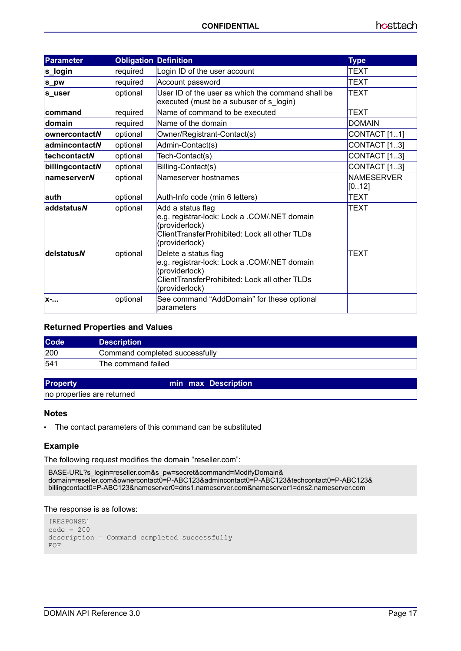| <b>Parameter</b> | <b>Obligation Definition</b> |                                                                                                                                                           | <b>Type</b>                |
|------------------|------------------------------|-----------------------------------------------------------------------------------------------------------------------------------------------------------|----------------------------|
| s_login          | required                     | Login ID of the user account                                                                                                                              | <b>TEXT</b>                |
| s_pw             | required                     | Account password                                                                                                                                          | <b>TEXT</b>                |
| s user           | optional                     | User ID of the user as which the command shall be<br>executed (must be a subuser of s_login)                                                              | <b>TEXT</b>                |
| command          | required                     | Name of command to be executed                                                                                                                            | <b>TEXT</b>                |
| domain           | required                     | Name of the domain                                                                                                                                        | <b>DOMAIN</b>              |
| ownercontactN    | optional                     | Owner/Registrant-Contact(s)                                                                                                                               | CONTACT [11]               |
| admincontactN    | optional                     | Admin-Contact(s)                                                                                                                                          | CONTACT [13]               |
| techcontactN     | optional                     | Tech-Contact(s)                                                                                                                                           | CONTACT [13]               |
| billingcontactN  | optional                     | Billing-Contact(s)                                                                                                                                        | CONTACT [13]               |
| nameserverN      | optional                     | Nameserver hostnames                                                                                                                                      | <b>NAMESERVER</b><br>[012] |
| auth             | optional                     | Auth-Info code (min 6 letters)                                                                                                                            | <b>TEXT</b>                |
| addstatusN       | optional                     | Add a status flag<br>e.g. registrar-lock: Lock a .COM/.NET domain<br>(providerlock)<br>ClientTransferProhibited: Lock all other TLDs<br>(providerlock)    | <b>TEXT</b>                |
| delstatusN       | optional                     | Delete a status flag<br>e.g. registrar-lock: Lock a .COM/.NET domain<br>(providerlock)<br>ClientTransferProhibited: Lock all other TLDs<br>(providerlock) | <b>TEXT</b>                |
| <b>X-</b>        | optional                     | See command "AddDomain" for these optional<br>parameters                                                                                                  |                            |

### **Returned Properties and Values**

| <b>Code</b> | <b>Description</b>             |
|-------------|--------------------------------|
| 200         | Command completed successfully |
| 541         | 'The command failed            |

**Property min max Description**

no properties are returned

#### **Notes**

• The contact parameters of this command can be substituted

#### **Example**

The following request modifies the domain "reseller.com":

BASE-URL?s\_login=reseller.com&s\_pw=secret&command=ModifyDomain& domain=reseller.com&ownercontact0=P-ABC123&admincontact0=P-ABC123&techcontact0=P-ABC123& billingcontact0=P-ABC123&nameserver0=dns1.nameserver.com&nameserver1=dns2.nameserver.com

```
[RESPONSE]
code = 200description = Command completed successfully
EOF
```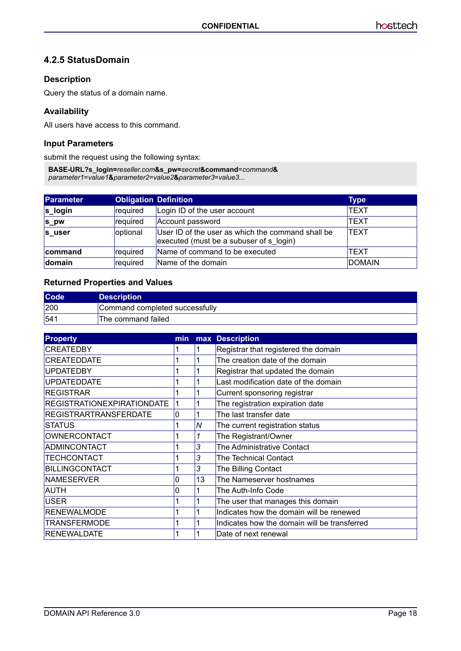# **4.2.5 StatusDomain**

#### **Description**

Query the status of a domain name.

### **Availability**

All users have access to this command.

#### **Input Parameters**

submit the request using the following syntax:

**BASE-URL?s\_login=***reseller.com***&s\_pw=***secret***&command**=*command***&** *parameter1*=*value1***&***parameter2*=*value2***&***parameter3*=*value3...*

| <b>Parameter</b> | <b>Obligation Definition</b> |                                                                                              | <b>Type</b>   |
|------------------|------------------------------|----------------------------------------------------------------------------------------------|---------------|
| s_login          | required                     | Login ID of the user account                                                                 | <b>TEXT</b>   |
| $ s_p$           | required                     | Account password                                                                             | TEXT          |
| s user           | optional                     | User ID of the user as which the command shall be<br>executed (must be a subuser of s login) | <b>TEXT</b>   |
| command          | required                     | Name of command to be executed                                                               | TEXT          |
| domain           | required                     | Name of the domain                                                                           | <b>DOMAIN</b> |

#### **Returned Properties and Values**

| <b>Code</b> | <b>Description</b>             |
|-------------|--------------------------------|
| 200         | Command completed successfully |
| 541         | 'The command failed            |

| <b>Property</b>                   |   |    | min max Description                          |
|-----------------------------------|---|----|----------------------------------------------|
| <b>CREATEDBY</b>                  |   |    | Registrar that registered the domain         |
| <b>CREATEDDATE</b>                |   |    | The creation date of the domain              |
| <b>UPDATEDBY</b>                  |   |    | Registrar that updated the domain            |
| <b>UPDATEDDATE</b>                |   |    | Last modification date of the domain         |
| <b>REGISTRAR</b>                  |   |    | Current sponsoring registrar                 |
| <b>REGISTRATIONEXPIRATIONDATE</b> |   |    | The registration expiration date             |
| <b>REGISTRARTRANSFERDATE</b>      | 0 |    | The last transfer date                       |
| <b>STATUS</b>                     |   | N  | The current registration status              |
| OWNERCONTACT                      |   | 1  | The Registrant/Owner                         |
| ADMINCONTACT                      |   | 3  | The Administrative Contact                   |
| <b>TECHCONTACT</b>                |   | 3  | The Technical Contact                        |
| <b>BILLINGCONTACT</b>             |   | 3  | The Billing Contact                          |
| <b>NAMESERVER</b>                 | 0 | 13 | The Nameserver hostnames                     |
| <b>AUTH</b>                       | 0 |    | The Auth-Info Code                           |
| <b>USER</b>                       |   |    | The user that manages this domain            |
| <b>RENEWALMODE</b>                |   |    | Indicates how the domain will be renewed     |
| TRANSFERMODE                      |   |    | Indicates how the domain will be transferred |
| <b>RENEWALDATE</b>                |   |    | Date of next renewal                         |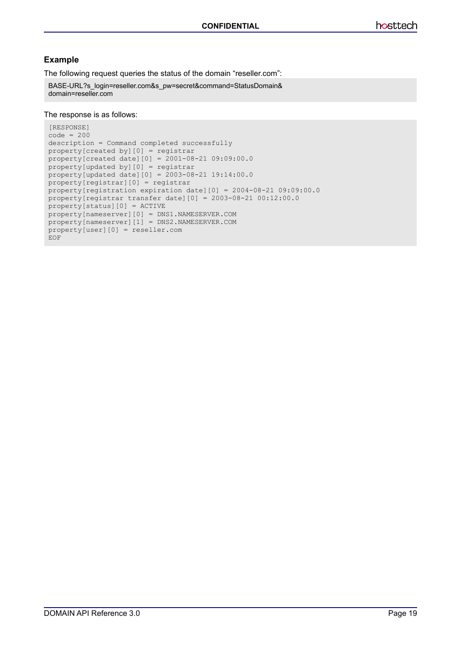# **Example**

The following request queries the status of the domain "reseller.com":

BASE-URL?s\_login=reseller.com&s\_pw=secret&command=StatusDomain& domain=reseller.com

```
[RESPONSE]
code = 200description = Command completed successfully
property[created by][0] = registrar
property[created date][0] = 2001-08-21 09:09:00.0
property[updated by][0] = registrarproperty[updated date][0] = 2003-08-21 19:14:00.0
property[registrar][0] = registrar
property[registration expiration date][0] = 2004-08-21 09:09:00.0
property[registrar transfer date][0] = 2003-08-21 00:12:00.0
property[status][0] = ACTIVE
property[nameserver][0] = DNS1.NAMESERVER.COM
property[nameserver][1] = DNS2.NAMESERVER.COM
property[user][0] = reseller.com
EOF
```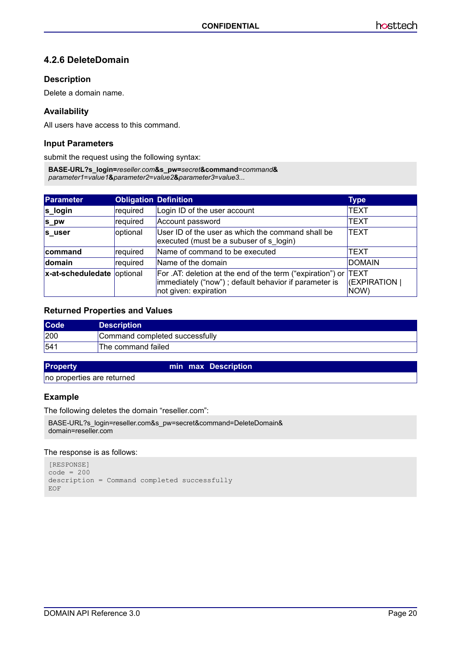# **4.2.6 DeleteDomain**

### **Description**

Delete a domain name.

## **Availability**

All users have access to this command.

#### **Input Parameters**

submit the request using the following syntax:

**BASE-URL?s\_login=***reseller.com***&s\_pw=***secret***&command**=*command***&** *parameter1*=*value1***&***parameter2*=*value2***&***parameter3*=*value3...*

| <b>Parameter</b>           | <b>Obligation Definition</b> |                                                                                                                                                   | <b>Type</b>           |
|----------------------------|------------------------------|---------------------------------------------------------------------------------------------------------------------------------------------------|-----------------------|
| s_login                    | required                     | Login ID of the user account                                                                                                                      | <b>TEXT</b>           |
| s_pw                       | required                     | Account password                                                                                                                                  | <b>TEXT</b>           |
| s user                     | optional                     | User ID of the user as which the command shall be<br>executed (must be a subuser of s login)                                                      | <b>TEXT</b>           |
| <b>command</b>             | required                     | Name of command to be executed                                                                                                                    | <b>TEXT</b>           |
| <b>domain</b>              | required                     | Name of the domain                                                                                                                                | <b>DOMAIN</b>         |
| x-at-scheduledate optional |                              | For .AT: deletion at the end of the term ("expiration") or TEXT<br>immediately ("now"); default behavior if parameter is<br>not given: expiration | (EXPIRATION  <br>NOW) |

#### **Returned Properties and Values**

| <b>Code</b> | <b>Description</b>             |
|-------------|--------------------------------|
| 200         | Command completed successfully |
| 541         | The command failed             |

**Property min max Description**

no properties are returned

#### **Example**

The following deletes the domain "reseller.com":

BASE-URL?s\_login=reseller.com&s\_pw=secret&command=DeleteDomain& domain=reseller.com

```
[RESPONSE]
code = 200description = Command completed successfully
EOF
```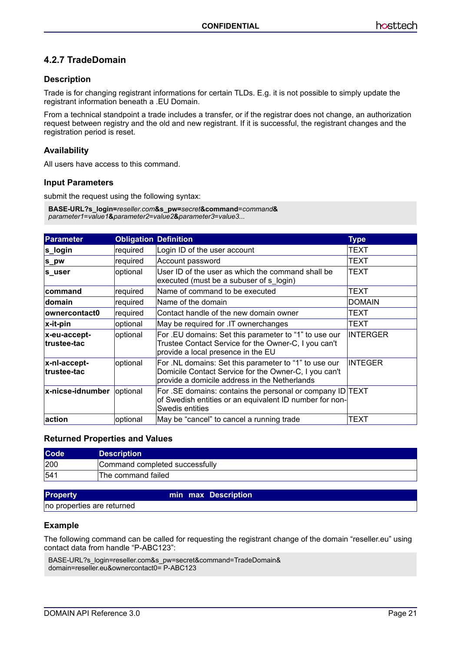# **4.2.7 TradeDomain**

#### **Description**

Trade is for changing registrant informations for certain TLDs. E.g. it is not possible to simply update the registrant information beneath a .EU Domain.

From a technical standpoint a trade includes a transfer, or if the registrar does not change, an authorization request between registry and the old and new registrant. If it is successful, the registrant changes and the registration period is reset.

#### **Availability**

All users have access to this command.

#### **Input Parameters**

submit the request using the following syntax:

**BASE-URL?s\_login=***reseller.com***&s\_pw=***secret***&command**=*command***&** *parameter1*=*value1***&***parameter2*=*value2***&***parameter3*=*value3...*

| Parameter                   | <b>Obligation Definition</b> |                                                                                                                                                                 | <b>Type</b>     |
|-----------------------------|------------------------------|-----------------------------------------------------------------------------------------------------------------------------------------------------------------|-----------------|
| s_login                     | required                     | Login ID of the user account                                                                                                                                    | TEXT            |
| s_pw                        | required                     | Account password                                                                                                                                                | TEXT            |
| s user                      | optional                     | User ID of the user as which the command shall be<br>executed (must be a subuser of s login)                                                                    | <b>TEXT</b>     |
| command                     | required                     | Name of command to be executed                                                                                                                                  | TEXT            |
| domain                      | required                     | Name of the domain                                                                                                                                              | <b>DOMAIN</b>   |
| ownercontact0               | required                     | Contact handle of the new domain owner                                                                                                                          | TEXT            |
| $x$ -it-pin                 | optional                     | May be required for . IT ownerchanges                                                                                                                           | TEXT            |
| x-eu-accept-<br>trustee-tac | optional                     | For .EU domains: Set this parameter to "1" to use our<br>Trustee Contact Service for the Owner-C, I you can't<br>provide a local presence in the EU             | <b>INTERGER</b> |
| x-nl-accept-<br>trustee-tac | optional                     | For .NL domains: Set this parameter to "1" to use our<br>Domicile Contact Service for the Owner-C, I you can't<br>provide a domicile address in the Netherlands | <b>INTEGER</b>  |
| x-nicse-idnumber optional   |                              | For .SE domains: contains the personal or company ID TEXT<br>of Swedish entities or an equivalent ID number for non-<br>Swedis entities                         |                 |
| action                      | optional                     | May be "cancel" to cancel a running trade                                                                                                                       | TEXT            |

#### **Returned Properties and Values**

| <b>Code</b> | <b>Description</b>             |
|-------------|--------------------------------|
| 200         | Command completed successfully |
| 541         | The command failed             |

**Property min max Description**

no properties are returned

#### **Example**

The following command can be called for requesting the registrant change of the domain "reseller.eu" using contact data from handle "P-ABC123":

BASE-URL?s\_login=reseller.com&s\_pw=secret&command=TradeDomain& domain=reseller.eu&ownercontact0= P-ABC123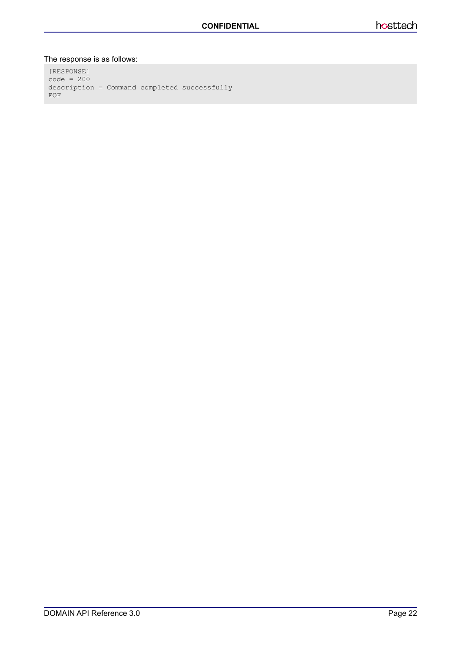```
[RESPONSE]
code = 200
description = Command completed successfully
EOF
```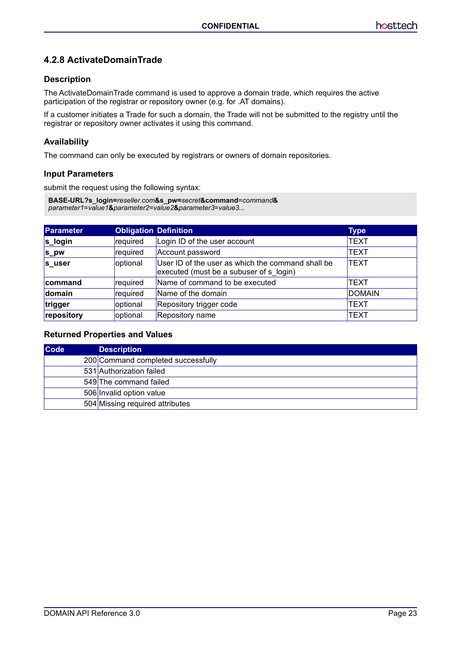# **4.2.8 ActivateDomainTrade**

#### **Description**

The ActivateDomainTrade command is used to approve a domain trade, which requires the active participation of the registrar or repository owner (e.g. for .AT domains).

If a customer initiates a Trade for such a domain, the Trade will not be submitted to the registry until the registrar or repository owner activates it using this command.

#### **Availability**

The command can only be executed by registrars or owners of domain repositories.

#### **Input Parameters**

submit the request using the following syntax:

```
BASE-URL?s_login=reseller.com&s_pw=secret&command=command&
parameter1=value1&parameter2=value2&parameter3=value3...
```

| <b>Parameter</b> | <b>Obligation Definition</b> |                                                                                              | <b>Type</b>   |
|------------------|------------------------------|----------------------------------------------------------------------------------------------|---------------|
| s_login          | required                     | Login ID of the user account                                                                 | <b>TEXT</b>   |
| $ S_D$ pw        | required                     | Account password                                                                             | <b>TEXT</b>   |
| s user           | optional                     | User ID of the user as which the command shall be<br>executed (must be a subuser of s login) | <b>TEXT</b>   |
| ∣command         | required                     | Name of command to be executed                                                               | <b>TEXT</b>   |
| domain           | required                     | Name of the domain                                                                           | <b>DOMAIN</b> |
| trigger          | optional                     | Repository trigger code                                                                      | <b>TEXT</b>   |
| repository       | optional                     | Repository name                                                                              | <b>TEXT</b>   |

#### **Returned Properties and Values**

| <b>Code</b> | <b>Description</b>                 |
|-------------|------------------------------------|
|             | 200 Command completed successfully |
|             | 531 Authorization failed           |
|             | 549 The command failed             |
|             | 506 Invalid option value           |
|             | 504 Missing required attributes    |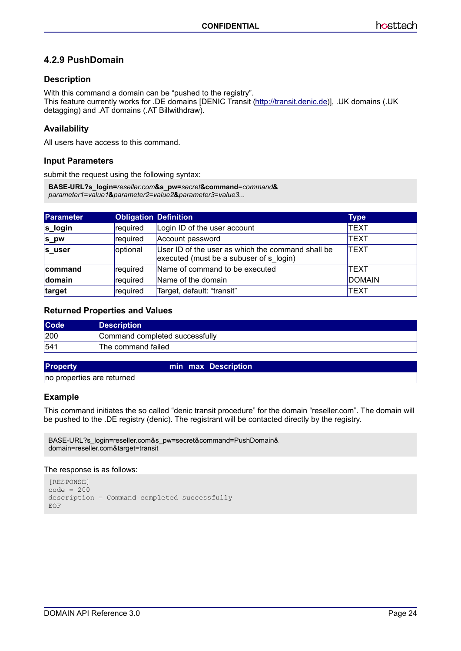# **4.2.9 PushDomain**

#### **Description**

With this command a domain can be "pushed to the registry". This feature currently works for .DE domains [DENIC Transit (http://transit.denic.de)], .UK domains (.UK detagging) and .AT domains (.AT Billwithdraw).

#### **Availability**

All users have access to this command.

#### **Input Parameters**

submit the request using the following syntax:

```
BASE-URL?s_login=reseller.com&s_pw=secret&command=command&
parameter1=value1&parameter2=value2&parameter3=value3...
```

| Parameter   | <b>Obligation Definition</b> |                                                                                              | <b>Type</b>  |
|-------------|------------------------------|----------------------------------------------------------------------------------------------|--------------|
| $ s$ _login | required                     | Login ID of the user account                                                                 | <b>TEXT</b>  |
| $ s_p$      | required                     | Account password                                                                             | <b>TEXT</b>  |
| $s$ _user   | optional                     | User ID of the user as which the command shall be<br>executed (must be a subuser of s login) | <b>ITEXT</b> |
| command     | required                     | Name of command to be executed                                                               | <b>TEXT</b>  |
| domain      | required                     | Name of the domain                                                                           | DOMAIN       |
| target      | required                     | Target, default: "transit"                                                                   | <b>TEXT</b>  |

#### **Returned Properties and Values**

| <b>Code</b> | <b>Description</b>             |
|-------------|--------------------------------|
| 200         | Command completed successfully |
| 541         | 'The command failed            |

**Property min max Description**

no properties are returned

#### **Example**

This command initiates the so called "denic transit procedure" for the domain "reseller.com". The domain will be pushed to the .DE registry (denic). The registrant will be contacted directly by the registry.

BASE-URL?s\_login=reseller.com&s\_pw=secret&command=PushDomain& domain=reseller.com&target=transit

```
[RESPONSE]
code = 200description = Command completed successfully
EOF
```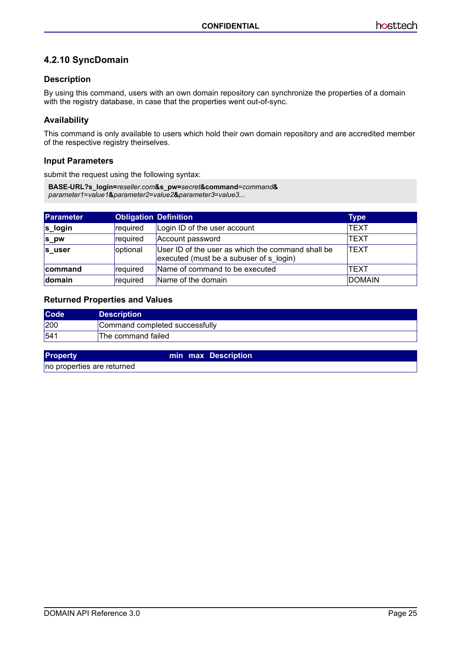# **4.2.10 SyncDomain**

#### **Description**

By using this command, users with an own domain repository can synchronize the properties of a domain with the registry database, in case that the properties went out-of-sync.

#### **Availability**

This command is only available to users which hold their own domain repository and are accredited member of the respective registry theirselves.

#### **Input Parameters**

submit the request using the following syntax:

**BASE-URL?s\_login=***reseller.com***&s\_pw=***secret***&command**=*command***&** *parameter1*=*value1***&***parameter2*=*value2***&***parameter3*=*value3...*

| <b>Parameter</b> | <b>Obligation Definition</b> |                                                                                              | <b>Type</b>   |
|------------------|------------------------------|----------------------------------------------------------------------------------------------|---------------|
| s_login          | required                     | Login ID of the user account                                                                 | <b>TEXT</b>   |
| $ s_p$           | required                     | Account password                                                                             | <b>TEXT</b>   |
| s user           | optional                     | User ID of the user as which the command shall be<br>executed (must be a subuser of s login) | <b>TEXT</b>   |
| command          | required                     | Name of command to be executed                                                               | <b>TEXT</b>   |
| domain           | required                     | Name of the domain                                                                           | <b>DOMAIN</b> |

#### **Returned Properties and Values**

| <b>Code</b> | <b>Description</b>             |
|-------------|--------------------------------|
| 200         | Command completed successfully |
| 541         | 'The command failed            |

| <b>Property</b>            | min max Description |
|----------------------------|---------------------|
| no properties are returned |                     |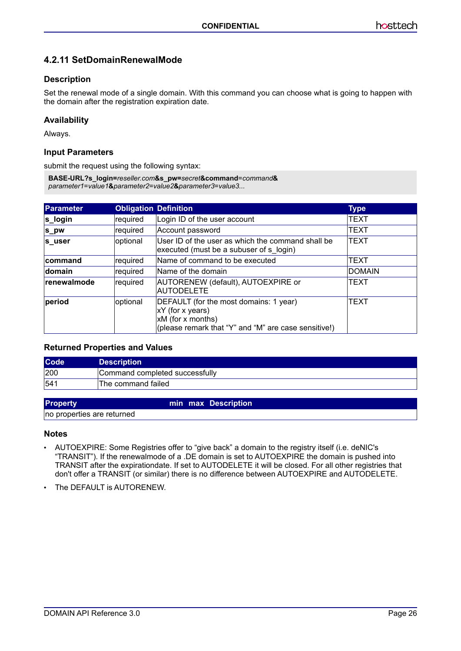# **4.2.11 SetDomainRenewalMode**

#### **Description**

Set the renewal mode of a single domain. With this command you can choose what is going to happen with the domain after the registration expiration date.

#### **Availability**

Always.

#### **Input Parameters**

submit the request using the following syntax:

**BASE-URL?s\_login=***reseller.com***&s\_pw=***secret***&command**=*command***&** *parameter1*=*value1***&***parameter2*=*value2***&***parameter3*=*value3...*

| <b>Parameter</b> | <b>Obligation Definition</b> |                                                                                                                                         | <b>Type</b>   |
|------------------|------------------------------|-----------------------------------------------------------------------------------------------------------------------------------------|---------------|
| s_login          | required                     | Login ID of the user account                                                                                                            | TEXT          |
| $ s_p$ w         | required                     | Account password                                                                                                                        | TEXT          |
| s_user           | optional                     | User ID of the user as which the command shall be<br>executed (must be a subuser of s login)                                            | <b>TEXT</b>   |
| ∣command         | required                     | Name of command to be executed                                                                                                          | TEXT          |
| <b>domain</b>    | required                     | Name of the domain                                                                                                                      | <b>DOMAIN</b> |
| renewalmode      | required                     | <b>AUTORENEW (default), AUTOEXPIRE or</b><br><b>AUTODELETE</b>                                                                          | TEXT          |
| period           | optional                     | DEFAULT (for the most domains: 1 year)<br>xY (for x years)<br>xM (for x months)<br>(please remark that "Y" and "M" are case sensitive!) | TEXT          |

#### **Returned Properties and Values**

| <b>Code</b> | <b>Description</b>             |
|-------------|--------------------------------|
| 200         | Command completed successfully |
| 541         | 'The command failed            |

# **Property min max Description**

no properties are returned

#### **Notes**

- AUTOEXPIRE: Some Registries offer to "give back" a domain to the registry itself (i.e. deNIC's "TRANSIT"). If the renewalmode of a .DE domain is set to AUTOEXPIRE the domain is pushed into TRANSIT after the expirationdate. If set to AUTODELETE it will be closed. For all other registries that don't offer a TRANSIT (or similar) there is no difference between AUTOEXPIRE and AUTODELETE.
- The DEFAULT is AUTORENEW.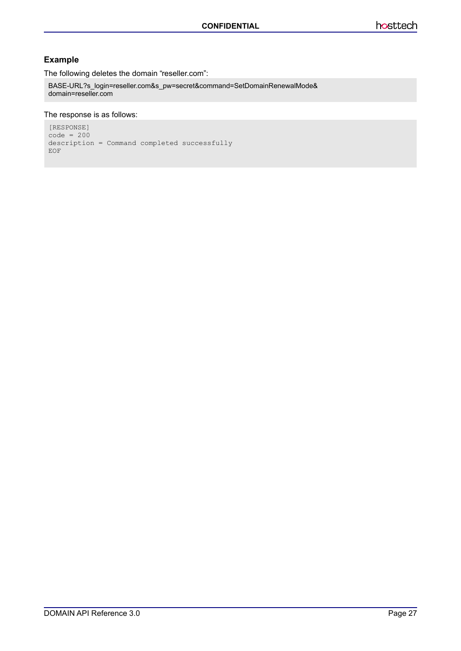# **Example**

The following deletes the domain "reseller.com":

BASE-URL?s\_login=reseller.com&s\_pw=secret&command=SetDomainRenewalMode& domain=reseller.com

```
[RESPONSE]
code = 200description = Command completed successfully
EOF
```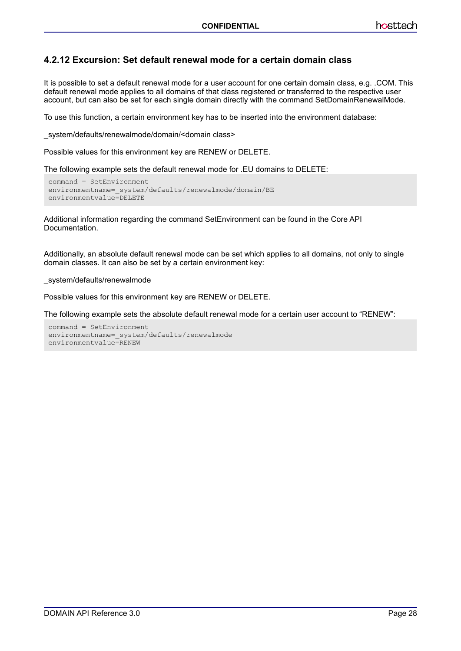# **4.2.12 Excursion: Set default renewal mode for a certain domain class**

It is possible to set a default renewal mode for a user account for one certain domain class, e.g. .COM. This default renewal mode applies to all domains of that class registered or transferred to the respective user account, but can also be set for each single domain directly with the command SetDomainRenewalMode.

To use this function, a certain environment key has to be inserted into the environment database:

\_system/defaults/renewalmode/domain/<domain class>

Possible values for this environment key are RENEW or DELETE.

The following example sets the default renewal mode for .EU domains to DELETE:

```
command = SetEnvironment
environmentname=_system/defaults/renewalmode/domain/BE
environmentvalue=DELETE
```
Additional information regarding the command SetEnvironment can be found in the Core API Documentation.

Additionally, an absolute default renewal mode can be set which applies to all domains, not only to single domain classes. It can also be set by a certain environment key:

system/defaults/renewalmode

Possible values for this environment key are RENEW or DELETE.

The following example sets the absolute default renewal mode for a certain user account to "RENEW":

```
command = SetEnvironment
environmentname= system/defaults/renewalmode
environmentvalue=RENEW
```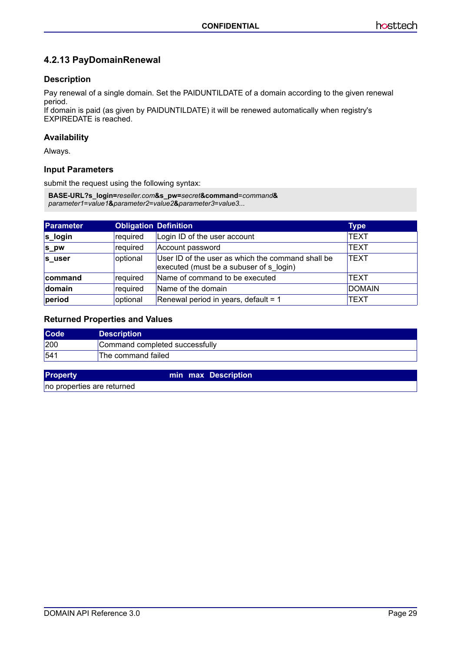# **4.2.13 PayDomainRenewal**

## **Description**

Pay renewal of a single domain. Set the PAIDUNTILDATE of a domain according to the given renewal period.

If domain is paid (as given by PAIDUNTILDATE) it will be renewed automatically when registry's EXPIREDATE is reached.

#### **Availability**

Always.

#### **Input Parameters**

submit the request using the following syntax:

**BASE-URL?s\_login=***reseller.com***&s\_pw=***secret***&command**=*command***&** *parameter1*=*value1***&***parameter2*=*value2***&***parameter3*=*value3...*

| <b>Parameter</b> |          | <b>Obligation Definition</b>                                                                 | <b>Type</b> |
|------------------|----------|----------------------------------------------------------------------------------------------|-------------|
| $ s$ _login      | required | Login ID of the user account                                                                 | <b>TEXT</b> |
| $ s_p$           | required | Account password                                                                             | <b>TEXT</b> |
| $s$ _user        | optional | User ID of the user as which the command shall be<br>executed (must be a subuser of s login) | <b>TEXT</b> |
| command          | required | Name of command to be executed                                                               | TEXT        |
| domain           | required | Name of the domain                                                                           | DOMAIN      |
| period           | optional | Renewal period in years, default = 1                                                         | TEXT        |

#### **Returned Properties and Values**

| <b>Code</b> | <b>Description</b>             |
|-------------|--------------------------------|
| 200         | Command completed successfully |
| 541         | 'The command failed            |

| <b>Property</b> | min max Description |
|-----------------|---------------------|
|                 |                     |

no properties are returned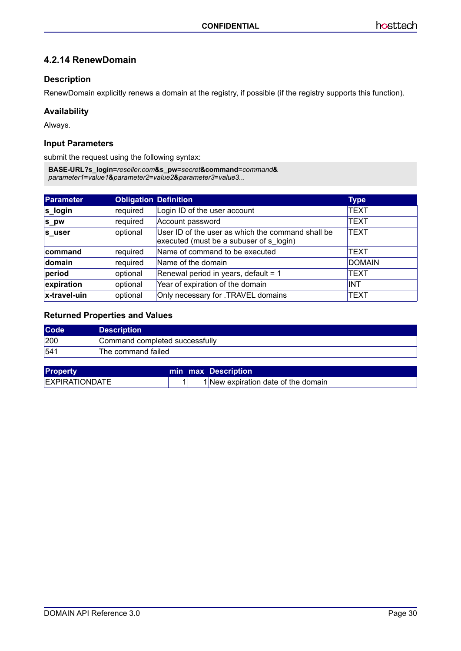# **4.2.14 RenewDomain**

#### **Description**

RenewDomain explicitly renews a domain at the registry, if possible (if the registry supports this function).

#### **Availability**

Always.

#### **Input Parameters**

submit the request using the following syntax:

**BASE-URL?s\_login=***reseller.com***&s\_pw=***secret***&command**=*command***&** *parameter1*=*value1***&***parameter2*=*value2***&***parameter3*=*value3...*

| <b>Parameter</b> | <b>Obligation Definition</b> |                                                                                              | <b>Type</b> |
|------------------|------------------------------|----------------------------------------------------------------------------------------------|-------------|
| s_login          | required                     | Login ID of the user account                                                                 | <b>TEXT</b> |
| s_pw             | required                     | Account password                                                                             | <b>TEXT</b> |
| s user           | optional                     | User ID of the user as which the command shall be<br>executed (must be a subuser of s_login) | <b>TEXT</b> |
| command          | required                     | Name of command to be executed                                                               | <b>TEXT</b> |
| domain           | required                     | Name of the domain                                                                           | DOMAIN      |
| period           | optional                     | Renewal period in years, default = 1                                                         | <b>TEXT</b> |
| expiration       | optional                     | Year of expiration of the domain                                                             | <b>INT</b>  |
| x-travel-uin     | optional                     | Only necessary for .TRAVEL domains                                                           | TEXT        |

#### **Returned Properties and Values**

| <b>Code</b> | <b>Description</b>             |
|-------------|--------------------------------|
| 200         | Command completed successfully |
| 541         | The command failed             |

| <b>Property</b>       |  | min max Description                 |
|-----------------------|--|-------------------------------------|
| <b>EXPIRATIONDATE</b> |  | 1 New expiration date of the domain |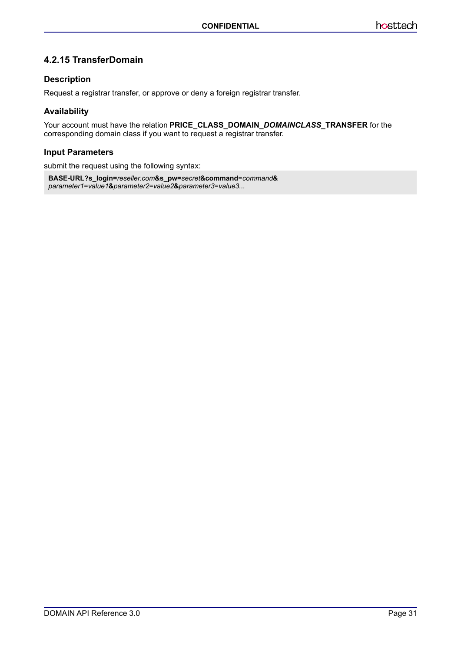# **4.2.15 TransferDomain**

### **Description**

Request a registrar transfer, or approve or deny a foreign registrar transfer.

#### **Availability**

Your account must have the relation PRICE\_CLASS\_DOMAIN\_DOMAINCLASS\_TRANSFER for the corresponding domain class if you want to request a registrar transfer.

#### **Input Parameters**

submit the request using the following syntax:

**BASE-URL?s\_login=***reseller.com***&s\_pw=***secret***&command**=*command***&** *parameter1*=*value1***&***parameter2*=*value2***&***parameter3*=*value3...*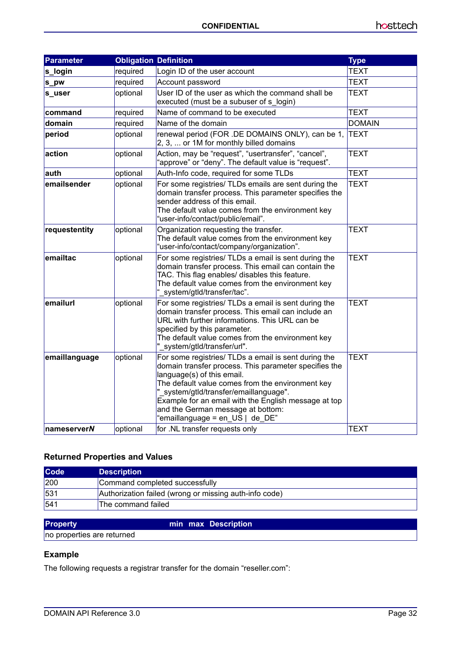| <b>Parameter</b> | <b>Obligation Definition</b> |                                                                                                                                                                                                                                                                                                                                                                          | <b>Type</b>   |
|------------------|------------------------------|--------------------------------------------------------------------------------------------------------------------------------------------------------------------------------------------------------------------------------------------------------------------------------------------------------------------------------------------------------------------------|---------------|
| s_login          | required                     | Login ID of the user account                                                                                                                                                                                                                                                                                                                                             | <b>TEXT</b>   |
| s_pw             | required                     | Account password                                                                                                                                                                                                                                                                                                                                                         | <b>TEXT</b>   |
| s_user           | optional                     | User ID of the user as which the command shall be<br>executed (must be a subuser of s login)                                                                                                                                                                                                                                                                             | <b>TEXT</b>   |
| command          | required                     | Name of command to be executed                                                                                                                                                                                                                                                                                                                                           | <b>TEXT</b>   |
| domain           | required                     | Name of the domain                                                                                                                                                                                                                                                                                                                                                       | <b>DOMAIN</b> |
| period           | optional                     | renewal period (FOR .DE DOMAINS ONLY), can be 1,<br>2, 3,  or 1M for monthly billed domains                                                                                                                                                                                                                                                                              | <b>TEXT</b>   |
| action           | optional                     | Action, may be "request", "usertransfer", "cancel",<br>"approve" or "deny". The default value is "request".                                                                                                                                                                                                                                                              | <b>TEXT</b>   |
| auth             | optional                     | Auth-Info code, required for some TLDs                                                                                                                                                                                                                                                                                                                                   | <b>TEXT</b>   |
| emailsender      | optional                     | For some registries/ TLDs emails are sent during the<br>domain transfer process. This parameter specifies the<br>sender address of this email.<br>The default value comes from the environment key<br>"user-info/contact/public/email".                                                                                                                                  | <b>TEXT</b>   |
| requestentity    | optional                     | Organization requesting the transfer.<br>The default value comes from the environment key<br>"user-info/contact/company/organization".                                                                                                                                                                                                                                   | <b>TEXT</b>   |
| emailtac         | optional                     | For some registries/ TLDs a email is sent during the<br>domain transfer process. This email can contain the<br>TAC. This flag enables/ disables this feature.<br>The default value comes from the environment key<br>_system/gtld/transfer/tac".                                                                                                                         | <b>TEXT</b>   |
| emailurl         | optional                     | For some registries/ TLDs a email is sent during the<br>domain transfer process. This email can include an<br>URL with further informations. This URL can be<br>specified by this parameter.<br>The default value comes from the environment key<br>'_system/gtld/transfer/url".                                                                                         | <b>TEXT</b>   |
| emaillanguage    | optional                     | For some registries/ TLDs a email is sent during the<br>domain transfer process. This parameter specifies the<br>language(s) of this email.<br>The default value comes from the environment key<br>_system/gtld/transfer/emaillanguage".<br>Example for an email with the English message at top<br>and the German message at bottom:<br>'emaillanguage = en_US   de_DE" | <b>TEXT</b>   |
| nameserverN      | optional                     | for .NL transfer requests only                                                                                                                                                                                                                                                                                                                                           | <b>TEXT</b>   |

# **Returned Properties and Values**

| <b>Description</b>                                     |
|--------------------------------------------------------|
| Command completed successfully                         |
| Authorization failed (wrong or missing auth-info code) |
| The command failed                                     |
|                                                        |

**Property min max Description**

no properties are returned

# **Example**

The following requests a registrar transfer for the domain "reseller.com":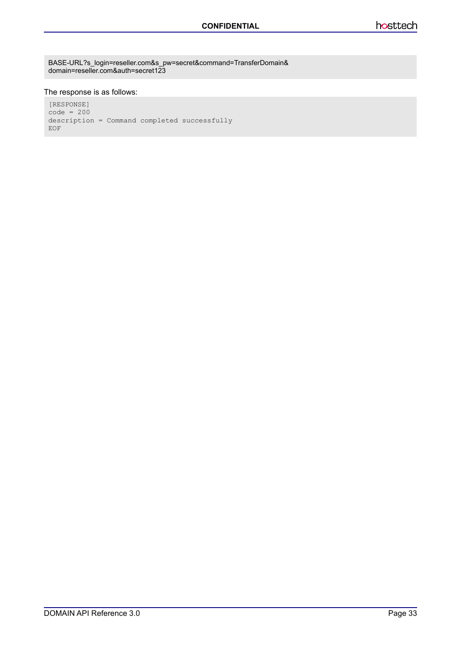BASE-URL?s\_login=reseller.com&s\_pw=secret&command=TransferDomain& domain=reseller.com&auth=secret123

```
[RESPONSE]
code = 200
description = Command completed successfully
EOF
```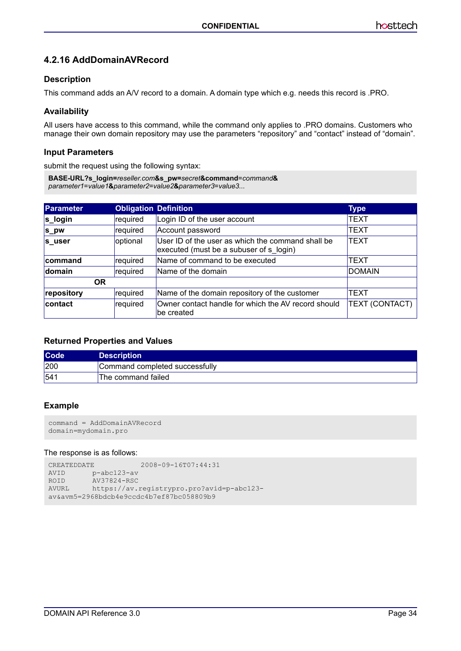# **4.2.16 AddDomainAVRecord**

#### **Description**

This command adds an A/V record to a domain. A domain type which e.g. needs this record is .PRO.

#### **Availability**

All users have access to this command, while the command only applies to .PRO domains. Customers who manage their own domain repository may use the parameters "repository" and "contact" instead of "domain".

#### **Input Parameters**

submit the request using the following syntax:

**BASE-URL?s\_login=***reseller.com***&s\_pw=***secret***&command**=*command***&** *parameter1*=*value1***&***parameter2*=*value2***&***parameter3*=*value3...*

| Parameter   | <b>Obligation Definition</b> |                                                                                              | <b>Type</b>    |
|-------------|------------------------------|----------------------------------------------------------------------------------------------|----------------|
| s_login     | required                     | Login ID of the user account                                                                 | <b>TEXT</b>    |
| <b>S_pw</b> | required                     | Account password                                                                             | <b>TEXT</b>    |
| s user      | optional                     | User ID of the user as which the command shall be<br>executed (must be a subuser of s login) | <b>TEXT</b>    |
| command     | required                     | Name of command to be executed                                                               | <b>TEXT</b>    |
| domain      | required                     | Name of the domain                                                                           | <b>DOMAIN</b>  |
| <b>OR</b>   |                              |                                                                                              |                |
| repository  | required                     | Name of the domain repository of the customer                                                | <b>TEXT</b>    |
| contact     | required                     | Owner contact handle for which the AV record should<br>be created                            | TEXT (CONTACT) |

#### **Returned Properties and Values**

| <b>Code</b> | <b>Description</b>             |
|-------------|--------------------------------|
| 200         | Command completed successfully |
| 541         | The command failed             |

#### **Example**

```
command = AddDomainAVRecord
domain=mydomain.pro
```

```
CREATEDDATE 2008-09-16T07:44:31
AVID p-abc123-av
ROID AV37824-RSC<br>AVURL https://av.
        https://av.registrypro.pro?avid=p-abc123-
av&avm5=2968bdcb4e9ccdc4b7ef87bc058809b9
```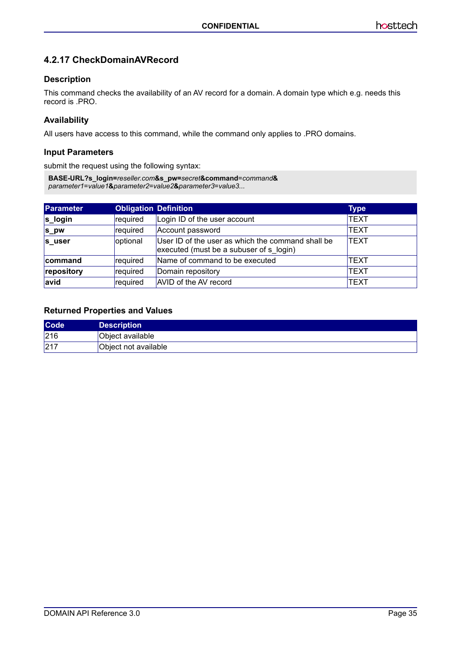# **4.2.17 CheckDomainAVRecord**

### **Description**

This command checks the availability of an AV record for a domain. A domain type which e.g. needs this record is .PRO.

#### **Availability**

All users have access to this command, while the command only applies to .PRO domains.

#### **Input Parameters**

submit the request using the following syntax:

**BASE-URL?s\_login=***reseller.com***&s\_pw=***secret***&command**=*command***&** *parameter1*=*value1***&***parameter2*=*value2***&***parameter3*=*value3...*

| Parameter  |          | <b>Obligation Definition</b>                                                                 | <b>Type</b> |
|------------|----------|----------------------------------------------------------------------------------------------|-------------|
| $ s$ login | required | Login ID of the user account                                                                 | <b>TEXT</b> |
| $ s_p$     | required | Account password                                                                             | <b>TEXT</b> |
| $s$ _user  | optional | User ID of the user as which the command shall be<br>executed (must be a subuser of s login) | <b>TEXT</b> |
| command    | required | Name of command to be executed                                                               | <b>TEXT</b> |
| repository | required | Domain repository                                                                            | <b>TEXT</b> |
| avid       | required | <b>AVID of the AV record</b>                                                                 | <b>TEXT</b> |

#### **Returned Properties and Values**

| <b>Code</b> | <b>Description</b>   |
|-------------|----------------------|
| 216         | Object available     |
| 217         | Object not available |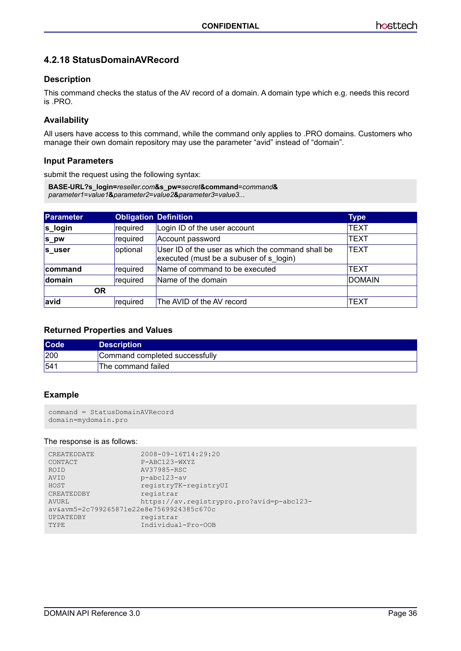# **4.2.18 StatusDomainAVRecord**

#### **Description**

This command checks the status of the AV record of a domain. A domain type which e.g. needs this record is .PRO.

#### **Availability**

All users have access to this command, while the command only applies to .PRO domains. Customers who manage their own domain repository may use the parameter "avid" instead of "domain".

#### **Input Parameters**

submit the request using the following syntax:

**BASE-URL?s\_login=***reseller.com***&s\_pw=***secret***&command**=*command***&** *parameter1*=*value1***&***parameter2*=*value2***&***parameter3*=*value3...*

| <b>Parameter</b> | <b>Obligation Definition</b> |                                                                                              | <b>Type</b> |
|------------------|------------------------------|----------------------------------------------------------------------------------------------|-------------|
| s_login          | required                     | Login ID of the user account                                                                 | <b>TEXT</b> |
| $ s_p$           | required                     | Account password                                                                             | <b>TEXT</b> |
| s user           | optional                     | User ID of the user as which the command shall be<br>executed (must be a subuser of s login) | <b>TEXT</b> |
| <b>command</b>   | required                     | Name of command to be executed                                                               | <b>TEXT</b> |
| domain           | required                     | Name of the domain                                                                           | DOMAIN      |
| OR.              |                              |                                                                                              |             |
| avid             | required                     | The AVID of the AV record                                                                    | TEXT        |

#### **Returned Properties and Values**

| <b>Code</b> | <b>Description</b>             |
|-------------|--------------------------------|
| 200         | Command completed successfully |
| 541         | The command failed             |

#### **Example**

```
command = StatusDomainAVRecord
domain=mydomain.pro
```

| CREATEDDATE                              | 2008-09-16T14:29:20                       |
|------------------------------------------|-------------------------------------------|
| CONTACT                                  | P-ABC123-WXYZ                             |
| ROID                                     | AV37985-RSC                               |
| AVID                                     | $p - abc123 - av$                         |
| <b>HOST</b>                              | reqistryTK-reqistryUI                     |
| CREATEDDBY                               | registrar                                 |
| AVURL                                    | https://av.registrypro.pro?avid=p-abc123- |
| av&avm5=2c799265871e22e8e7569924385c670c |                                           |
| <b>UPDATEDBY</b>                         | registrar                                 |
| <b>TYPE</b>                              | Individual-Pro-OOB                        |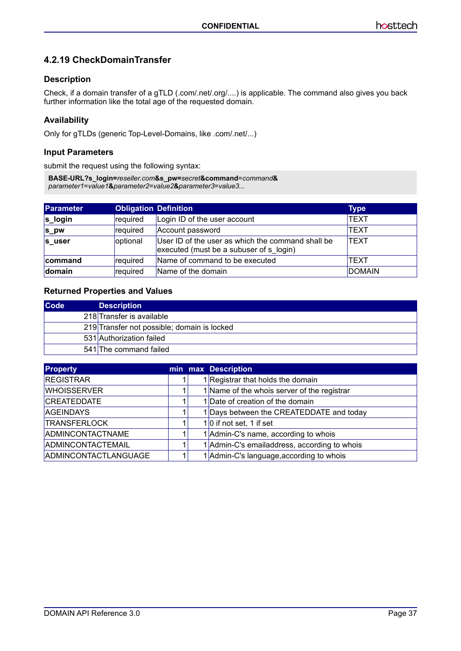## **4.2.19 CheckDomainTransfer**

### **Description**

Check, if a domain transfer of a gTLD (.com/.net/.org/....) is applicable. The command also gives you back further information like the total age of the requested domain.

## **Availability**

Only for gTLDs (generic Top-Level-Domains, like .com/.net/...)

#### **Input Parameters**

submit the request using the following syntax:

**BASE-URL?s\_login=***reseller.com***&s\_pw=***secret***&command**=*command***&** *parameter1*=*value1***&***parameter2*=*value2***&***parameter3*=*value3...*

| <b>Parameter</b> |          | <b>Obligation Definition</b>                                                                 | <b>Type</b>   |
|------------------|----------|----------------------------------------------------------------------------------------------|---------------|
| s_login          | required | Login ID of the user account                                                                 | <b>TEXT</b>   |
| $ s_p$           | required | Account password                                                                             | <b>TEXT</b>   |
| s_user           | optional | User ID of the user as which the command shall be<br>executed (must be a subuser of s login) | <b>TEXT</b>   |
| command          | required | Name of command to be executed                                                               | TEXT          |
| domain           | required | Name of the domain                                                                           | <b>DOMAIN</b> |

| <b>Code</b> | <b>Description</b>                          |
|-------------|---------------------------------------------|
|             | 218 Transfer is available                   |
|             | 219 Transfer not possible; domain is locked |
|             | 531 Authorization failed                    |
|             | 541 The command failed                      |

| <b>Property</b>      |  | min max Description                          |
|----------------------|--|----------------------------------------------|
| <b>REGISTRAR</b>     |  | 1 Registrar that holds the domain            |
| <b>WHOISSERVER</b>   |  | 1 Name of the whois server of the registrar  |
| <b>CREATEDDATE</b>   |  | 1 Date of creation of the domain             |
| <b>AGEINDAYS</b>     |  | 1 Days between the CREATEDDATE and today     |
| <b>TRANSFERLOCK</b>  |  | $1 0$ if not set, 1 if set                   |
| ADMINCONTACTNAME     |  | 1 Admin-C's name, according to whois         |
| ADMINCONTACTEMAIL    |  | 1 Admin-C's emailaddress, according to whois |
| ADMINCONTACTLANGUAGE |  | 1 Admin-C's language, according to whois     |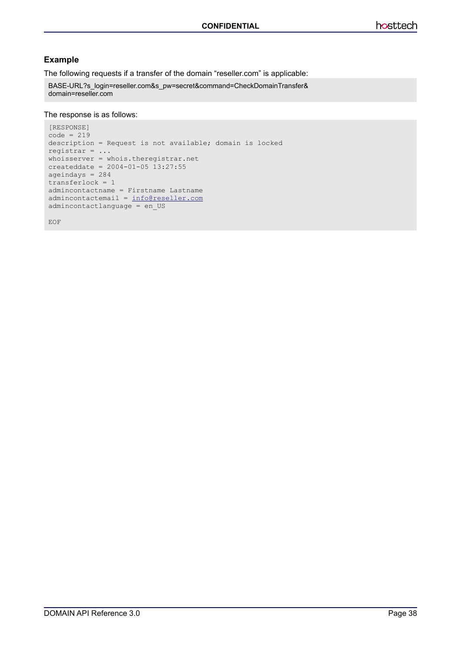## **Example**

The following requests if a transfer of the domain "reseller.com" is applicable:

BASE-URL?s\_login=reseller.com&s\_pw=secret&command=CheckDomainTransfer& domain=reseller.com

```
The response is as follows:
```

```
[RESPONSE]
code = 219description = Request is not available; domain is locked
registrar = ...
whoisserver = whois.theregistrar.net
createddate = 2004-01-05 13:27:55
ageindays = 284
transferlock = 1
admincontactname = Firstname Lastname
admincontactemail = info@reseller.com
admincontactlanguage = en_US
```
EOF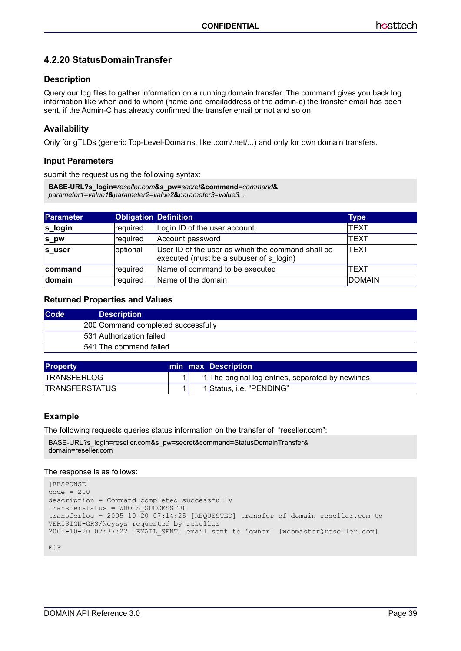## **4.2.20 StatusDomainTransfer**

#### **Description**

Query our log files to gather information on a running domain transfer. The command gives you back log information like when and to whom (name and emailaddress of the admin-c) the transfer email has been sent, if the Admin-C has already confirmed the transfer email or not and so on.

#### **Availability**

Only for gTLDs (generic Top-Level-Domains, like .com/.net/...) and only for own domain transfers.

#### **Input Parameters**

submit the request using the following syntax:

```
BASE-URL?s_login=reseller.com&s_pw=secret&command=command&
parameter1=value1&parameter2=value2&parameter3=value3...
```

| <b>Parameter</b> | <b>Obligation Definition</b> |                                                                                              | <b>Type</b>   |
|------------------|------------------------------|----------------------------------------------------------------------------------------------|---------------|
| $ s$ login       | required                     | Login ID of the user account                                                                 | <b>TEXT</b>   |
| $ s_p$           | required                     | Account password                                                                             | <b>TEXT</b>   |
| s user           | optional                     | User ID of the user as which the command shall be<br>executed (must be a subuser of s login) | <b>TEXT</b>   |
| command          | required                     | Name of command to be executed                                                               | <b>TEXT</b>   |
| domain           | required                     | Name of the domain                                                                           | <b>DOMAIN</b> |

#### **Returned Properties and Values**

| <b>Code</b> | <b>Description</b>                 |
|-------------|------------------------------------|
|             | 200 Command completed successfully |
|             | 531 Authorization failed           |
|             | 541 The command failed             |

| <b>Property</b>       |  | min max Description                                |
|-----------------------|--|----------------------------------------------------|
| <b>TRANSFERLOG</b>    |  | 1 The original log entries, separated by newlines. |
| <b>TRANSFERSTATUS</b> |  | 1 Status, i.e. "PENDING"                           |

#### **Example**

The following requests queries status information on the transfer of "reseller.com":

BASE-URL?s\_login=reseller.com&s\_pw=secret&command=StatusDomainTransfer& domain=reseller.com

#### The response is as follows:

```
[RESPONSE]
code = 200
description = Command completed successfully
transferstatus = WHOIS_SUCCESSFUL
transferlog = 2005-10-20 07:14:25 [REQUESTED] transfer of domain reseller.com to
VERISIGN-GRS/keysys requested by reseller 
2005-10-20 07:37:22 [EMAIL_SENT] email sent to 'owner' [webmaster@reseller.com]
```
EOF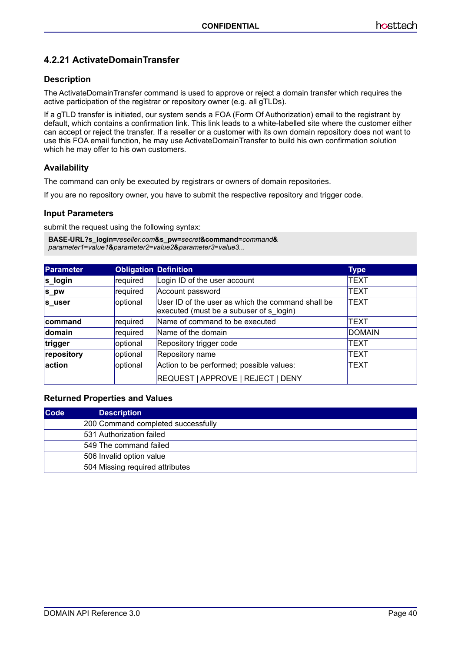# **4.2.21 ActivateDomainTransfer**

### **Description**

The ActivateDomainTransfer command is used to approve or reject a domain transfer which requires the active participation of the registrar or repository owner (e.g. all gTLDs).

If a gTLD transfer is initiated, our system sends a FOA (Form Of Authorization) email to the registrant by default, which contains a confirmation link. This link leads to a white-labelled site where the customer either can accept or reject the transfer. If a reseller or a customer with its own domain repository does not want to use this FOA email function, he may use ActivateDomainTransfer to build his own confirmation solution which he may offer to his own customers.

## **Availability**

The command can only be executed by registrars or owners of domain repositories.

If you are no repository owner, you have to submit the respective repository and trigger code.

#### **Input Parameters**

submit the request using the following syntax:

**BASE-URL?s\_login=***reseller.com***&s\_pw=***secret***&command**=*command***&** *parameter1*=*value1***&***parameter2*=*value2***&***parameter3*=*value3...*

| Parameter  | <b>Obligation Definition</b> |                                                                                              | <b>Type</b>   |
|------------|------------------------------|----------------------------------------------------------------------------------------------|---------------|
| s_login    | required                     | Login ID of the user account                                                                 | <b>TEXT</b>   |
| s pw       | required                     | Account password                                                                             | <b>TEXT</b>   |
| s_user     | optional                     | User ID of the user as which the command shall be<br>executed (must be a subuser of s login) | <b>TEXT</b>   |
| command    | required                     | Name of command to be executed                                                               | TEXT          |
| domain     | required                     | Name of the domain                                                                           | <b>DOMAIN</b> |
| trigger    | optional                     | Repository trigger code                                                                      | TEXT          |
| repository | optional                     | Repository name                                                                              | TEXT          |
| action     | optional                     | Action to be performed; possible values:                                                     | TEXT          |
|            |                              | REQUEST   APPROVE   REJECT   DENY                                                            |               |

| <b>Code</b> | <b>Description</b>                 |
|-------------|------------------------------------|
|             | 200 Command completed successfully |
|             | 531 Authorization failed           |
|             | 549 The command failed             |
|             | 506 Invalid option value           |
|             | 504 Missing required attributes    |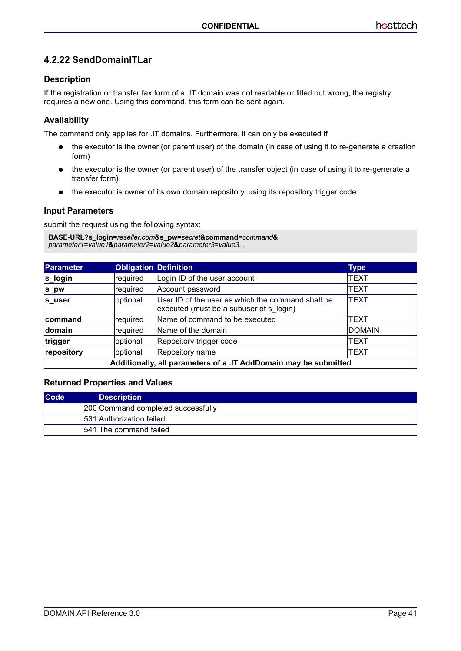# **4.2.22 SendDomainITLar**

### **Description**

If the registration or transfer fax form of a .IT domain was not readable or filled out wrong, the registry requires a new one. Using this command, this form can be sent again.

### **Availability**

The command only applies for .IT domains. Furthermore, it can only be executed if

- the executor is the owner (or parent user) of the domain (in case of using it to re-generate a creation form)
- the executor is the owner (or parent user) of the transfer object (in case of using it to re-generate a transfer form)
- the executor is owner of its own domain repository, using its repository trigger code

#### **Input Parameters**

submit the request using the following syntax:

**BASE-URL?s\_login=***reseller.com***&s\_pw=***secret***&command**=*command***&** *parameter1*=*value1***&***parameter2*=*value2***&***parameter3*=*value3...*

| <b>Parameter</b> | <b>Obligation Definition</b> |                                                                                              | <b>Type</b>   |
|------------------|------------------------------|----------------------------------------------------------------------------------------------|---------------|
| s_login          | required                     | Login ID of the user account                                                                 | <b>TEXT</b>   |
| $ s_p$ w         | required                     | Account password                                                                             | TEXT          |
| s user           | optional                     | User ID of the user as which the command shall be<br>executed (must be a subuser of s login) | <b>TEXT</b>   |
| command          | required                     | Name of command to be executed                                                               | TEXT          |
| domain           | required                     | Name of the domain                                                                           | <b>DOMAIN</b> |
| trigger          | optional                     | Repository trigger code                                                                      | TEXT          |
| repository       | optional                     | Repository name                                                                              | TEXT          |
|                  |                              | Additionally, all parameters of a .IT AddDomain may be submitted                             |               |

| <b>Code</b> | <b>Description</b>                 |
|-------------|------------------------------------|
|             | 200 Command completed successfully |
|             | 531 Authorization failed           |
|             | 541 The command failed             |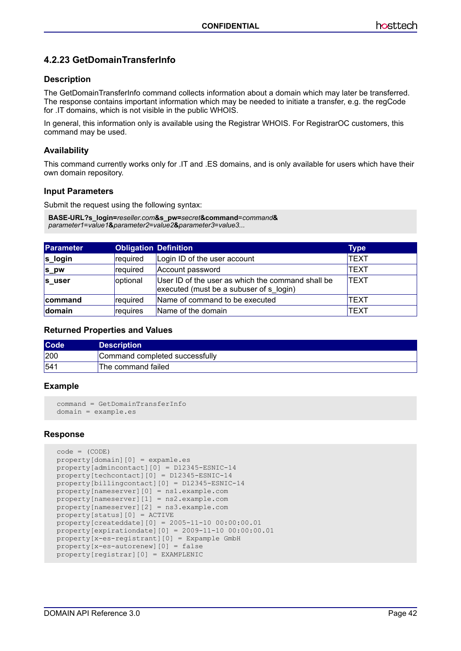## **4.2.23 GetDomainTransferInfo**

#### **Description**

The GetDomainTransferInfo command collects information about a domain which may later be transferred. The response contains important information which may be needed to initiate a transfer, e.g. the regCode for .IT domains, which is not visible in the public WHOIS.

In general, this information only is available using the Registrar WHOIS. For RegistrarOC customers, this command may be used.

#### **Availability**

This command currently works only for .IT and .ES domains, and is only available for users which have their own domain repository.

#### **Input Parameters**

Submit the request using the following syntax:

```
BASE-URL?s_login=reseller.com&s_pw=secret&command=command&
parameter1=value1&parameter2=value2&parameter3=value3...
```

| <b>Parameter</b> | <b>Obligation Definition</b> |                                                                                              | <b>Type</b> |
|------------------|------------------------------|----------------------------------------------------------------------------------------------|-------------|
| $ s$ login       | required                     | Login ID of the user account                                                                 | <b>TEXT</b> |
| $ s_p$           | required                     | Account password                                                                             | <b>TEXT</b> |
| $s$ _user        | optional                     | User ID of the user as which the command shall be<br>executed (must be a subuser of s_login) | <b>TEXT</b> |
| command          | required                     | Name of command to be executed                                                               | TEXT        |
| domain           | requires                     | Name of the domain                                                                           | TEXT        |

#### **Returned Properties and Values**

| <b>Code</b> | <b>Description</b>             |
|-------------|--------------------------------|
| 200         | Command completed successfully |
| 541         | 'The command failed            |

#### **Example**

```
 command = GetDomainTransferInfo
 domain = example.es
```
#### **Response**

```
 code = (CODE)
  property[domain][0] = expamle.es
  property[admincontact][0] = D12345-ESNIC-14
  property[techcontact][0] = D12345-ESNIC-14
  property[billingcontact][0] = D12345-ESNIC-14
  property[nameserver][0] = ns1.example.com
 property[nameserver][1] = ns2.example.com
 property[nameserver][2] = ns3.example.com
  property[status][0] = ACTIVE
  property[createddate][0] = 2005-11-10 00:00:00.01
  property[expirationdate][0] = 2009-11-10 00:00:00.01
  property[x-es-registrant][0] = Expample GmbH
  property[x-es-autorenew][0] = false
  property[registrar][0] = EXAMPLENIC
```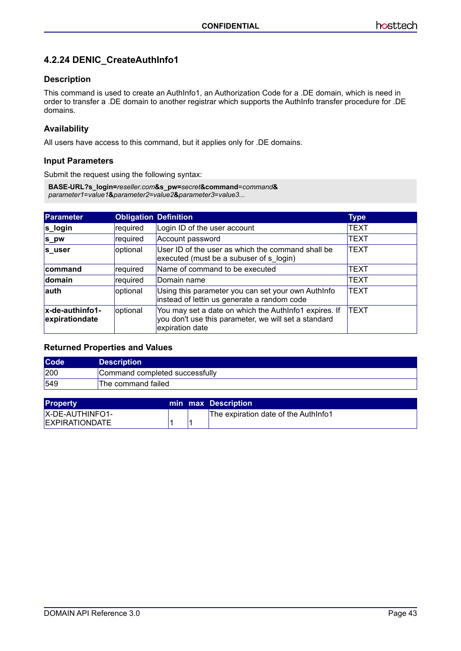# **4.2.24 DENIC\_CreateAuthInfo1**

## **Description**

This command is used to create an AuthInfo1, an Authorization Code for a .DE domain, which is need in order to transfer a .DE domain to another registrar which supports the AuthInfo transfer procedure for .DE domains.

## **Availability**

All users have access to this command, but it applies only for .DE domains.

#### **Input Parameters**

Submit the request using the following syntax:

```
BASE-URL?s_login=reseller.com&s_pw=secret&command=command&
parameter1=value1&parameter2=value2&parameter3=value3...
```

| <b>Parameter</b>                  | <b>Obligation Definition</b> |                                                                                                                                  | <b>Type</b> |
|-----------------------------------|------------------------------|----------------------------------------------------------------------------------------------------------------------------------|-------------|
| $s$ _login                        | required                     | Login ID of the user account                                                                                                     | <b>TEXT</b> |
| s_pw                              | required                     | Account password                                                                                                                 | <b>TEXT</b> |
| s_user                            | optional                     | User ID of the user as which the command shall be<br>executed (must be a subuser of s login)                                     | <b>TEXT</b> |
| command                           | required                     | Name of command to be executed                                                                                                   | <b>TEXT</b> |
| domain                            | required                     | Domain name                                                                                                                      | <b>TEXT</b> |
| lauth                             | optional                     | Using this parameter you can set your own AuthInfo<br>instead of lettin us generate a random code                                | <b>TEXT</b> |
| x-de-authinfo1-<br>expirationdate | optional                     | You may set a date on which the AuthInfo1 expires. If<br>you don't use this parameter, we will set a standard<br>expiration date | <b>TEXT</b> |

| <b>Code</b> | <b>Description</b>             |
|-------------|--------------------------------|
| 200         | Command completed successfully |
| 549         | 'The command failed            |

| <b>Property</b>       |  | min max Description                  |
|-----------------------|--|--------------------------------------|
| X-DE-AUTHINFO1-       |  | The expiration date of the AuthInfo1 |
| <b>EXPIRATIONDATE</b> |  |                                      |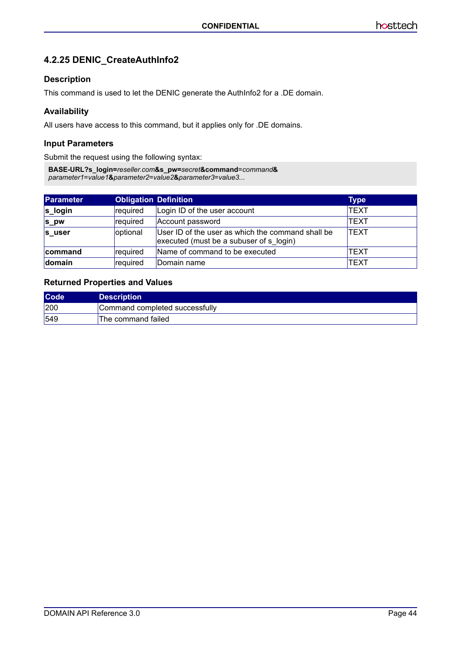# **4.2.25 DENIC\_CreateAuthInfo2**

### **Description**

This command is used to let the DENIC generate the AuthInfo2 for a .DE domain.

### **Availability**

All users have access to this command, but it applies only for .DE domains.

#### **Input Parameters**

Submit the request using the following syntax:

**BASE-URL?s\_login=***reseller.com***&s\_pw=***secret***&command**=*command***&** *parameter1*=*value1***&***parameter2*=*value2***&***parameter3*=*value3...*

| <b>Parameter</b> | <b>Obligation Definition</b> |                                                                                              | <b>Type</b> |
|------------------|------------------------------|----------------------------------------------------------------------------------------------|-------------|
| s_login          | required                     | Login ID of the user account                                                                 | <b>TEXT</b> |
| $ s_p$           | required                     | Account password                                                                             | <b>TEXT</b> |
| s_user           | optional                     | User ID of the user as which the command shall be<br>executed (must be a subuser of s login) | <b>TEXT</b> |
| command          | required                     | Name of command to be executed                                                               | TEXT        |
| domain           | required                     | Domain name                                                                                  | TEXT        |

| <b>Code</b> | <b>Description</b>             |
|-------------|--------------------------------|
| 200         | Command completed successfully |
| 549         | 'The command failed            |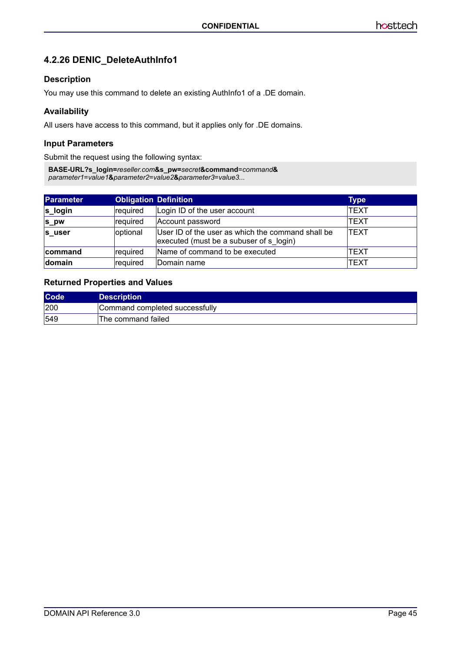# **4.2.26 DENIC\_DeleteAuthInfo1**

### **Description**

You may use this command to delete an existing AuthInfo1 of a .DE domain.

### **Availability**

All users have access to this command, but it applies only for .DE domains.

#### **Input Parameters**

Submit the request using the following syntax:

**BASE-URL?s\_login=***reseller.com***&s\_pw=***secret***&command**=*command***&** *parameter1*=*value1***&***parameter2*=*value2***&***parameter3*=*value3...*

| <b>Parameter</b> | <b>Obligation Definition</b> |                                                                                              | <b>Type</b> |
|------------------|------------------------------|----------------------------------------------------------------------------------------------|-------------|
| s_login          | required                     | Login ID of the user account                                                                 | <b>TEXT</b> |
| $ s_p$           | required                     | Account password                                                                             | <b>TEXT</b> |
| s_user           | optional                     | User ID of the user as which the command shall be<br>executed (must be a subuser of s login) | <b>TEXT</b> |
| command          | required                     | Name of command to be executed                                                               | TEXT        |
| domain           | required                     | Domain name                                                                                  | TEXT        |

| <b>Code</b> | <b>Description</b>             |
|-------------|--------------------------------|
| 200         | Command completed successfully |
| 549         | 'The command failed            |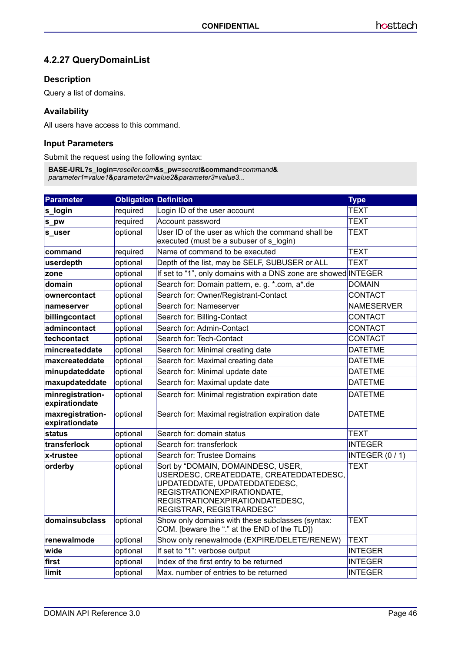## **4.2.27 QueryDomainList**

## **Description**

Query a list of domains.

## **Availability**

All users have access to this command.

#### **Input Parameters**

Submit the request using the following syntax:

**BASE-URL?s\_login=***reseller.com***&s\_pw=***secret***&command**=*command***&** *parameter1*=*value1***&***parameter2*=*value2***&***parameter3*=*value3...*

| <b>Parameter</b>                   | <b>Obligation Definition</b> |                                                                                                                                                                                                               | <b>Type</b>     |
|------------------------------------|------------------------------|---------------------------------------------------------------------------------------------------------------------------------------------------------------------------------------------------------------|-----------------|
| s_login                            | required                     | Login ID of the user account                                                                                                                                                                                  | <b>TEXT</b>     |
| s_pw                               | required                     | Account password                                                                                                                                                                                              | <b>TEXT</b>     |
| s_user                             | optional                     | User ID of the user as which the command shall be<br>executed (must be a subuser of s_login)                                                                                                                  | <b>TEXT</b>     |
| command                            | required                     | Name of command to be executed                                                                                                                                                                                | <b>TEXT</b>     |
| userdepth                          | optional                     | Depth of the list, may be SELF, SUBUSER or ALL                                                                                                                                                                | <b>TEXT</b>     |
| zone                               | optional                     | If set to "1", only domains with a DNS zone are showed INTEGER                                                                                                                                                |                 |
| domain                             | optional                     | Search for: Domain pattern, e. g. *.com, a*.de                                                                                                                                                                | <b>DOMAIN</b>   |
| ownercontact                       | optional                     | Search for: Owner/Registrant-Contact                                                                                                                                                                          | <b>CONTACT</b>  |
| nameserver                         | optional                     | Search for: Nameserver                                                                                                                                                                                        | NAMESERVER      |
| billingcontact                     | optional                     | Search for: Billing-Contact                                                                                                                                                                                   | CONTACT         |
| admincontact                       | optional                     | Search for: Admin-Contact                                                                                                                                                                                     | <b>CONTACT</b>  |
| techcontact                        | optional                     | Search for: Tech-Contact                                                                                                                                                                                      | <b>CONTACT</b>  |
| mincreateddate                     | optional                     | Search for: Minimal creating date                                                                                                                                                                             | <b>DATETME</b>  |
| maxcreateddate                     | optional                     | Search for: Maximal creating date                                                                                                                                                                             | <b>DATETME</b>  |
| minupdateddate                     | optional                     | Search for: Minimal update date                                                                                                                                                                               | <b>DATETME</b>  |
| maxupdateddate                     | optional                     | Search for: Maximal update date                                                                                                                                                                               | <b>DATETME</b>  |
| minregistration-<br>expirationdate | optional                     | Search for: Minimal registration expiration date                                                                                                                                                              | <b>DATETME</b>  |
| maxregistration-<br>expirationdate | optional                     | Search for: Maximal registration expiration date                                                                                                                                                              | <b>DATETME</b>  |
| status                             | optional                     | Search for: domain status                                                                                                                                                                                     | <b>TEXT</b>     |
| transferlock                       | optional                     | Search for: transferlock                                                                                                                                                                                      | <b>INTEGER</b>  |
| x-trustee                          | optional                     | Search for: Trustee Domains                                                                                                                                                                                   | INTEGER $(0/1)$ |
| orderby                            | optional                     | Sort by "DOMAIN, DOMAINDESC, USER,<br>USERDESC, CREATEDDATE, CREATEDDATEDESC,<br>UPDATEDDATE, UPDATEDDATEDESC,<br>REGISTRATIONEXPIRATIONDATE,<br>REGISTRATIONEXPIRATIONDATEDESC,<br>REGISTRAR, REGISTRARDESC" | <b>TEXT</b>     |
| domainsubclass                     | optional                     | Show only domains with these subclasses (syntax:<br>COM. [beware the "." at the END of the TLD])                                                                                                              | <b>TEXT</b>     |
| renewalmode                        | optional                     | Show only renewalmode (EXPIRE/DELETE/RENEW)                                                                                                                                                                   | <b>TEXT</b>     |
| wide                               | optional                     | If set to "1": verbose output                                                                                                                                                                                 | <b>INTEGER</b>  |
| first                              | optional                     | Index of the first entry to be returned                                                                                                                                                                       | <b>INTEGER</b>  |
| limit                              | optional                     | Max. number of entries to be returned                                                                                                                                                                         | <b>INTEGER</b>  |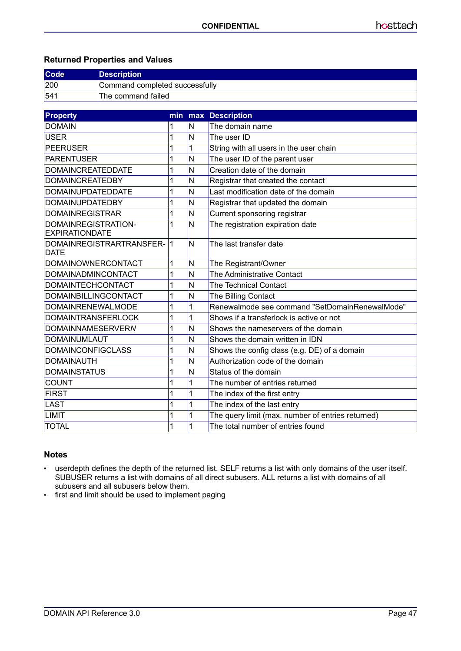## **Returned Properties and Values**

| <b>Code</b> | <b>Description</b>             |
|-------------|--------------------------------|
| 200         | Command completed successfully |
| 541         | 'The command failed            |

| <b>Property</b>                              |   |   | min max Description                               |
|----------------------------------------------|---|---|---------------------------------------------------|
| <b>DOMAIN</b>                                | 1 | N | The domain name                                   |
| <b>USER</b>                                  | 1 | N | The user ID                                       |
| <b>PEERUSER</b>                              | 1 | 1 | String with all users in the user chain           |
| <b>PARENTUSER</b>                            | 1 | N | The user ID of the parent user                    |
| <b>DOMAINCREATEDDATE</b>                     | 1 | N | Creation date of the domain                       |
| <b>DOMAINCREATEDBY</b>                       | 1 | N | Registrar that created the contact                |
| <b>DOMAINUPDATEDDATE</b>                     | 1 | N | Last modification date of the domain              |
| <b>DOMAINUPDATEDBY</b>                       | 1 | N | Registrar that updated the domain                 |
| <b>DOMAINREGISTRAR</b>                       | 1 | N | Current sponsoring registrar                      |
| DOMAINREGISTRATION-<br><b>EXPIRATIONDATE</b> | 1 | N | The registration expiration date                  |
| DOMAINREGISTRARTRANSFER-1<br><b>DATE</b>     |   | N | The last transfer date                            |
| <b>DOMAINOWNERCONTACT</b>                    | 1 | N | The Registrant/Owner                              |
| DOMAINADMINCONTACT                           | 1 | N | The Administrative Contact                        |
| <b>DOMAINTECHCONTACT</b>                     | 1 | N | The Technical Contact                             |
| DOMAINBILLINGCONTACT                         | 1 | N | The Billing Contact                               |
| <b>DOMAINRENEWALMODE</b>                     | 1 | 1 | Renewalmode see command "SetDomainRenewalMode"    |
| <b>DOMAINTRANSFERLOCK</b>                    | 1 | 1 | Shows if a transferlock is active or not          |
| <b>DOMAINNAMESERVERN</b>                     | 1 | N | Shows the nameservers of the domain               |
| <b>DOMAINUMLAUT</b>                          | 1 | N | Shows the domain written in IDN                   |
| <b>DOMAINCONFIGCLASS</b>                     | 1 | N | Shows the config class (e.g. DE) of a domain      |
| <b>DOMAINAUTH</b>                            | 1 | N | Authorization code of the domain                  |
| <b>DOMAINSTATUS</b>                          | 1 | N | Status of the domain                              |
| <b>COUNT</b>                                 | 1 | 1 | The number of entries returned                    |
| <b>FIRST</b>                                 | 1 | 1 | The index of the first entry                      |
| <b>LAST</b>                                  |   | 1 | The index of the last entry                       |
| <b>LIMIT</b>                                 | 1 | 1 | The query limit (max. number of entries returned) |
| <b>TOTAL</b>                                 | 1 | 1 | The total number of entries found                 |

### **Notes**

- userdepth defines the depth of the returned list. SELF returns a list with only domains of the user itself. SUBUSER returns a list with domains of all direct subusers. ALL returns a list with domains of all subusers and all subusers below them.
- first and limit should be used to implement paging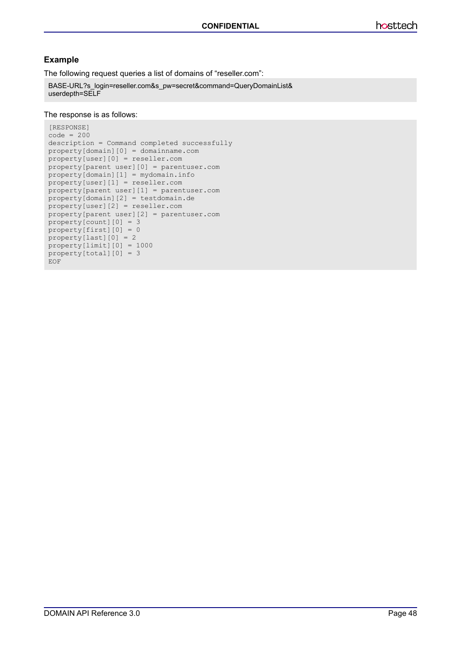## **Example**

The following request queries a list of domains of "reseller.com":

```
BASE-URL?s_login=reseller.com&s_pw=secret&command=QueryDomainList&
userdepth=SELF
```
#### The response is as follows:

```
[RESPONSE]
code = 200description = Command completed successfully
property[domain][0] = domainname.com
property[user][0] = reseller.com
property[parent user][0] = parentuser.com
property[domain][1] = mydomain.info
property[user][1] = reseller.com
property[parent user][1] = parentuser.com
property[domain][2] = testdomain.de
property[user][2] = reseller.com
property[parent user][2] = parentuser.com
property[count][0] = 3
property[first][0] = 0
property[last][0] = 2property[limit][0] = 1000
property[total][0] = 3
EOF
```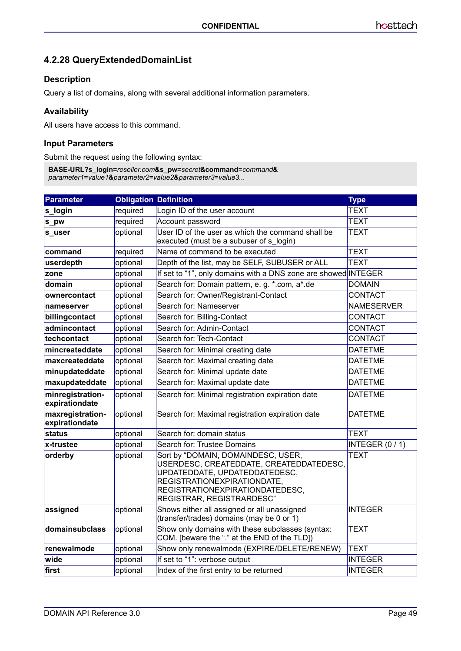## **4.2.28 QueryExtendedDomainList**

## **Description**

Query a list of domains, along with several additional information parameters.

#### **Availability**

All users have access to this command.

#### **Input Parameters**

Submit the request using the following syntax:

**BASE-URL?s\_login=***reseller.com***&s\_pw=***secret***&command**=*command***&** *parameter1*=*value1***&***parameter2*=*value2***&***parameter3*=*value3...*

| <b>Parameter</b>                   | <b>Obligation Definition</b> |                                                                                                                                                                                                               | <b>Type</b>       |
|------------------------------------|------------------------------|---------------------------------------------------------------------------------------------------------------------------------------------------------------------------------------------------------------|-------------------|
| s_login                            | required                     | Login ID of the user account                                                                                                                                                                                  | <b>TEXT</b>       |
| s_pw                               | required                     | Account password                                                                                                                                                                                              | <b>TEXT</b>       |
| s_user                             | optional                     | User ID of the user as which the command shall be<br>executed (must be a subuser of s_login)                                                                                                                  | <b>TEXT</b>       |
| command                            | required                     | Name of command to be executed                                                                                                                                                                                | <b>TEXT</b>       |
| userdepth                          | optional                     | Depth of the list, may be SELF, SUBUSER or ALL                                                                                                                                                                | <b>TEXT</b>       |
| zone                               | optional                     | If set to "1", only domains with a DNS zone are showed INTEGER                                                                                                                                                |                   |
| domain                             | optional                     | Search for: Domain pattern, e. g. *.com, a*.de                                                                                                                                                                | <b>DOMAIN</b>     |
| ownercontact                       | optional                     | Search for: Owner/Registrant-Contact                                                                                                                                                                          | <b>CONTACT</b>    |
| nameserver                         | optional                     | Search for: Nameserver                                                                                                                                                                                        | <b>NAMESERVER</b> |
| billingcontact                     | optional                     | Search for: Billing-Contact                                                                                                                                                                                   | <b>CONTACT</b>    |
| admincontact                       | optional                     | Search for: Admin-Contact                                                                                                                                                                                     | <b>CONTACT</b>    |
| techcontact                        | optional                     | Search for: Tech-Contact                                                                                                                                                                                      | <b>CONTACT</b>    |
| mincreateddate                     | optional                     | Search for: Minimal creating date                                                                                                                                                                             | <b>DATETME</b>    |
| maxcreateddate                     | optional                     | Search for: Maximal creating date                                                                                                                                                                             | <b>DATETME</b>    |
| minupdateddate                     | optional                     | Search for: Minimal update date                                                                                                                                                                               | <b>DATETME</b>    |
| maxupdateddate                     | optional                     | Search for: Maximal update date                                                                                                                                                                               | <b>DATETME</b>    |
| minregistration-<br>expirationdate | optional                     | Search for: Minimal registration expiration date                                                                                                                                                              | <b>DATETME</b>    |
| maxregistration-<br>expirationdate | optional                     | Search for: Maximal registration expiration date                                                                                                                                                              | <b>DATETME</b>    |
| <b>status</b>                      | optional                     | Search for: domain status                                                                                                                                                                                     | <b>TEXT</b>       |
| x-trustee                          | optional                     | Search for: Trustee Domains                                                                                                                                                                                   | INTEGER (0 / 1)   |
| orderby                            | optional                     | Sort by "DOMAIN, DOMAINDESC, USER,<br>USERDESC, CREATEDDATE, CREATEDDATEDESC,<br>UPDATEDDATE, UPDATEDDATEDESC,<br>REGISTRATIONEXPIRATIONDATE,<br>REGISTRATIONEXPIRATIONDATEDESC,<br>REGISTRAR, REGISTRARDESC" | <b>TEXT</b>       |
| assigned                           | optional                     | Shows either all assigned or all unassigned<br>(transfer/trades) domains (may be 0 or 1)                                                                                                                      | <b>INTEGER</b>    |
| domainsubclass                     | optional                     | Show only domains with these subclasses (syntax:<br>COM. [beware the "." at the END of the TLD])                                                                                                              | <b>TEXT</b>       |
| renewalmode                        | optional                     | Show only renewalmode (EXPIRE/DELETE/RENEW)                                                                                                                                                                   | <b>TEXT</b>       |
| wide                               | optional                     | If set to "1": verbose output                                                                                                                                                                                 | <b>INTEGER</b>    |
| first                              | optional                     | Index of the first entry to be returned                                                                                                                                                                       | <b>INTEGER</b>    |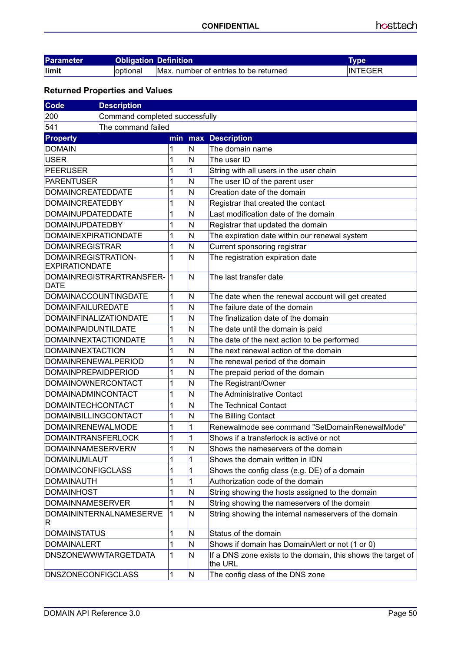| Parameter | <b>Obligation Definition</b> |                                       | Type           |
|-----------|------------------------------|---------------------------------------|----------------|
| limit     | optional                     | Max. number of entries to be returned | <b>INTEGER</b> |

| Code                                               | <b>Description</b>             |                |   |                                                                         |  |
|----------------------------------------------------|--------------------------------|----------------|---|-------------------------------------------------------------------------|--|
| 200                                                | Command completed successfully |                |   |                                                                         |  |
| 541                                                | The command failed             |                |   |                                                                         |  |
| <b>Property</b>                                    |                                |                |   | min max Description                                                     |  |
| <b>DOMAIN</b>                                      |                                | 1              | N | The domain name                                                         |  |
| <b>USER</b>                                        |                                | 1              | N | The user ID                                                             |  |
| <b>PEERUSER</b>                                    |                                | 1              | 1 | String with all users in the user chain                                 |  |
| <b>PARENTUSER</b>                                  |                                | 1              | N | The user ID of the parent user                                          |  |
| <b>DOMAINCREATEDDATE</b>                           |                                | 1              | N | Creation date of the domain                                             |  |
| <b>DOMAINCREATEDBY</b>                             |                                | 1              | N | Registrar that created the contact                                      |  |
| <b>DOMAINUPDATEDDATE</b>                           |                                | 1              | N | Last modification date of the domain                                    |  |
| <b>DOMAINUPDATEDBY</b>                             |                                | 1              | N | Registrar that updated the domain                                       |  |
| <b>DOMAINEXPIRATIONDATE</b>                        |                                | 1              | N | The expiration date within our renewal system                           |  |
| <b>DOMAINREGISTRAR</b>                             |                                | 1              | N | Current sponsoring registrar                                            |  |
| DOMAINREGISTRATION-<br><b>EXPIRATIONDATE</b>       |                                | 1              | N | The registration expiration date                                        |  |
| <b>DATE</b>                                        | DOMAINREGISTRARTRANSFER-       | 1              | N | The last transfer date                                                  |  |
| <b>DOMAINACCOUNTINGDATE</b>                        |                                | 1              | N | The date when the renewal account will get created                      |  |
| <b>DOMAINFAILUREDATE</b>                           |                                | 1              | N | The failure date of the domain                                          |  |
| <b>DOMAINFINALIZATIONDATE</b>                      |                                | 1              | N | The finalization date of the domain                                     |  |
| <b>DOMAINPAIDUNTILDATE</b>                         |                                | 1              | N | The date until the domain is paid                                       |  |
| <b>DOMAINNEXTACTIONDATE</b>                        |                                | 1              | N | The date of the next action to be performed                             |  |
| <b>DOMAINNEXTACTION</b>                            |                                | 1              | N | The next renewal action of the domain                                   |  |
| <b>DOMAINRENEWALPERIOD</b>                         |                                | 1              | N | The renewal period of the domain                                        |  |
| <b>DOMAINPREPAIDPERIOD</b>                         |                                | 1              | N | The prepaid period of the domain                                        |  |
| DOMAINOWNERCONTACT                                 |                                | 1              | N | The Registrant/Owner                                                    |  |
| DOMAINADMINCONTACT                                 |                                | 1              | N | The Administrative Contact                                              |  |
| DOMAINTECHCONTACT                                  |                                | 1              | N | <b>The Technical Contact</b>                                            |  |
| DOMAINBILLINGCONTACT                               |                                | 1              | N | The Billing Contact                                                     |  |
| DOMAINRENEWALMODE                                  |                                | 1              | 1 | Renewalmode see command "SetDomainRenewalMode"                          |  |
| <b>DOMAINTRANSFERLOCK</b>                          |                                | 1              | 1 | Shows if a transferlock is active or not                                |  |
| <b>DOMAINNAMESERVERN</b>                           |                                | $\overline{1}$ | N | Shows the nameservers of the domain                                     |  |
| <b>DOMAINUMLAUT</b>                                |                                |                | 1 | Shows the domain written in IDN                                         |  |
| <b>DOMAINCONFIGCLASS</b>                           |                                |                | 1 | Shows the config class (e.g. DE) of a domain                            |  |
| <b>DOMAINAUTH</b>                                  |                                | 1              | 1 | Authorization code of the domain                                        |  |
| <b>DOMAINHOST</b>                                  |                                | 1              | N | String showing the hosts assigned to the domain                         |  |
| <b>DOMAINNAMESERVER</b>                            |                                | 1              | N | String showing the nameservers of the domain                            |  |
| DOMAININTERNALNAMESERVE<br>$\overline{\mathsf{R}}$ |                                | 1              | N | String showing the internal nameservers of the domain                   |  |
| <b>DOMAINSTATUS</b>                                |                                | 1              | N | Status of the domain                                                    |  |
| <b>DOMAINALERT</b>                                 |                                | 1              | N | Shows if domain has DomainAlert or not (1 or 0)                         |  |
|                                                    | <b>DNSZONEWWWTARGETDATA</b>    | 1              | N | If a DNS zone exists to the domain, this shows the target of<br>the URL |  |
| <b>DNSZONECONFIGCLASS</b>                          |                                | 1              | N | The config class of the DNS zone                                        |  |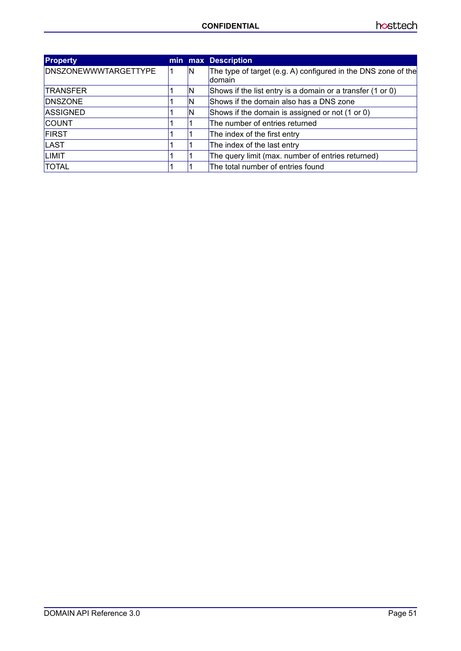| <b>Property</b>             |     | min max Description                                                     |
|-----------------------------|-----|-------------------------------------------------------------------------|
| <b>DNSZONEWWWTARGETTYPE</b> | IN. | The type of target (e.g. A) configured in the DNS zone of the<br>domain |
| <b>ITRANSFER</b>            | ΙN  | Shows if the list entry is a domain or a transfer (1 or 0)              |
| <b>DNSZONE</b>              | ΙN  | Shows if the domain also has a DNS zone                                 |
| <b>ASSIGNED</b>             | N   | Shows if the domain is assigned or not (1 or 0)                         |
| <b>COUNT</b>                |     | The number of entries returned                                          |
| <b>FIRST</b>                |     | The index of the first entry                                            |
| LAST                        |     | The index of the last entry                                             |
| LIMIT                       |     | The query limit (max. number of entries returned)                       |
| <b>TOTAL</b>                |     | The total number of entries found                                       |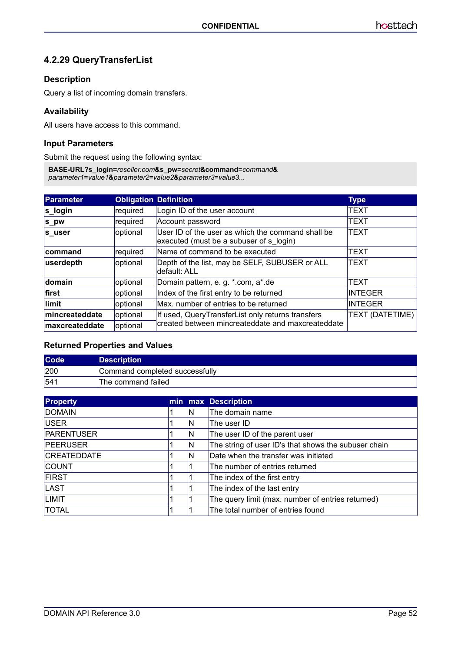## **4.2.29 QueryTransferList**

### **Description**

Query a list of incoming domain transfers.

## **Availability**

All users have access to this command.

#### **Input Parameters**

Submit the request using the following syntax:

**BASE-URL?s\_login=***reseller.com***&s\_pw=***secret***&command**=*command***&** *parameter1*=*value1***&***parameter2*=*value2***&***parameter3*=*value3...*

| <b>Parameter</b> | <b>Obligation Definition</b> |                                                                                              | <b>Type</b>     |
|------------------|------------------------------|----------------------------------------------------------------------------------------------|-----------------|
| s_login          | required                     | Login ID of the user account                                                                 | <b>TEXT</b>     |
| s_pw             | required                     | Account password                                                                             | <b>TEXT</b>     |
| s_user           | optional                     | User ID of the user as which the command shall be<br>executed (must be a subuser of s login) | <b>TEXT</b>     |
| command          | required                     | Name of command to be executed                                                               | <b>TEXT</b>     |
| userdepth        | optional                     | Depth of the list, may be SELF, SUBUSER or ALL<br>default: ALL                               | <b>TEXT</b>     |
| domain           | optional                     | Domain pattern, e. g. *.com, a*.de                                                           | <b>TEXT</b>     |
| first            | optional                     | Index of the first entry to be returned                                                      | <b>INTEGER</b>  |
| limit            | optional                     | Max. number of entries to be returned                                                        | <b>INTEGER</b>  |
| mincreateddate   | optional                     | If used, QueryTransferList only returns transfers                                            | TEXT (DATETIME) |
| maxcreateddate   | optional                     | created between mincreateddate and maxcreateddate                                            |                 |

| <b>Code</b> | <b>Description</b>             |
|-------------|--------------------------------|
| 200         | Command completed successfully |
| 541         | The command failed             |

| <b>Property</b>    |    | min max Description                                  |
|--------------------|----|------------------------------------------------------|
| <b>DOMAIN</b>      | ΙN | The domain name                                      |
| <b>USER</b>        | ΙN | The user ID                                          |
| <b>PARENTUSER</b>  | IN | The user ID of the parent user                       |
| PEERUSER           | ΙN | The string of user ID's that shows the subuser chain |
| <b>CREATEDDATE</b> | ΙN | Date when the transfer was initiated                 |
| <b>COUNT</b>       |    | The number of entries returned                       |
| FIRST              |    | The index of the first entry                         |
| <b>LAST</b>        |    | The index of the last entry                          |
| <b>LIMIT</b>       |    | The query limit (max. number of entries returned)    |
| <b>TOTAL</b>       |    | The total number of entries found                    |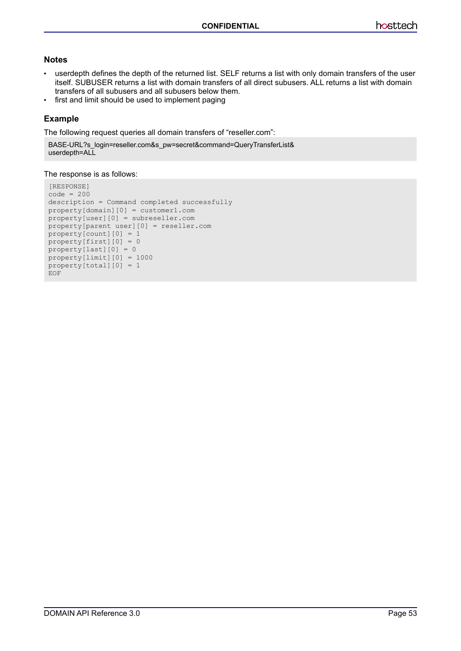### **Notes**

- userdepth defines the depth of the returned list. SELF returns a list with only domain transfers of the user itself. SUBUSER returns a list with domain transfers of all direct subusers. ALL returns a list with domain transfers of all subusers and all subusers below them.
- first and limit should be used to implement paging

## **Example**

The following request queries all domain transfers of "reseller.com":

```
BASE-URL?s_login=reseller.com&s_pw=secret&command=QueryTransferList&
userdepth=ALL
```
The response is as follows:

```
[RESPONSE]
code = 200description = Command completed successfully
property[domain][0] = customer1.com
property[user][0] = subreseller.com
property[parent user][0] = reseller.com
propercy[count][0] = 1property[first][0] = 0
property[last][0] = 0
property[limit][0] = 1000
property[total][0] = 1EOF
```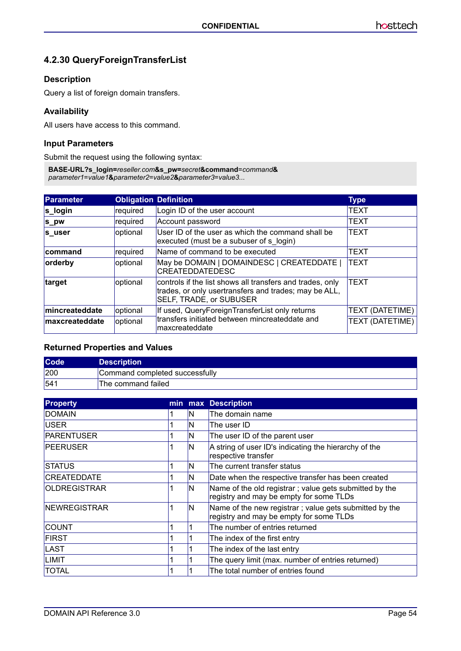## **4.2.30 QueryForeignTransferList**

## **Description**

Query a list of foreign domain transfers.

#### **Availability**

All users have access to this command.

#### **Input Parameters**

Submit the request using the following syntax:

**BASE-URL?s\_login=***reseller.com***&s\_pw=***secret***&command**=*command***&** *parameter1*=*value1***&***parameter2*=*value2***&***parameter3*=*value3...*

| <b>Parameter</b>       | <b>Obligation Definition</b> |                                                                                                                                               | <b>Type</b>     |
|------------------------|------------------------------|-----------------------------------------------------------------------------------------------------------------------------------------------|-----------------|
| s_login                | required                     | Login ID of the user account                                                                                                                  | <b>TEXT</b>     |
| $ s_p$                 | required                     | Account password                                                                                                                              | TEXT            |
| s user                 | optional                     | User ID of the user as which the command shall be<br>executed (must be a subuser of s login)                                                  | <b>TEXT</b>     |
| command                | required                     | Name of command to be executed                                                                                                                | TEXT            |
| orderby                | optional                     | May be DOMAIN   DOMAINDESC   CREATEDDATE  <br><b>CREATEDDATEDESC</b>                                                                          | <b>TEXT</b>     |
| target                 | optional                     | controls if the list shows all transfers and trades, only<br>trades, or only usertransfers and trades; may be ALL,<br>SELF, TRADE, or SUBUSER | <b>ITEXT</b>    |
| mincreateddate         | optional                     | If used, QueryForeignTransferList only returns                                                                                                | TEXT (DATETIME) |
| <b>Imaxcreateddate</b> | optional                     | transfers initiated between mincreateddate and<br>Imaxcreateddate                                                                             | TEXT (DATETIME) |

| <b>Code</b> | <b>Description</b>             |
|-------------|--------------------------------|
| 200         | Command completed successfully |
| 541         | The command failed             |

| <b>Property</b>     |     | min max Description                                                                               |
|---------------------|-----|---------------------------------------------------------------------------------------------------|
| DOMAIN              | N   | The domain name                                                                                   |
| USER                | N   | The user ID                                                                                       |
| <b>PARENTUSER</b>   | N   | The user ID of the parent user                                                                    |
| <b>PEERUSER</b>     | ΙN  | A string of user ID's indicating the hierarchy of the<br>respective transfer                      |
| <b>STATUS</b>       | N   | The current transfer status                                                                       |
| <b>CREATEDDATE</b>  | N   | Date when the respective transfer has been created                                                |
| <b>OLDREGISTRAR</b> | ΙN  | Name of the old registrar; value gets submitted by the<br>registry and may be empty for some TLDs |
| <b>NEWREGISTRAR</b> | IN. | Name of the new registrar; value gets submitted by the<br>registry and may be empty for some TLDs |
| <b>COUNT</b>        |     | The number of entries returned                                                                    |
| <b>FIRST</b>        |     | The index of the first entry                                                                      |
| LAST                |     | The index of the last entry                                                                       |
| LIMIT               |     | The query limit (max. number of entries returned)                                                 |
| <b>TOTAL</b>        |     | The total number of entries found                                                                 |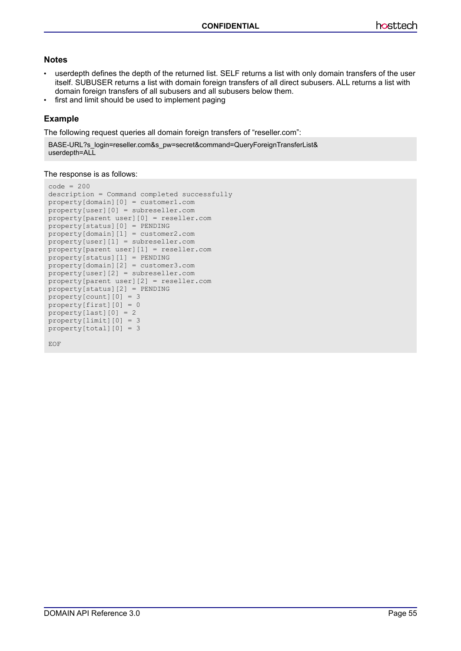### **Notes**

- userdepth defines the depth of the returned list. SELF returns a list with only domain transfers of the user itself. SUBUSER returns a list with domain foreign transfers of all direct subusers. ALL returns a list with domain foreign transfers of all subusers and all subusers below them.
- first and limit should be used to implement paging

## **Example**

The following request queries all domain foreign transfers of "reseller.com":

BASE-URL?s\_login=reseller.com&s\_pw=secret&command=QueryForeignTransferList& userdepth=ALL

The response is as follows:

```
code = 200description = Command completed successfully
property[domain][0] = customer1.com
property[user][0] = subreseller.com
property[parent user][0] = reseller.com
property[status][0] = PENDINGproperty[domain][1] = customer2.com
property[user][1] = subreseller.com
property[parent user][1] = reseller.com
property[status][1] = PENDING
property[domain][2] = customer3.com
property[user][2] = subreseller.com
property[parent user][2] = reseller.com
property[status][2] = PENDING
property[count][0] = 3
property[first][0] = 0
property[last][0] = 2
property[limit][0] = 3
property[total][0] = 3
```
EOF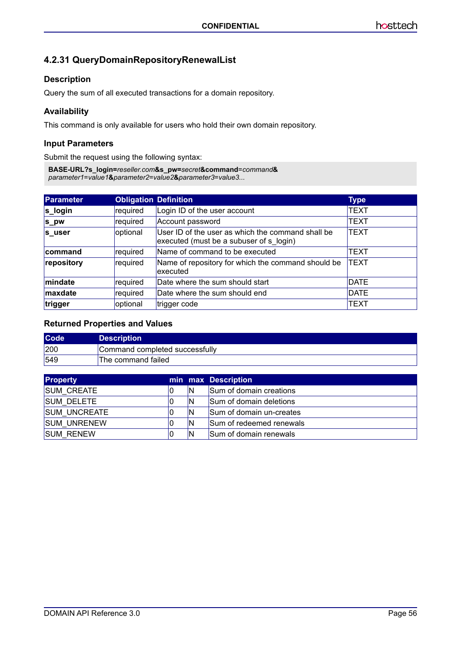# **4.2.31 QueryDomainRepositoryRenewalList**

## **Description**

Query the sum of all executed transactions for a domain repository.

## **Availability**

This command is only available for users who hold their own domain repository.

#### **Input Parameters**

Submit the request using the following syntax:

**BASE-URL?s\_login=***reseller.com***&s\_pw=***secret***&command**=*command***&** *parameter1*=*value1***&***parameter2*=*value2***&***parameter3*=*value3...*

| Parameter  | <b>Obligation Definition</b> |                                                                                              | <b>Type</b> |
|------------|------------------------------|----------------------------------------------------------------------------------------------|-------------|
| s_login    | required                     | Login ID of the user account                                                                 | <b>TEXT</b> |
| $ s_p$     | required                     | Account password                                                                             | <b>TEXT</b> |
| s user     | optional                     | User ID of the user as which the command shall be<br>executed (must be a subuser of s login) | <b>TEXT</b> |
| command    | required                     | Name of command to be executed                                                               | <b>TEXT</b> |
| repository | required                     | Name of repository for which the command should be<br>executed                               | <b>TEXT</b> |
| mindate    | required                     | Date where the sum should start                                                              | <b>DATE</b> |
| maxdate    | required                     | Date where the sum should end                                                                | <b>DATE</b> |
| trigger    | optional                     | trigger code                                                                                 | <b>TEXT</b> |

| <b>Code</b> | <b>Description</b>             |
|-------------|--------------------------------|
| 200         | Command completed successfully |
| 549         | The command failed             |

| <b>Property</b>     |    | min max Description      |
|---------------------|----|--------------------------|
| <b>SUM CREATE</b>   | ΙN | Sum of domain creations  |
| <b>SUM DELETE</b>   | ΙN | Sum of domain deletions  |
| <b>SUM UNCREATE</b> | ΙN | Sum of domain un-creates |
| <b>SUM UNRENEW</b>  | ΙN | Sum of redeemed renewals |
| <b>SUM RENEW</b>    |    | Sum of domain renewals   |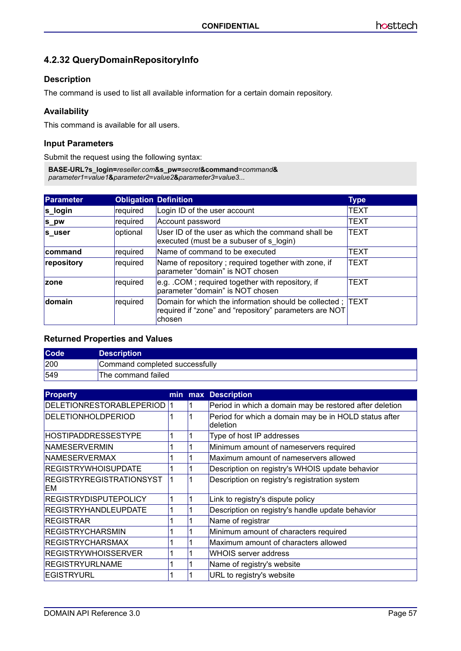## **4.2.32 QueryDomainRepositoryInfo**

## **Description**

The command is used to list all available information for a certain domain repository.

#### **Availability**

This command is available for all users.

#### **Input Parameters**

Submit the request using the following syntax:

**BASE-URL?s\_login=***reseller.com***&s\_pw=***secret***&command**=*command***&** *parameter1*=*value1***&***parameter2*=*value2***&***parameter3*=*value3...*

| Parameter   | <b>Obligation Definition</b> |                                                                                                                                | <b>Type</b> |
|-------------|------------------------------|--------------------------------------------------------------------------------------------------------------------------------|-------------|
| s_login     | required                     | Login ID of the user account                                                                                                   | <b>TEXT</b> |
| s pw        | required                     | Account password                                                                                                               | <b>TEXT</b> |
| s user      | optional                     | User ID of the user as which the command shall be<br>executed (must be a subuser of s login)                                   | <b>TEXT</b> |
| ∣command    | required                     | Name of command to be executed                                                                                                 | <b>TEXT</b> |
| repository  | required                     | Name of repository; required together with zone, if<br>parameter "domain" is NOT chosen                                        | <b>TEXT</b> |
| <b>zone</b> | required                     | e.g. .COM; required together with repository, if<br>parameter "domain" is NOT chosen                                           | <b>TEXT</b> |
| domain      | required                     | Domain for which the information should be collected; TEXT<br>required if "zone" and "repository" parameters are NOT<br>chosen |             |

| <b>Code</b> | <b>Description</b>             |
|-------------|--------------------------------|
| 200         | Command completed successfully |
| 549         | 'The command failed            |

| <b>Property</b>                       |  | min max Description                                               |
|---------------------------------------|--|-------------------------------------------------------------------|
| DELETIONRESTORABLEPERIOD 1            |  | Period in which a domain may be restored after deletion           |
| <b>DELETIONHOLDPERIOD</b>             |  | Period for which a domain may be in HOLD status after<br>deletion |
| <b>HOSTIPADDRESSESTYPE</b>            |  | Type of host IP addresses                                         |
| <b>NAMESERVERMIN</b>                  |  | Minimum amount of nameservers required                            |
| <b>NAMESERVERMAX</b>                  |  | Maximum amount of nameservers allowed                             |
| <b>REGISTRYWHOISUPDATE</b>            |  | Description on registry's WHOIS update behavior                   |
| <b>REGISTRYREGISTRATIONSYST</b><br>EM |  | Description on registry's registration system                     |
| <b>REGISTRYDISPUTEPOLICY</b>          |  | Link to registry's dispute policy                                 |
| <b>REGISTRYHANDLEUPDATE</b>           |  | Description on registry's handle update behavior                  |
| <b>REGISTRAR</b>                      |  | Name of registrar                                                 |
| <b>REGISTRYCHARSMIN</b>               |  | Minimum amount of characters required                             |
| <b>REGISTRYCHARSMAX</b>               |  | Maximum amount of characters allowed                              |
| <b>REGISTRYWHOISSERVER</b>            |  | WHOIS server address                                              |
| <b>REGISTRYURLNAME</b>                |  | Name of registry's website                                        |
| <b>EGISTRYURL</b>                     |  | URL to registry's website                                         |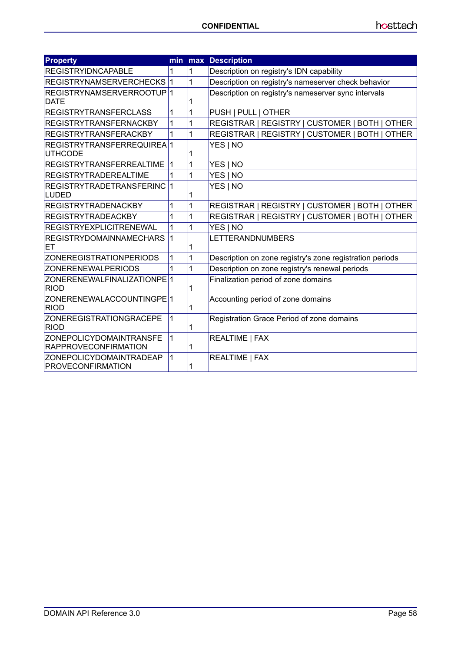| <b>Property</b>                                               |   |                | min max Description                                      |
|---------------------------------------------------------------|---|----------------|----------------------------------------------------------|
| <b>REGISTRYIDNCAPABLE</b>                                     | 1 | 1              | Description on registry's IDN capability                 |
| REGISTRYNAMSERVERCHECKS                                       | 1 | 1              | Description on registry's nameserver check behavior      |
| REGISTRYNAMSERVERROOTUP <sup>1</sup><br><b>DATE</b>           |   | 1              | Description on registry's nameserver sync intervals      |
| <b>REGISTRYTRANSFERCLASS</b>                                  | 1 | 1              | PUSH   PULL   OTHER                                      |
| <b>REGISTRYTRANSFERNACKBY</b>                                 | 1 | $\overline{1}$ | REGISTRAR   REGISTRY   CUSTOMER   BOTH   OTHER           |
| <b>REGISTRYTRANSFERACKBY</b>                                  | 1 | 1              | REGISTRAR   REGISTRY   CUSTOMER   BOTH   OTHER           |
| REGISTRYTRANSFERREQUIREA <sup>1</sup><br><b>UTHCODE</b>       |   | 1              | YES   NO                                                 |
| <b>REGISTRYTRANSFERREALTIME</b>                               | 1 | 1              | YES   NO                                                 |
| <b>REGISTRYTRADEREALTIME</b>                                  | 1 | 1              | YES   NO                                                 |
| <b>REGISTRYTRADETRANSFERINC</b><br>LUDED                      | 1 | 1              | YES   NO                                                 |
| <b>REGISTRYTRADENACKBY</b>                                    | 1 | 1              | REGISTRAR   REGISTRY   CUSTOMER   BOTH   OTHER           |
| <b>REGISTRYTRADEACKBY</b>                                     | 1 | 1              | REGISTRAR   REGISTRY   CUSTOMER   BOTH   OTHER           |
| <b>REGISTRYEXPLICITRENEWAL</b>                                | 1 | 1              | YES   NO                                                 |
| REGISTRYDOMAINNAMECHARS 1<br>ET                               |   | 1              | <b>LETTERANDNUMBERS</b>                                  |
| <b>ZONEREGISTRATIONPERIODS</b>                                | 1 | 1              | Description on zone registry's zone registration periods |
| <b>ZONERENEWALPERIODS</b>                                     | 1 | 1              | Description on zone registry's renewal periods           |
| ZONERENEWALFINALIZATIONPE <sup>1</sup><br><b>RIOD</b>         |   | 1              | Finalization period of zone domains                      |
| ZONERENEWALACCOUNTINGPE <sup>1</sup><br><b>RIOD</b>           |   | 1              | Accounting period of zone domains                        |
| <b>ZONEREGISTRATIONGRACEPE</b><br><b>RIOD</b>                 | 1 | 1              | Registration Grace Period of zone domains                |
| <b>ZONEPOLICYDOMAINTRANSFE</b><br><b>RAPPROVECONFIRMATION</b> | 1 | 1              | REALTIME   FAX                                           |
| ZONEPOLICYDOMAINTRADEAP<br><b>PROVECONFIRMATION</b>           | 1 | 1              | REALTIME   FAX                                           |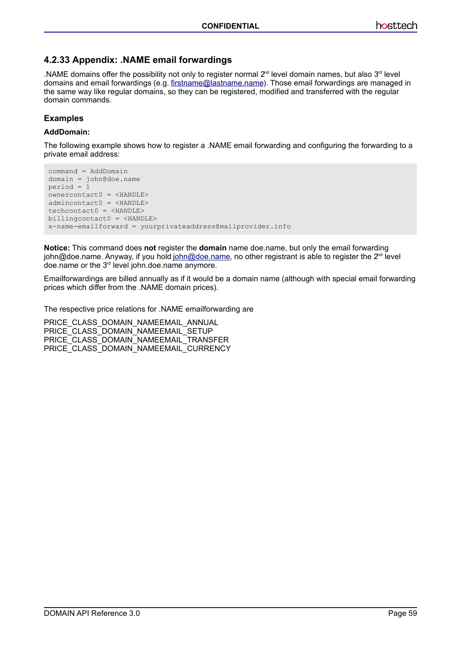## **4.2.33 Appendix: .NAME email forwardings**

.NAME domains offer the possibility not only to register normal  $2<sup>nd</sup>$  level domain names, but also  $3<sup>rd</sup>$  level domains and email forwardings (e.g. firstname@lastname.name). Those email forwardings are managed in the same way like regular domains, so they can be registered, modified and transferred with the regular domain commands.

#### **Examples**

#### **AddDomain:**

The following example shows how to register a .NAME email forwarding and configuring the forwarding to a private email address:

```
command = AddDomain
domain = john@doe.name
period = 1ownercontact0 = <HANDLE>
admincontact0 = <HANDLE>
techcontact0 = <HANDLE>
billingcontact0 = <HANDLE>
x-name-emailforward = yourprivateaddress@mailprovider.info
```
**Notice:** This command does **not** register the **domain** name doe.name, but only the email forwarding john@doe.name. Anyway, if you hold john@doe.name, no other registrant is able to register the 2<sup>nd</sup> level doe.name or the 3rd level john.doe.name anymore.

Emailforwardings are billed annually as if it would be a domain name (although with special email forwarding prices which differ from the .NAME domain prices).

The respective price relations for .NAME emailforwarding are

PRICE CLASS DOMAIN NAMEEMAIL ANNUAL PRICE\_CLASS\_DOMAIN\_NAMEEMAIL\_SETUP PRICE\_CLASS\_DOMAIN\_NAMEEMAIL\_TRANSFER PRICE CLASS DOMAIN NAMEEMAIL CURRENCY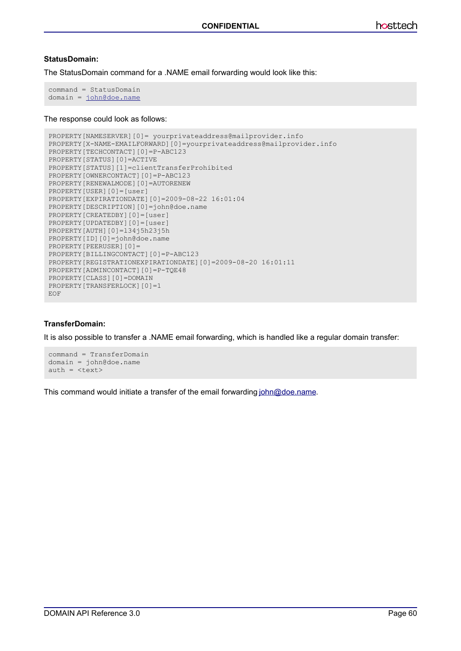#### **StatusDomain:**

The StatusDomain command for a .NAME email forwarding would look like this:

```
command = StatusDomain
domain = john@doe.name
```
The response could look as follows:

```
PROPERTY[NAMESERVER][0]= yourprivateaddress@mailprovider.info
PROPERTY[X-NAME-EMAILFORWARD][0]=yourprivateaddress@mailprovider.info
PROPERTY[TECHCONTACT][0]=P-ABC123
PROPERTY[STATUS][0]=ACTIVE
PROPERTY[STATUS][1]=clientTransferProhibited
PROPERTY[OWNERCONTACT][0]=P-ABC123
PROPERTY[RENEWALMODE][0]=AUTORENEW
PROPERTY[USER][0]=[user]
PROPERTY[EXPIRATIONDATE][0]=2009-08-22 16:01:04
PROPERTY[DESCRIPTION][0]=john@doe.name
PROPERTY[CREATEDBY][0]=[user]
PROPERTY[UPDATEDBY][0]=[user]
PROPERTY[AUTH][0]=l34j5h23j5h
PROPERTY[ID][0]=john@doe.name
PROPERTY[PEERUSER][0]=
PROPERTY[BILLINGCONTACT][0]=P-ABC123
PROPERTY[REGISTRATIONEXPIRATIONDATE][0]=2009-08-20 16:01:11
PROPERTY[ADMINCONTACT][0]=P-TQE48
PROPERTY[CLASS][0]=DOMAIN
PROPERTY[TRANSFERLOCK][0]=1
EOF
```
#### **TransferDomain:**

It is also possible to transfer a .NAME email forwarding, which is handled like a regular domain transfer:

```
command = TransferDomain
domain = john@doe.name
auth = \langle \text{text}\rangle
```
This command would initiate a transfer of the email forwarding john@doe.name.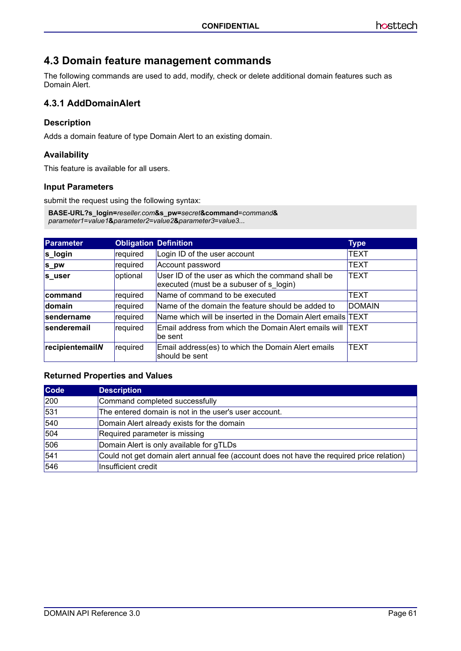# **4.3 Domain feature management commands**

The following commands are used to add, modify, check or delete additional domain features such as Domain Alert.

## **4.3.1 AddDomainAlert**

#### **Description**

Adds a domain feature of type Domain Alert to an existing domain.

#### **Availability**

This feature is available for all users.

#### **Input Parameters**

submit the request using the following syntax:

**BASE-URL?s\_login=***reseller.com***&s\_pw=***secret***&command**=*command***&** *parameter1*=*value1***&***parameter2*=*value2***&***parameter3*=*value3...*

| <b>Parameter</b> | <b>Obligation Definition</b> |                                                                                              | <b>Type</b>   |
|------------------|------------------------------|----------------------------------------------------------------------------------------------|---------------|
| $s$ _login       | required                     | Login ID of the user account                                                                 | <b>TEXT</b>   |
| $ s_p$           | required                     | Account password                                                                             | <b>TEXT</b>   |
| s user           | optional                     | User ID of the user as which the command shall be<br>executed (must be a subuser of s login) | <b>TEXT</b>   |
| command          | required                     | Name of command to be executed                                                               | <b>TEXT</b>   |
| <b>domain</b>    | required                     | Name of the domain the feature should be added to                                            | <b>DOMAIN</b> |
| sendername       | required                     | Name which will be inserted in the Domain Alert emails TEXT                                  |               |
| senderemail      | required                     | Email address from which the Domain Alert emails will<br>be sent                             | <b>ITEXT</b>  |
| recipientemailN  | required                     | Email address(es) to which the Domain Alert emails<br>should be sent                         | <b>TEXT</b>   |

| <b>Code</b> | <b>Description</b>                                                                        |
|-------------|-------------------------------------------------------------------------------------------|
| 200         | Command completed successfully                                                            |
| 531         | The entered domain is not in the user's user account.                                     |
| 540         | Domain Alert already exists for the domain                                                |
| 504         | Required parameter is missing                                                             |
| 506         | Domain Alert is only available for gTLDs                                                  |
| 541         | Could not get domain alert annual fee (account does not have the required price relation) |
| 546         | Insufficient credit                                                                       |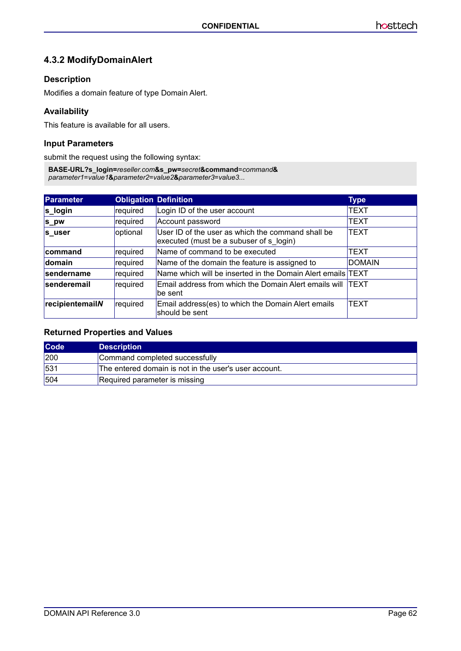## **4.3.2 ModifyDomainAlert**

### **Description**

Modifies a domain feature of type Domain Alert.

## **Availability**

This feature is available for all users.

#### **Input Parameters**

submit the request using the following syntax:

**BASE-URL?s\_login=***reseller.com***&s\_pw=***secret***&command**=*command***&** *parameter1*=*value1***&***parameter2*=*value2***&***parameter3*=*value3...*

| <b>Parameter</b> | <b>Obligation Definition</b> |                                                                                              | <b>Type</b>   |
|------------------|------------------------------|----------------------------------------------------------------------------------------------|---------------|
| s_login          | required                     | Login ID of the user account                                                                 | <b>TEXT</b>   |
| $ s_p$ w         | required                     | Account password                                                                             | <b>TEXT</b>   |
| s user           | optional                     | User ID of the user as which the command shall be<br>executed (must be a subuser of s_login) | <b>ITEXT</b>  |
| command          | required                     | Name of command to be executed                                                               | <b>TEXT</b>   |
| domain           | required                     | Name of the domain the feature is assigned to                                                | <b>DOMAIN</b> |
| sendername       | required                     | Name which will be inserted in the Domain Alert emails TEXT                                  |               |
| senderemail      | required                     | Email address from which the Domain Alert emails will<br>be sent                             | <b>ITEXT</b>  |
| recipientemailN  | required                     | Email address(es) to which the Domain Alert emails<br>should be sent                         | <b>TEXT</b>   |

| <b>Code</b> | <b>Description</b>                                    |
|-------------|-------------------------------------------------------|
| 200         | Command completed successfully                        |
| 531         | The entered domain is not in the user's user account. |
| 504         | Required parameter is missing                         |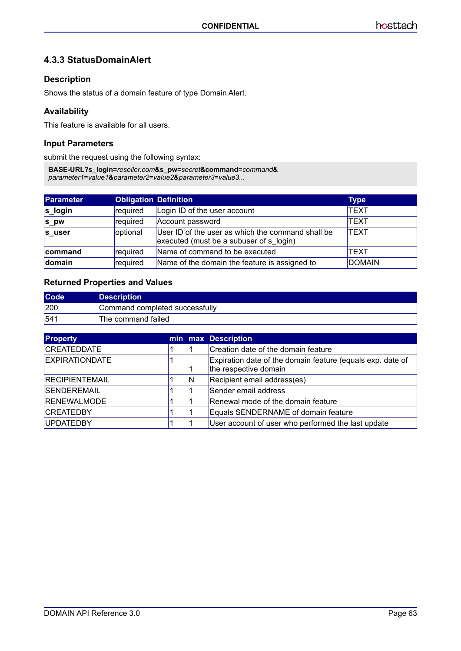## **4.3.3 StatusDomainAlert**

### **Description**

Shows the status of a domain feature of type Domain Alert.

## **Availability**

This feature is available for all users.

#### **Input Parameters**

submit the request using the following syntax:

**BASE-URL?s\_login=***reseller.com***&s\_pw=***secret***&command**=*command***&** *parameter1*=*value1***&***parameter2*=*value2***&***parameter3*=*value3...*

| <b>Parameter</b> | <b>Obligation Definition</b> |                                                                                              | <b>Type</b>   |
|------------------|------------------------------|----------------------------------------------------------------------------------------------|---------------|
| s_login          | required                     | Login ID of the user account                                                                 | <b>TEXT</b>   |
| $ s_p$           | required                     | Account password                                                                             | TEXT          |
| s_user           | optional                     | User ID of the user as which the command shall be<br>executed (must be a subuser of s login) | <b>TEXT</b>   |
| command          | required                     | Name of command to be executed                                                               | <b>TEXT</b>   |
| domain           | required                     | Name of the domain the feature is assigned to                                                | <b>DOMAIN</b> |

| <b>Code</b> | <b>Description</b>             |
|-------------|--------------------------------|
| 200         | Command completed successfully |
| 541         | 'The command failed            |

| <b>Property</b>       |    | min max Description                                                                 |
|-----------------------|----|-------------------------------------------------------------------------------------|
| <b>CREATEDDATE</b>    |    | Creation date of the domain feature                                                 |
| <b>EXPIRATIONDATE</b> |    | Expiration date of the domain feature (equals exp. date of<br>the respective domain |
| <b>RECIPIENTEMAIL</b> | IN | Recipient email address(es)                                                         |
| <b>SENDEREMAIL</b>    |    | Sender email address                                                                |
| <b>RENEWALMODE</b>    |    | Renewal mode of the domain feature                                                  |
| <b>CREATEDBY</b>      |    | Equals SENDERNAME of domain feature                                                 |
| <b>UPDATEDBY</b>      |    | User account of user who performed the last update                                  |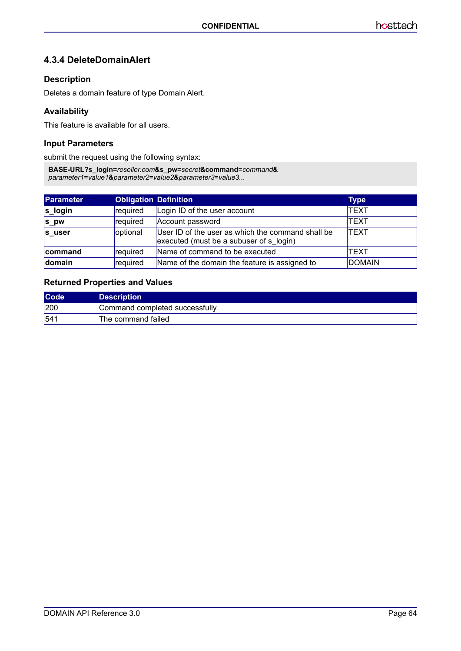## **4.3.4 DeleteDomainAlert**

### **Description**

Deletes a domain feature of type Domain Alert.

### **Availability**

This feature is available for all users.

#### **Input Parameters**

submit the request using the following syntax:

**BASE-URL?s\_login=***reseller.com***&s\_pw=***secret***&command**=*command***&** *parameter1*=*value1***&***parameter2*=*value2***&***parameter3*=*value3...*

| <b>Parameter</b> |          | <b>Obligation Definition</b>                                                                 | <b>Type</b>   |
|------------------|----------|----------------------------------------------------------------------------------------------|---------------|
| s_login          | required | Login ID of the user account                                                                 | <b>TEXT</b>   |
| $ s_p$           | required | Account password                                                                             | <b>TEXT</b>   |
| s_user           | optional | User ID of the user as which the command shall be<br>executed (must be a subuser of s login) | <b>TEXT</b>   |
| command          | required | Name of command to be executed                                                               | <b>TEXT</b>   |
| domain           | required | Name of the domain the feature is assigned to                                                | <b>DOMAIN</b> |

| <b>Code</b> | <b>Description</b>             |
|-------------|--------------------------------|
| 200         | Command completed successfully |
| 541         | The command failed             |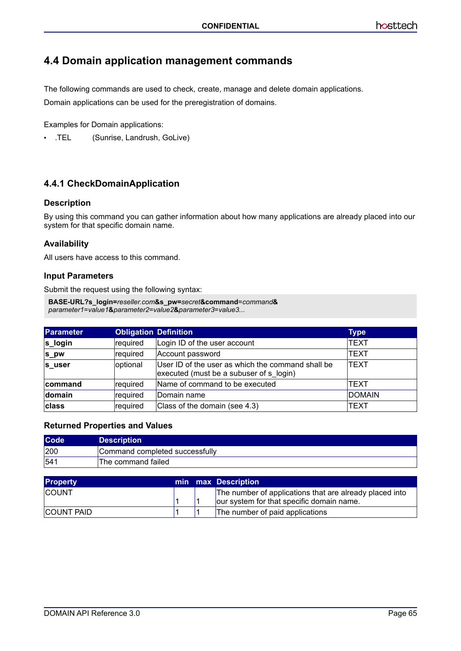# **4.4 Domain application management commands**

The following commands are used to check, create, manage and delete domain applications. Domain applications can be used for the preregistration of domains.

Examples for Domain applications:

• .TEL (Sunrise, Landrush, GoLive)

## **4.4.1 CheckDomainApplication**

#### **Description**

By using this command you can gather information about how many applications are already placed into our system for that specific domain name.

#### **Availability**

All users have access to this command.

#### **Input Parameters**

Submit the request using the following syntax:

**BASE-URL?s\_login=***reseller.com***&s\_pw=***secret***&command**=*command***&** *parameter1*=*value1***&***parameter2*=*value2***&***parameter3*=*value3...*

| Parameter | <b>Obligation Definition</b> |                                                                                              | <b>Type</b> |
|-----------|------------------------------|----------------------------------------------------------------------------------------------|-------------|
| s_login   | required                     | Login ID of the user account                                                                 | <b>TEXT</b> |
| $ s_p$    | required                     | Account password                                                                             | <b>TEXT</b> |
| s_user    | optional                     | User ID of the user as which the command shall be<br>executed (must be a subuser of s login) | <b>TEXT</b> |
| command   | required                     | Name of command to be executed                                                               | TEXT        |
| domain    | required                     | Domain name                                                                                  | DOMAIN      |
| class     | required                     | Class of the domain (see 4.3)                                                                | TEXT        |

| <b>Code</b> | <b>Description</b>             |
|-------------|--------------------------------|
| 200         | Command completed successfully |
| 541         | 'The command failed            |

| <b>Property</b>   |  | min max Description                                     |
|-------------------|--|---------------------------------------------------------|
| <b>COUNT</b>      |  | The number of applications that are already placed into |
|                   |  | our system for that specific domain name.               |
| <b>COUNT PAID</b> |  | The number of paid applications                         |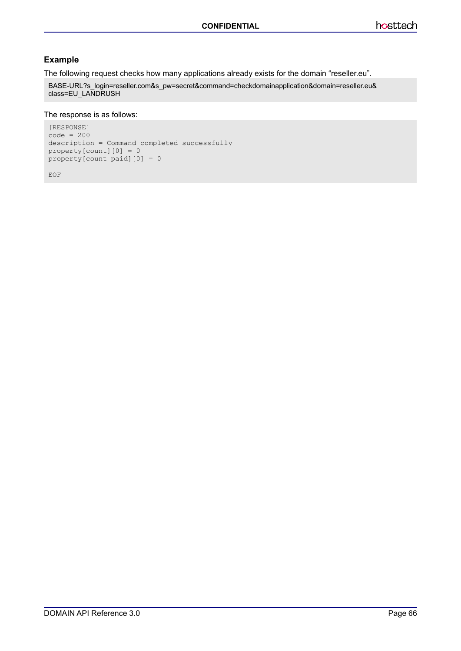## **Example**

The following request checks how many applications already exists for the domain "reseller.eu".

BASE-URL?s\_login=reseller.com&s\_pw=secret&command=checkdomainapplication&domain=reseller.eu& class=EU\_LANDRUSH

#### The response is as follows:

```
[RESPONSE]
code = 200description = Command completed successfully
property[count][0] = 0
property[count paid][0] = 0
```
EOF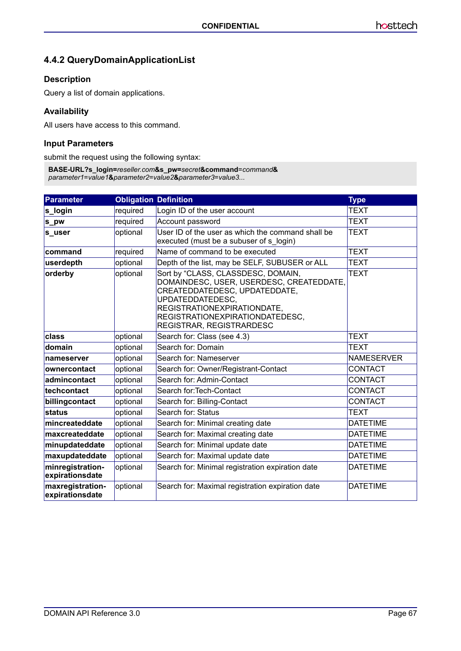# **4.4.2 QueryDomainApplicationList**

## **Description**

Query a list of domain applications.

## **Availability**

All users have access to this command.

#### **Input Parameters**

submit the request using the following syntax:

**BASE-URL?s\_login=***reseller.com***&s\_pw=***secret***&command**=*command***&** *parameter1*=*value1***&***parameter2*=*value2***&***parameter3*=*value3...*

| <b>Parameter</b>                    | <b>Obligation Definition</b> |                                                                                                                                                                                                                                   | <b>Type</b>       |
|-------------------------------------|------------------------------|-----------------------------------------------------------------------------------------------------------------------------------------------------------------------------------------------------------------------------------|-------------------|
| s_login                             | required                     | Login ID of the user account                                                                                                                                                                                                      | <b>TEXT</b>       |
| s_pw                                | required                     | Account password                                                                                                                                                                                                                  | <b>TEXT</b>       |
| s_user                              | optional                     | User ID of the user as which the command shall be<br>executed (must be a subuser of s_login)                                                                                                                                      | <b>TEXT</b>       |
| command                             | required                     | Name of command to be executed                                                                                                                                                                                                    | <b>TEXT</b>       |
| userdepth                           | optional                     | Depth of the list, may be SELF, SUBUSER or ALL                                                                                                                                                                                    | <b>TEXT</b>       |
| orderby                             | optional                     | Sort by "CLASS, CLASSDESC, DOMAIN,<br>DOMAINDESC, USER, USERDESC, CREATEDDATE,<br>CREATEDDATEDESC, UPDATEDDATE,<br>UPDATEDDATEDESC,<br>REGISTRATIONEXPIRATIONDATE,<br>REGISTRATIONEXPIRATIONDATEDESC,<br>REGISTRAR, REGISTRARDESC | <b>TEXT</b>       |
| class                               | optional                     | Search for: Class (see 4.3)                                                                                                                                                                                                       | <b>TEXT</b>       |
| domain                              | optional                     | Search for: Domain                                                                                                                                                                                                                | <b>TEXT</b>       |
| nameserver                          | optional                     | Search for: Nameserver                                                                                                                                                                                                            | <b>NAMESERVER</b> |
| ownercontact                        | optional                     | Search for: Owner/Registrant-Contact                                                                                                                                                                                              | <b>CONTACT</b>    |
| admincontact                        | optional                     | Search for: Admin-Contact                                                                                                                                                                                                         | <b>CONTACT</b>    |
| techcontact                         | optional                     | Search for:Tech-Contact                                                                                                                                                                                                           | <b>CONTACT</b>    |
| billingcontact                      | optional                     | Search for: Billing-Contact                                                                                                                                                                                                       | <b>CONTACT</b>    |
| <b>status</b>                       | optional                     | Search for: Status                                                                                                                                                                                                                | <b>TEXT</b>       |
| mincreateddate                      | optional                     | Search for: Minimal creating date                                                                                                                                                                                                 | <b>DATETIME</b>   |
| maxcreateddate                      | optional                     | Search for: Maximal creating date                                                                                                                                                                                                 | <b>DATETIME</b>   |
| minupdateddate                      | optional                     | Search for: Minimal update date                                                                                                                                                                                                   | <b>DATETIME</b>   |
| maxupdateddate                      | optional                     | Search for: Maximal update date                                                                                                                                                                                                   | <b>DATETIME</b>   |
| minregistration-<br>expirationsdate | optional                     | Search for: Minimal registration expiration date                                                                                                                                                                                  | <b>DATETIME</b>   |
| maxregistration-<br>expirationsdate | optional                     | Search for: Maximal registration expiration date                                                                                                                                                                                  | <b>DATETIME</b>   |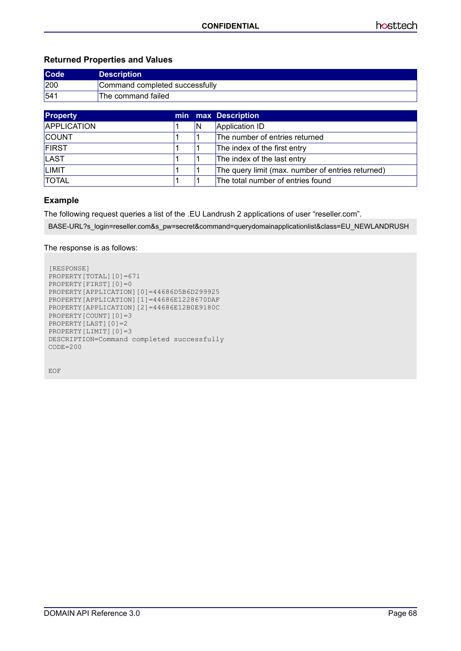### **Returned Properties and Values**

| <b>Code</b> | <b>Description</b>             |
|-------------|--------------------------------|
| 200         | Command completed successfully |
| 541         | 'The command failed            |
|             |                                |

| <b>Property</b> |    | min max Description                               |
|-----------------|----|---------------------------------------------------|
| APPLICATION     | ΙN | Application ID                                    |
| <b>COUNT</b>    |    | The number of entries returned                    |
| FIRST           |    | The index of the first entry                      |
| LAST            |    | The index of the last entry                       |
| LIMIT           |    | The query limit (max. number of entries returned) |
| <b>TOTAL</b>    |    | The total number of entries found                 |

#### **Example**

The following request queries a list of the .EU Landrush 2 applications of user "reseller.com".

BASE-URL?s\_login=reseller.com&s\_pw=secret&command=querydomainapplicationlist&class=EU\_NEWLANDRUSH

The response is as follows:

```
[RESPONSE]
PROPERTY[TOTAL][0]=671
PROPERTY[FIRST][0]=0
PROPERTY[APPLICATION][0]=44686D5B6D299925
PROPERTY[APPLICATION][1]=44686E1228670DAF
PROPERTY[APPLICATION][2]=44686E12B0E9180C
PROPERTY[COUNT][0]=3
PROPERTY[LAST][0]=2
PROPERTY[LIMIT][0]=3
DESCRIPTION=Command completed successfully
CODE=200
```
EOF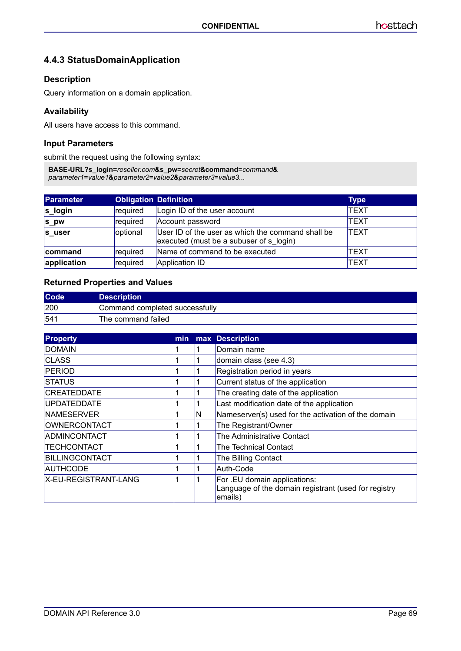## **4.4.3 StatusDomainApplication**

### **Description**

Query information on a domain application.

## **Availability**

All users have access to this command.

#### **Input Parameters**

submit the request using the following syntax:

**BASE-URL?s\_login=***reseller.com***&s\_pw=***secret***&command**=*command***&** *parameter1*=*value1***&***parameter2*=*value2***&***parameter3*=*value3...*

| <b>Parameter</b> | <b>Obligation Definition</b> |                                                                                              | <b>Type</b> |
|------------------|------------------------------|----------------------------------------------------------------------------------------------|-------------|
| s_login          | required                     | Login ID of the user account                                                                 | <b>TEXT</b> |
| $ s_p$           | required                     | Account password                                                                             | TEXT        |
| s_user           | optional                     | User ID of the user as which the command shall be<br>executed (must be a subuser of s login) | <b>TEXT</b> |
| command          | required                     | Name of command to be executed                                                               | TEXT        |
| application      | required                     | Application ID                                                                               | TEXT        |

| <b>Code</b> | <b>Description</b>             |
|-------------|--------------------------------|
| 200         | Command completed successfully |
| 541         | The command failed             |

| <b>Property</b>       |   |   | min max Description                                                                             |
|-----------------------|---|---|-------------------------------------------------------------------------------------------------|
| <b>DOMAIN</b>         |   |   | Domain name                                                                                     |
| <b>CLASS</b>          |   |   | domain class (see 4.3)                                                                          |
| <b>PERIOD</b>         | 1 |   | Registration period in years                                                                    |
| <b>STATUS</b>         |   |   | Current status of the application                                                               |
| <b>CREATEDDATE</b>    | 1 |   | The creating date of the application                                                            |
| <b>UPDATEDDATE</b>    | 1 |   | Last modification date of the application                                                       |
| <b>NAMESERVER</b>     | 1 | N | Nameserver(s) used for the activation of the domain                                             |
| <b>OWNERCONTACT</b>   | 1 |   | The Registrant/Owner                                                                            |
| <b>ADMINCONTACT</b>   | 1 |   | The Administrative Contact                                                                      |
| <b>TECHCONTACT</b>    | 1 |   | The Technical Contact                                                                           |
| <b>BILLINGCONTACT</b> | 1 |   | The Billing Contact                                                                             |
| <b>AUTHCODE</b>       | 1 |   | Auth-Code                                                                                       |
| X-EU-REGISTRANT-LANG  | 1 |   | For .EU domain applications:<br>Language of the domain registrant (used for registry<br>emails) |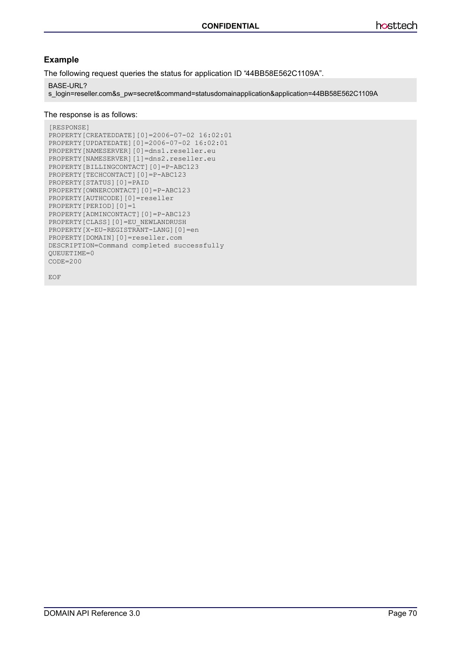## **Example**

The following request queries the status for application ID "44BB58E562C1109A".

BASE-URL? s\_login=reseller.com&s\_pw=secret&command=statusdomainapplication&application=44BB58E562C1109A

#### The response is as follows:

```
[RESPONSE]
PROPERTY[CREATEDDATE][0]=2006-07-02 16:02:01
PROPERTY[UPDATEDATE][0]=2006-07-02 16:02:01
PROPERTY[NAMESERVER][0]=dns1.reseller.eu
PROPERTY[NAMESERVER][1]=dns2.reseller.eu
PROPERTY[BILLINGCONTACT][0]=P-ABC123
PROPERTY[TECHCONTACT][0]=P-ABC123
PROPERTY[STATUS][0]=PAID
PROPERTY[OWNERCONTACT][0]=P-ABC123
PROPERTY[AUTHCODE][0]=reseller
PROPERTY[PERIOD][0]=1
PROPERTY[ADMINCONTACT][0]=P-ABC123
PROPERTY[CLASS][0]=EU_NEWLANDRUSH
PROPERTY[X-EU-REGISTRANT-LANG][0]=en
PROPERTY[DOMAIN][0]=reseller.com
DESCRIPTION=Command completed successfully
QUEUETIME=0
CODE=200
```

```
EOF
```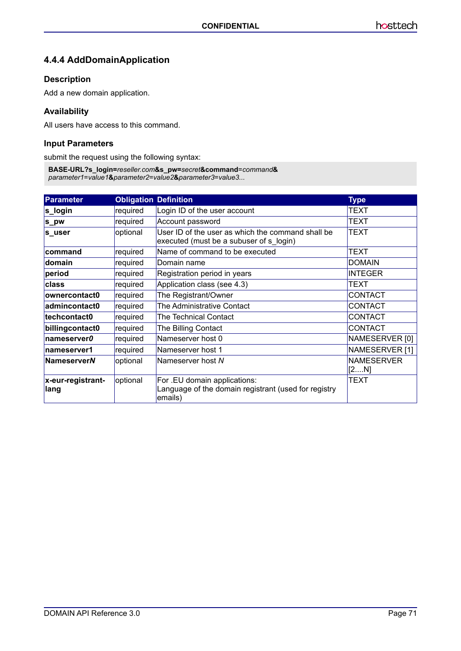# **4.4.4 AddDomainApplication**

### **Description**

Add a new domain application.

## **Availability**

All users have access to this command.

#### **Input Parameters**

submit the request using the following syntax:

**BASE-URL?s\_login=***reseller.com***&s\_pw=***secret***&command**=*command***&** *parameter1*=*value1***&***parameter2*=*value2***&***parameter3*=*value3...*

| <b>Parameter</b>          | <b>Obligation Definition</b> |                                                                                                 | <b>Type</b>               |
|---------------------------|------------------------------|-------------------------------------------------------------------------------------------------|---------------------------|
| s_login                   | required                     | Login ID of the user account                                                                    | TEXT                      |
| s_pw                      | required                     | Account password                                                                                | TEXT                      |
| s_user                    | optional                     | User ID of the user as which the command shall be<br>executed (must be a subuser of s login)    | <b>TEXT</b>               |
| command                   | required                     | Name of command to be executed                                                                  | TEXT                      |
| domain                    | required                     | Domain name                                                                                     | <b>DOMAIN</b>             |
| period                    | required                     | Registration period in years                                                                    | <b>INTEGER</b>            |
| class                     | required                     | Application class (see 4.3)                                                                     | TEXT                      |
| ownercontact0             | required                     | The Registrant/Owner                                                                            | <b>CONTACT</b>            |
| admincontact0             | required                     | The Administrative Contact                                                                      | <b>CONTACT</b>            |
| techcontact0              | required                     | The Technical Contact                                                                           | <b>CONTACT</b>            |
| billingcontact0           | required                     | The Billing Contact                                                                             | <b>CONTACT</b>            |
| nameserver0               | required                     | Nameserver host 0                                                                               | NAMESERVER [0]            |
| nameserver1               | required                     | Nameserver host 1                                                                               | NAMESERVER [1]            |
| <b>NameserverN</b>        | optional                     | Nameserver host N                                                                               | <b>NAMESERVER</b><br>[2N] |
| x-eur-registrant-<br>lang | optional                     | For .EU domain applications:<br>Language of the domain registrant (used for registry<br>emails) | <b>TEXT</b>               |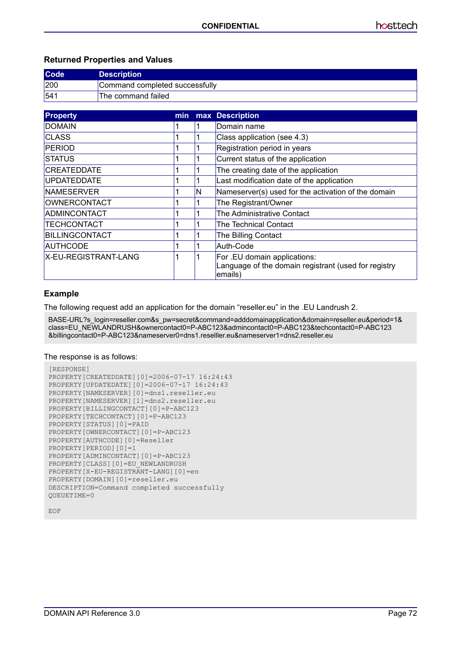### **Returned Properties and Values**

| <b>Code</b> | <b>Description</b>             |
|-------------|--------------------------------|
| 200         | Command completed successfully |
| 541         | The command failed             |

| <b>Property</b>             |    | min max Description                                                                             |
|-----------------------------|----|-------------------------------------------------------------------------------------------------|
| <b>DOMAIN</b>               |    | Domain name                                                                                     |
| <b>CLASS</b>                |    | Class application (see 4.3)                                                                     |
| <b>PERIOD</b>               |    | Registration period in years                                                                    |
| <b>STATUS</b>               |    | Current status of the application                                                               |
| <b>CREATEDDATE</b>          |    | The creating date of the application                                                            |
| <b>UPDATEDDATE</b>          |    | Last modification date of the application                                                       |
| <b>NAMESERVER</b>           | ΙN | Nameserver(s) used for the activation of the domain                                             |
| <b>OWNERCONTACT</b>         |    | The Registrant/Owner                                                                            |
| ADMINCONTACT                |    | The Administrative Contact                                                                      |
| <b>TECHCONTACT</b>          |    | <b>The Technical Contact</b>                                                                    |
| <b>BILLINGCONTACT</b>       |    | The Billing Contact                                                                             |
| <b>AUTHCODE</b>             |    | Auth-Code                                                                                       |
| <b>X-EU-REGISTRANT-LANG</b> |    | For .EU domain applications:<br>Language of the domain registrant (used for registry<br>emails) |

#### **Example**

The following request add an application for the domain "reseller.eu" in the .EU Landrush 2.

BASE-URL?s\_login=reseller.com&s\_pw=secret&command=adddomainapplication&domain=reseller.eu&period=1& class=EU\_NEWLANDRUSH&ownercontact0=P-ABC123&admincontact0=P-ABC123&techcontact0=P-ABC123 &billingcontact0=P-ABC123&nameserver0=dns1.reselller.eu&nameserver1=dns2.reseller.eu

The response is as follows:

```
[RESPONSE]
PROPERTY[CREATEDDATE][0]=2006-07-17 16:24:43
PROPERTY[UPDATEDATE][0]=2006-07-17 16:24:43
PROPERTY[NAMESERVER][0]=dns1.reseller.eu
PROPERTY[NAMESERVER][1]=dns2.reseller.eu
PROPERTY[BILLINGCONTACT][0]=P-ABC123
PROPERTY[TECHCONTACT][0]=P-ABC123
PROPERTY[STATUS][0]=PAID
PROPERTY[OWNERCONTACT][0]=P-ABC123
PROPERTY[AUTHCODE][0]=Reseller
PROPERTY[PERIOD][0]=1
PROPERTY[ADMINCONTACT][0]=P-ABC123
PROPERTY[CLASS][0]=EU_NEWLANDRUSH
PROPERTY[X-EU-REGISTRANT-LANG][0]=en
PROPERTY[DOMAIN][0]=reseller.eu
DESCRIPTION=Command completed successfully
QUEUETIME=0
```
EOF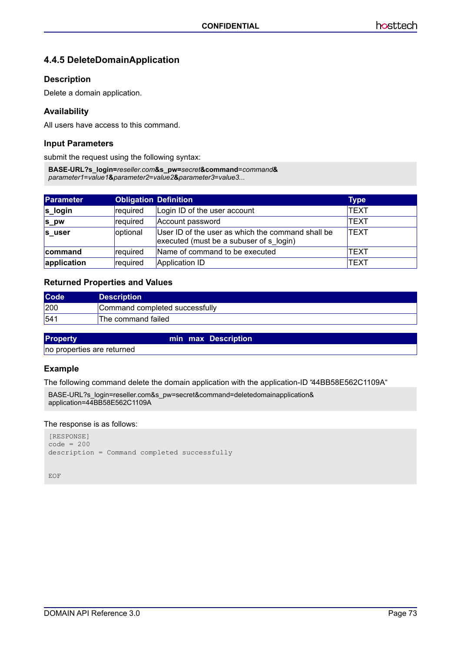# **4.4.5 DeleteDomainApplication**

#### **Description**

Delete a domain application.

#### **Availability**

All users have access to this command.

#### **Input Parameters**

submit the request using the following syntax:

**BASE-URL?s\_login=***reseller.com***&s\_pw=***secret***&command**=*command***&** *parameter1*=*value1***&***parameter2*=*value2***&***parameter3*=*value3...*

| <b>Parameter</b> | <b>Obligation Definition</b> |                                                                                              | <b>Type</b> |
|------------------|------------------------------|----------------------------------------------------------------------------------------------|-------------|
| s_login          | required                     | Login ID of the user account                                                                 | <b>TEXT</b> |
| $ s_p$           | required                     | Account password                                                                             | TEXT        |
| s_user           | optional                     | User ID of the user as which the command shall be<br>executed (must be a subuser of s login) | <b>TEXT</b> |
| command          | required                     | Name of command to be executed                                                               | <b>TEXT</b> |
| application      | required                     | Application ID                                                                               | TEXT        |

#### **Returned Properties and Values**

| <b>Code</b> | <b>Description</b> \           |
|-------------|--------------------------------|
| 200         | Command completed successfully |
| 541         | 'The command failed            |

no properties are returned

**Property min max Description**

#### **Example**

The following command delete the domain application with the application-ID "44BB58E562C1109A"

BASE-URL?s\_login=reseller.com&s\_pw=secret&command=deletedomainapplication& application=44BB58E562C1109A

The response is as follows:

```
[RESPONSE]
code = 200description = Command completed successfully
```
EOF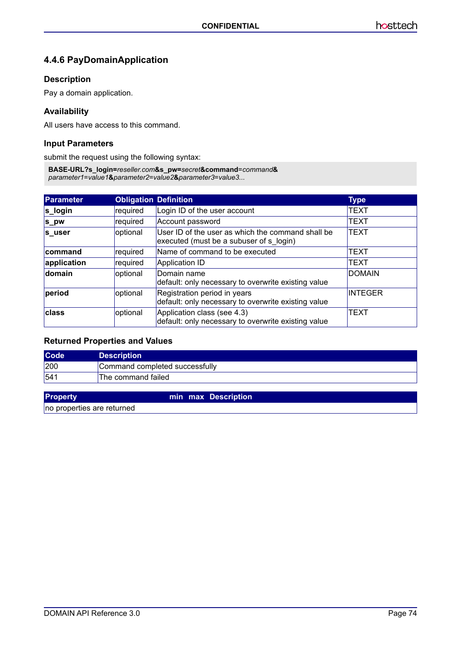# **4.4.6 PayDomainApplication**

## **Description**

Pay a domain application.

#### **Availability**

All users have access to this command.

#### **Input Parameters**

submit the request using the following syntax:

**BASE-URL?s\_login=***reseller.com***&s\_pw=***secret***&command**=*command***&** *parameter1*=*value1***&***parameter2*=*value2***&***parameter3*=*value3...*

| Parameter   |          | <b>Obligation Definition</b>                                                                 | <b>Type</b>    |
|-------------|----------|----------------------------------------------------------------------------------------------|----------------|
| s_login     | required | Login ID of the user account                                                                 | <b>TEXT</b>    |
| s pw        | required | Account password                                                                             | <b>TEXT</b>    |
| s user      | optional | User ID of the user as which the command shall be<br>executed (must be a subuser of s_login) | <b>TEXT</b>    |
| command     | required | Name of command to be executed                                                               | <b>TEXT</b>    |
| application | required | Application ID                                                                               | <b>TEXT</b>    |
| domain      | optional | Domain name<br>default: only necessary to overwrite existing value                           | DOMAIN         |
| period      | optional | Registration period in years<br>default: only necessary to overwrite existing value          | <b>INTEGER</b> |
| class       | optional | Application class (see 4.3)<br>default: only necessary to overwrite existing value           | <b>TEXT</b>    |

| <b>Code</b> | <b>Description</b>             |
|-------------|--------------------------------|
| 200         | Command completed successfully |
| 541         | The command failed             |

| <b>Property</b>            | min max Description |  |
|----------------------------|---------------------|--|
| no properties are returned |                     |  |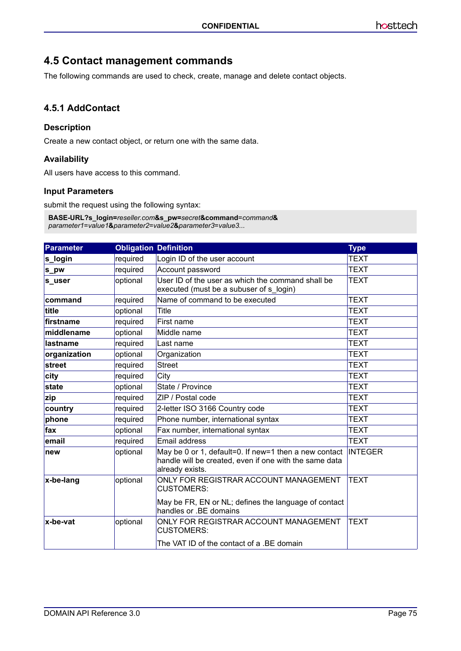# **4.5 Contact management commands**

The following commands are used to check, create, manage and delete contact objects.

# **4.5.1 AddContact**

### **Description**

Create a new contact object, or return one with the same data.

#### **Availability**

All users have access to this command.

#### **Input Parameters**

submit the request using the following syntax:

**BASE-URL?s\_login=***reseller.com***&s\_pw=***secret***&command**=*command***&** *parameter1*=*value1***&***parameter2*=*value2***&***parameter3*=*value3...*

| <b>Parameter</b> | <b>Obligation Definition</b> |                                                                                                                                              | <b>Type</b> |
|------------------|------------------------------|----------------------------------------------------------------------------------------------------------------------------------------------|-------------|
| s_login          | required                     | Login ID of the user account                                                                                                                 | <b>TEXT</b> |
| s_pw             | required                     | Account password                                                                                                                             | <b>TEXT</b> |
| s_user           | optional                     | User ID of the user as which the command shall be<br>executed (must be a subuser of s_login)                                                 | TEXT        |
| command          | required                     | Name of command to be executed                                                                                                               | <b>TEXT</b> |
| title            | optional                     | Title                                                                                                                                        | <b>TEXT</b> |
| firstname        | required                     | First name                                                                                                                                   | <b>TEXT</b> |
| middlename       | optional                     | Middle name                                                                                                                                  | TEXT        |
| lastname         | required                     | Last name                                                                                                                                    | <b>TEXT</b> |
| organization     | optional                     | Organization                                                                                                                                 | <b>TEXT</b> |
| street           | required                     | <b>Street</b>                                                                                                                                | TEXT        |
| city             | required                     | City                                                                                                                                         | <b>TEXT</b> |
| state            | optional                     | State / Province                                                                                                                             | <b>TEXT</b> |
| zip              | required                     | ZIP / Postal code                                                                                                                            | TEXT        |
| country          | required                     | 2-letter ISO 3166 Country code                                                                                                               | <b>TEXT</b> |
| phone            | required                     | Phone number, international syntax                                                                                                           | TEXT        |
| fax              | optional                     | Fax number, international syntax                                                                                                             | TEXT        |
| email            | required                     | <b>Email address</b>                                                                                                                         | <b>TEXT</b> |
| new              | optional                     | May be 0 or 1, default=0. If new=1 then a new contact<br>handle will be created, even if one with the same data<br>already exists.           | INTEGER     |
| x-be-lang        | optional                     | ONLY FOR REGISTRAR ACCOUNT MANAGEMENT<br><b>CUSTOMERS:</b><br>May be FR, EN or NL; defines the language of contact<br>handles or .BE domains | <b>TEXT</b> |
| x-be-vat         | optional                     | ONLY FOR REGISTRAR ACCOUNT MANAGEMENT<br><b>CUSTOMERS:</b><br>The VAT ID of the contact of a .BE domain                                      | <b>TEXT</b> |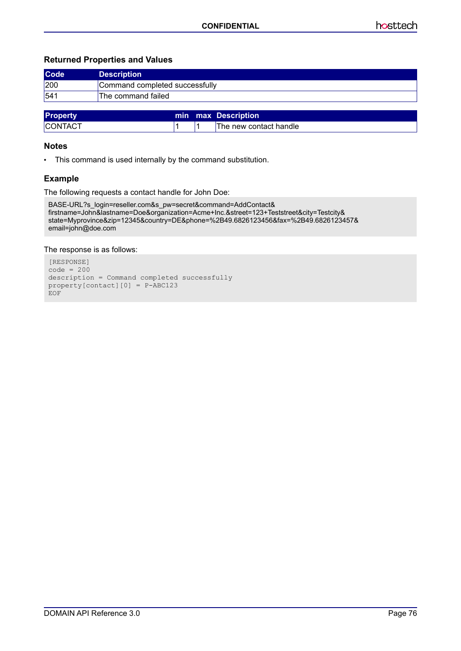#### **Returned Properties and Values**

| <b>Code</b>     | <b>Description</b>             |
|-----------------|--------------------------------|
| 200             | Command completed successfully |
| 541             | 'The command failed            |
|                 |                                |
| <b>Dranarty</b> | min may Decertation            |

| <b>Property</b> |  | min max Description    |
|-----------------|--|------------------------|
| <b>CONTACT</b>  |  | The new contact handle |

#### **Notes**

• This command is used internally by the command substitution.

#### **Example**

The following requests a contact handle for John Doe:

```
BASE-URL?s_login=reseller.com&s_pw=secret&command=AddContact&
firstname=John&lastname=Doe&organization=Acme+Inc.&street=123+Teststreet&city=Testcity&
state=Myprovince&zip=12345&country=DE&phone=%2B49.6826123456&fax=%2B49.6826123457&
email=john@doe.com
```

```
[RESPONSE]
code = 200description = Command completed successfully
property[contact][0] = P-ABC123
EOF<sup>1</sup>
```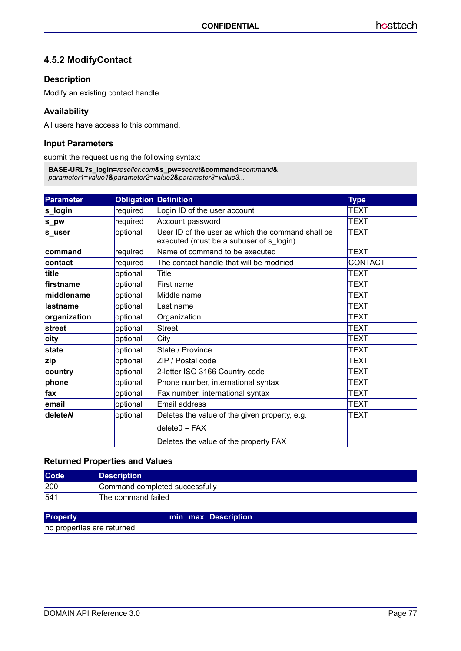# **4.5.2 ModifyContact**

#### **Description**

Modify an existing contact handle.

#### **Availability**

All users have access to this command.

#### **Input Parameters**

submit the request using the following syntax:

**BASE-URL?s\_login=***reseller.com***&s\_pw=***secret***&command**=*command***&** *parameter1*=*value1***&***parameter2*=*value2***&***parameter3*=*value3...*

| <b>Parameter</b> | <b>Obligation Definition</b> |                                                                                              | <b>Type</b>    |
|------------------|------------------------------|----------------------------------------------------------------------------------------------|----------------|
| s_login          | required                     | Login ID of the user account                                                                 | <b>TEXT</b>    |
| s_pw             | required                     | Account password                                                                             | <b>TEXT</b>    |
| s_user           | optional                     | User ID of the user as which the command shall be<br>executed (must be a subuser of s_login) | <b>TEXT</b>    |
| command          | required                     | Name of command to be executed                                                               | <b>TEXT</b>    |
| contact          | required                     | The contact handle that will be modified                                                     | <b>CONTACT</b> |
| title            | optional                     | Title                                                                                        | <b>TEXT</b>    |
| firstname        | optional                     | First name                                                                                   | <b>TEXT</b>    |
| middlename       | optional                     | Middle name                                                                                  | <b>TEXT</b>    |
| lastname         | optional                     | Last name                                                                                    | <b>TEXT</b>    |
| organization     | optional                     | Organization                                                                                 | <b>TEXT</b>    |
| <b>street</b>    | optional                     | <b>Street</b>                                                                                | <b>TEXT</b>    |
| city             | optional                     | City                                                                                         | <b>TEXT</b>    |
| state            | optional                     | State / Province                                                                             | <b>TEXT</b>    |
| zip              | optional                     | ZIP / Postal code                                                                            | <b>TEXT</b>    |
| country          | optional                     | 2-letter ISO 3166 Country code                                                               | <b>TEXT</b>    |
| phone            | optional                     | Phone number, international syntax                                                           | <b>TEXT</b>    |
| fax              | optional                     | Fax number, international syntax                                                             | <b>TEXT</b>    |
| email            | optional                     | Email address                                                                                | <b>TEXT</b>    |
| deleteN          | optional                     | Deletes the value of the given property, e.g.:                                               | <b>TEXT</b>    |
|                  |                              | $delete0 = FAST$                                                                             |                |
|                  |                              | Deletes the value of the property FAX                                                        |                |

| <b>Code</b> | <b>Description</b>             |
|-------------|--------------------------------|
| 200         | Command completed successfully |
| 541         | The command failed             |

| <b>Property</b>            | min max Description |  |
|----------------------------|---------------------|--|
| no properties are returned |                     |  |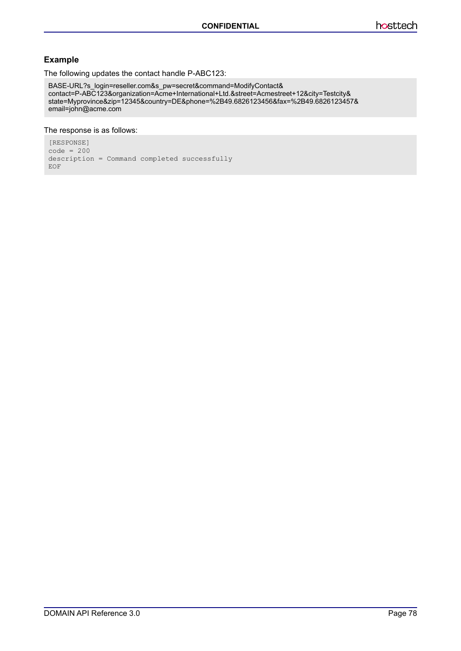# **Example**

The following updates the contact handle P-ABC123:

```
BASE-URL?s_login=reseller.com&s_pw=secret&command=ModifyContact&
contact=P-ABC123&organization=Acme+International+Ltd.&street=Acmestreet+12&city=Testcity&
state=Myprovince&zip=12345&country=DE&phone=%2B49.6826123456&fax=%2B49.6826123457&
email=john@acme.com
```

```
[RESPONSE]
code = 200description = Command completed successfully
EOF
```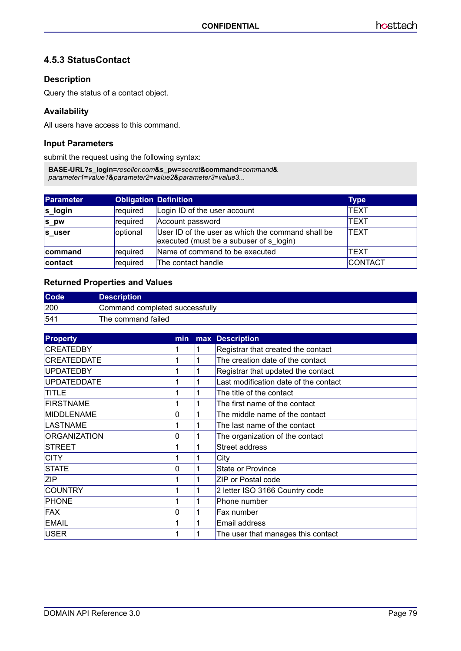# **4.5.3 StatusContact**

#### **Description**

Query the status of a contact object.

#### **Availability**

All users have access to this command.

#### **Input Parameters**

submit the request using the following syntax:

**BASE-URL?s\_login=***reseller.com***&s\_pw=***secret***&command**=*command***&** *parameter1*=*value1***&***parameter2*=*value2***&***parameter3*=*value3...*

| <b>Parameter</b> | <b>Obligation Definition</b> |                                                                                              | <b>Type</b> |
|------------------|------------------------------|----------------------------------------------------------------------------------------------|-------------|
| s_login          | required                     | Login ID of the user account                                                                 | <b>TEXT</b> |
| $ s_p$           | required                     | Account password                                                                             | TEXT        |
| s_user           | optional                     | User ID of the user as which the command shall be<br>executed (must be a subuser of s login) | <b>TEXT</b> |
| command          | required                     | Name of command to be executed                                                               | TEXT        |
| contact          | required                     | The contact handle                                                                           | CONTACT     |

| <b>Code</b> | <b>Description</b>             |
|-------------|--------------------------------|
| 200         | Command completed successfully |
| 541         | The command failed             |

| <b>Property</b>     | min | max Description                       |
|---------------------|-----|---------------------------------------|
| <b>CREATEDBY</b>    |     | Registrar that created the contact    |
| <b>CREATEDDATE</b>  |     | The creation date of the contact      |
| <b>UPDATEDBY</b>    |     | Registrar that updated the contact    |
| <b>UPDATEDDATE</b>  |     | Last modification date of the contact |
| <b>TITLE</b>        |     | The title of the contact              |
| <b>FIRSTNAME</b>    |     | The first name of the contact         |
| <b>MIDDLENAME</b>   | 0   | The middle name of the contact        |
| <b>LASTNAME</b>     |     | The last name of the contact          |
| <b>ORGANIZATION</b> | 0   | The organization of the contact       |
| <b>STREET</b>       | 1   | Street address                        |
| <b>CITY</b>         |     | City                                  |
| <b>STATE</b>        | 0   | <b>State or Province</b>              |
| <b>ZIP</b>          |     | ZIP or Postal code                    |
| <b>COUNTRY</b>      |     | 2 letter ISO 3166 Country code        |
| <b>PHONE</b>        |     | Phone number                          |
| <b>FAX</b>          | 0   | Fax number                            |
| <b>EMAIL</b>        |     | Email address                         |
| <b>USER</b>         |     | The user that manages this contact    |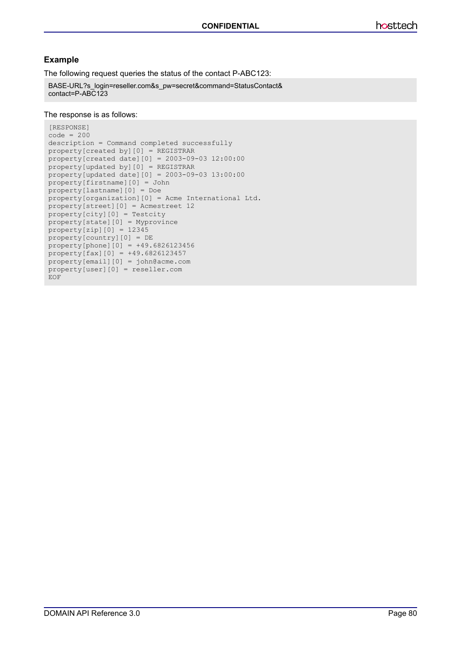# **Example**

The following request queries the status of the contact P-ABC123:

BASE-URL?s\_login=reseller.com&s\_pw=secret&command=StatusContact& contact=P-ABC123

```
[RESPONSE]
code = 200description = Command completed successfully
property[created by][0] = REGISTRAR
property[created date][0] = 2003-09-03 12:00:00
property[updated by][0] = REGISTRAR
property[updated date][0] = 2003-09-03 13:00:00
property[firstname][0] = John
property[lastname][0] = Doe
property[organization][0] = Acme International Ltd.
property[street][0] = Acmestreet 12
property[city][0] = Testcity
property[state][0] = Myprovince
property[zip][0] = 12345property[country][0] = DE
property[phone][0] = +49.6826123456property[fax][0] = +49.6826123457
property[email][0] = john@acme.com
property[user][0] = reseller.com
EOF
```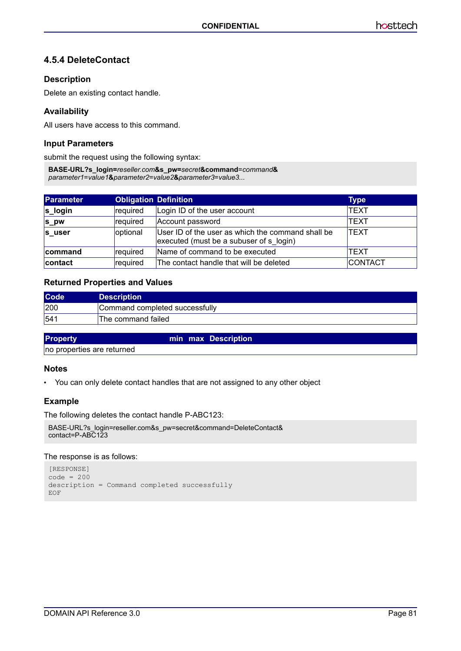# **4.5.4 DeleteContact**

#### **Description**

Delete an existing contact handle.

#### **Availability**

All users have access to this command.

#### **Input Parameters**

submit the request using the following syntax:

**BASE-URL?s\_login=***reseller.com***&s\_pw=***secret***&command**=*command***&** *parameter1*=*value1***&***parameter2*=*value2***&***parameter3*=*value3...*

| <b>Parameter</b> |          | <b>Obligation Definition</b>                                                                 | <b>Type</b> |
|------------------|----------|----------------------------------------------------------------------------------------------|-------------|
| s_login          | required | Login ID of the user account                                                                 | <b>TEXT</b> |
| $ s_p$           | required | Account password                                                                             | <b>TEXT</b> |
| s user           | optional | User ID of the user as which the command shall be<br>executed (must be a subuser of s login) | <b>TEXT</b> |
| command          | required | Name of command to be executed                                                               | <b>TEXT</b> |
| <b>contact</b>   | required | The contact handle that will be deleted                                                      | CONTACT     |

#### **Returned Properties and Values**

| <b>Code</b> | <b>Description</b>             |
|-------------|--------------------------------|
| 200         | Command completed successfully |
| 541         | The command failed             |

**Property min max Description**

no properties are returned

#### **Notes**

• You can only delete contact handles that are not assigned to any other object

#### **Example**

The following deletes the contact handle P-ABC123:

```
BASE-URL?s_login=reseller.com&s_pw=secret&command=DeleteContact&
contact=P-ABC123
```

```
[RESPONSE]
code = 200
description = Command completed successfully
EOF
```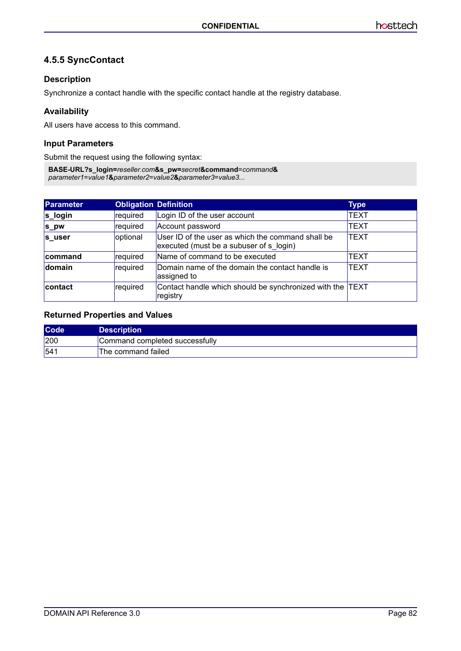# **4.5.5 SyncContact**

#### **Description**

Synchronize a contact handle with the specific contact handle at the registry database.

#### **Availability**

All users have access to this command.

#### **Input Parameters**

Submit the request using the following syntax:

**BASE-URL?s\_login=***reseller.com***&s\_pw=***secret***&command**=*command***&** *parameter1*=*value1***&***parameter2*=*value2***&***parameter3*=*value3...*

| <b>Parameter</b> | <b>Obligation Definition</b> |                                                                                                             | <b>Type</b> |  |  |  |
|------------------|------------------------------|-------------------------------------------------------------------------------------------------------------|-------------|--|--|--|
| $ s$ login       | required                     | Login ID of the user account                                                                                | <b>TEXT</b> |  |  |  |
| $ s_p$           | required                     | Account password                                                                                            | <b>TEXT</b> |  |  |  |
| s user           | optional                     | User ID of the user as which the command shall be<br><b>TEXT</b><br>executed (must be a subuser of s_login) |             |  |  |  |
| command          | required                     | Name of command to be executed                                                                              | <b>TEXT</b> |  |  |  |
| domain           | required                     | Domain name of the domain the contact handle is<br>assigned to                                              | <b>TEXT</b> |  |  |  |
| contact          | required                     | Contact handle which should be synchronized with the TEXT<br>registry                                       |             |  |  |  |

| <b>Code</b> | <b>Description</b>             |
|-------------|--------------------------------|
| 200         | Command completed successfully |
| 541         | 'The command failed            |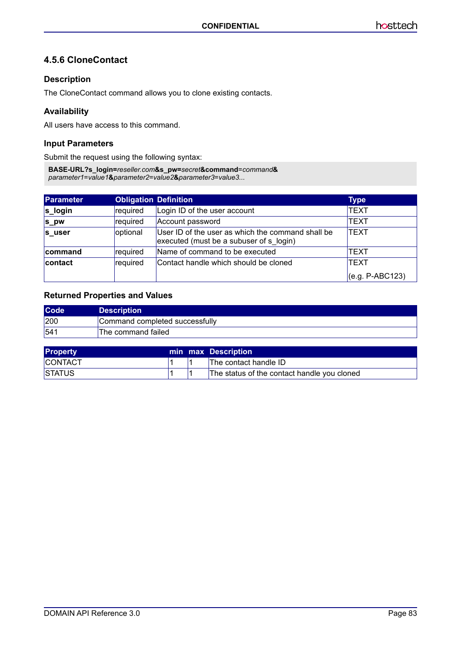# **4.5.6 CloneContact**

#### **Description**

The CloneContact command allows you to clone existing contacts.

#### **Availability**

All users have access to this command.

#### **Input Parameters**

Submit the request using the following syntax:

**BASE-URL?s\_login=***reseller.com***&s\_pw=***secret***&command**=*command***&** *parameter1*=*value1***&***parameter2*=*value2***&***parameter3*=*value3...*

| <b>Parameter</b> |          | <b>Obligation Definition</b>                                                                 | <b>Type</b>         |
|------------------|----------|----------------------------------------------------------------------------------------------|---------------------|
| $ s$ login       | required | Login ID of the user account                                                                 | <b>TEXT</b>         |
| $ s_p$           | required | Account password                                                                             | <b>TEXT</b>         |
| $s$ _user        | optional | User ID of the user as which the command shall be<br>executed (must be a subuser of s login) | <b>ITEXT</b>        |
| command          | required | Name of command to be executed                                                               | TEXT                |
| contact          | required | Contact handle which should be cloned                                                        | <b>TEXT</b>         |
|                  |          |                                                                                              | $ $ (e.g. P-ABC123) |

| <b>Code</b> | <b>Description</b>             |
|-------------|--------------------------------|
| 200         | Command completed successfully |
| 54          | 'The command failed            |

| <b>Property</b> |  | min max Description                         |
|-----------------|--|---------------------------------------------|
| <b>CONTACT</b>  |  | The contact handle ID                       |
| <b>STATUS</b>   |  | The status of the contact handle you cloned |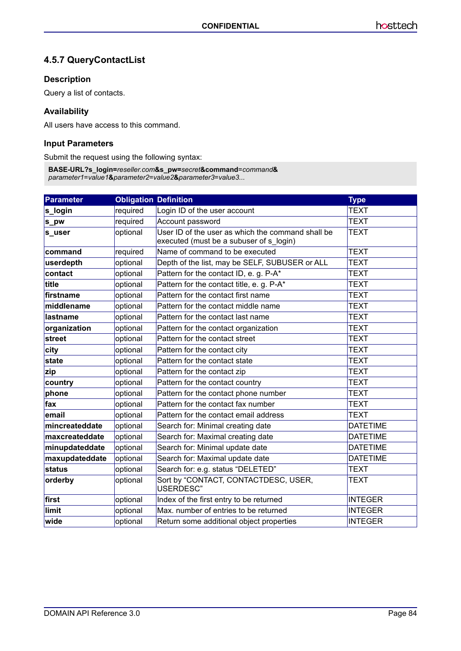# **4.5.7 QueryContactList**

#### **Description**

Query a list of contacts.

#### **Availability**

All users have access to this command.

#### **Input Parameters**

Submit the request using the following syntax:

**BASE-URL?s\_login=***reseller.com***&s\_pw=***secret***&command**=*command***&** *parameter1*=*value1***&***parameter2*=*value2***&***parameter3*=*value3...*

| <b>Parameter</b> | <b>Obligation Definition</b> |                                                                                              | <b>Type</b>     |
|------------------|------------------------------|----------------------------------------------------------------------------------------------|-----------------|
| s_login          | required                     | Login ID of the user account                                                                 | <b>TEXT</b>     |
| s_pw             | required                     | Account password                                                                             | <b>TEXT</b>     |
| s_user           | optional                     | User ID of the user as which the command shall be<br>executed (must be a subuser of s_login) | <b>TEXT</b>     |
| command          | required                     | Name of command to be executed                                                               | <b>TEXT</b>     |
| userdepth        | optional                     | Depth of the list, may be SELF, SUBUSER or ALL                                               | <b>TEXT</b>     |
| contact          | optional                     | Pattern for the contact ID, e. g. P-A*                                                       | <b>TEXT</b>     |
| title            | optional                     | Pattern for the contact title, e. g. P-A*                                                    | <b>TEXT</b>     |
| firstname        | optional                     | Pattern for the contact first name                                                           | <b>TEXT</b>     |
| middlename       | optional                     | Pattern for the contact middle name                                                          | <b>TEXT</b>     |
| lastname         | optional                     | Pattern for the contact last name                                                            | <b>TEXT</b>     |
| organization     | optional                     | Pattern for the contact organization                                                         | <b>TEXT</b>     |
| street           | optional                     | Pattern for the contact street                                                               | <b>TEXT</b>     |
| city             | optional                     | Pattern for the contact city                                                                 | <b>TEXT</b>     |
| state            | optional                     | Pattern for the contact state                                                                | <b>TEXT</b>     |
| zip              | optional                     | Pattern for the contact zip                                                                  | <b>TEXT</b>     |
| country          | optional                     | Pattern for the contact country                                                              | <b>TEXT</b>     |
| phone            | optional                     | Pattern for the contact phone number                                                         | <b>TEXT</b>     |
| fax              | optional                     | Pattern for the contact fax number                                                           | <b>TEXT</b>     |
| email            | optional                     | Pattern for the contact email address                                                        | <b>TEXT</b>     |
| mincreateddate   | optional                     | Search for: Minimal creating date                                                            | <b>DATETIME</b> |
| maxcreateddate   | optional                     | Search for: Maximal creating date                                                            | <b>DATETIME</b> |
| minupdateddate   | optional                     | Search for: Minimal update date                                                              | <b>DATETIME</b> |
| maxupdateddate   | optional                     | Search for: Maximal update date                                                              | <b>DATETIME</b> |
| status           | optional                     | Search for: e.g. status "DELETED"                                                            | <b>TEXT</b>     |
| orderby          | optional                     | Sort by "CONTACT, CONTACTDESC, USER,<br>USERDESC"                                            | <b>TEXT</b>     |
| first            | optional                     | Index of the first entry to be returned                                                      | <b>INTEGER</b>  |
| limit            | optional                     | Max, number of entries to be returned                                                        | <b>INTEGER</b>  |
| wide             | optional                     | Return some additional object properties                                                     | <b>INTEGER</b>  |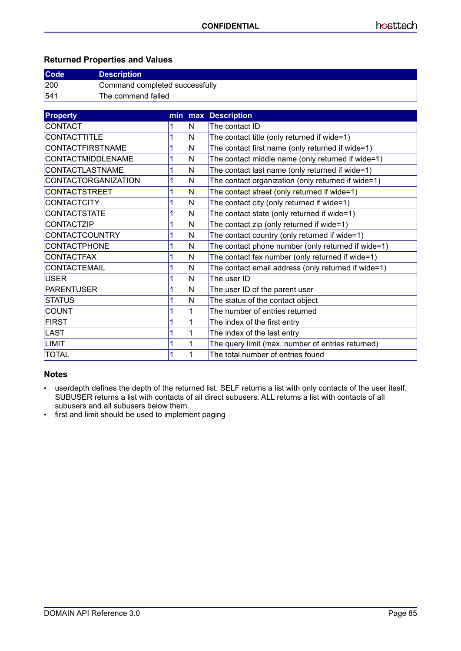### **Returned Properties and Values**

| <b>Code</b> | <b>Description</b>             |
|-------------|--------------------------------|
| 200         | Command completed successfully |
| 541         | 'The command failed            |

| <b>Property</b>         |   |   | min max Description                                 |
|-------------------------|---|---|-----------------------------------------------------|
| <b>CONTACT</b>          |   | N | The contact ID                                      |
| CONTACTTITLE            | 1 | N | The contact title (only returned if wide=1)         |
| <b>CONTACTFIRSTNAME</b> | 1 | N | The contact first name (only returned if wide=1)    |
| CONTACTMIDDLENAME       | 1 | N | The contact middle name (only returned if wide=1)   |
| CONTACTLASTNAME         | 1 | N | The contact last name (only returned if wide=1)     |
| CONTACTORGANIZATION     | 1 | N | The contact organization (only returned if wide=1)  |
| <b>CONTACTSTREET</b>    | 1 | N | The contact street (only returned if wide=1)        |
| <b>CONTACTCITY</b>      | 1 | N | The contact city (only returned if wide=1)          |
| <b>CONTACTSTATE</b>     | 1 | N | The contact state (only returned if wide=1)         |
| <b>CONTACTZIP</b>       | 1 | N | The contact zip (only returned if wide=1)           |
| <b>CONTACTCOUNTRY</b>   | 1 | N | The contact country (only returned if wide=1)       |
| CONTACTPHONE            |   | N | The contact phone number (only returned if wide=1)  |
| <b>CONTACTFAX</b>       | 1 | N | The contact fax number (only returned if wide=1)    |
| CONTACTEMAIL            | 1 | N | The contact email address (only returned if wide=1) |
| <b>USER</b>             |   | N | The user ID                                         |
| <b>PARENTUSER</b>       | 1 | N | The user ID of the parent user                      |
| <b>STATUS</b>           |   | N | The status of the contact object                    |
| <b>COUNT</b>            | 1 | 1 | The number of entries returned                      |
| <b>FIRST</b>            | 1 |   | The index of the first entry                        |
| <b>LAST</b>             | 1 |   | The index of the last entry                         |
| <b>LIMIT</b>            | 1 |   | The query limit (max. number of entries returned)   |
| <b>TOTAL</b>            | 1 | 1 | The total number of entries found                   |

#### **Notes**

- userdepth defines the depth of the returned list. SELF returns a list with only contacts of the user itself. SUBUSER returns a list with contacts of all direct subusers. ALL returns a list with contacts of all subusers and all subusers below them.
- first and limit should be used to implement paging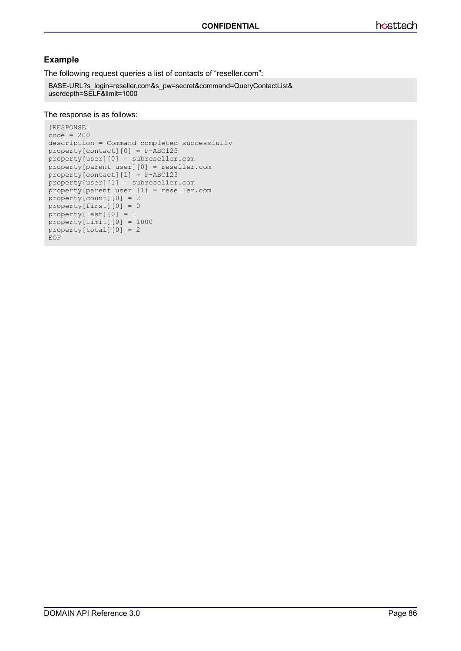# **Example**

The following request queries a list of contacts of "reseller.com":

BASE-URL?s\_login=reseller.com&s\_pw=secret&command=QueryContactList& userdepth=SELF&limit=1000

```
[RESPONSE]
code = 200description = Command completed successfully
property[contact][0] = P-ABC123
property[user][0] = subreseller.com
property[parent user][0] = reseller.com
property[contact][1] = P-ABC123
property[user][1] = subreseller.com
property[parent user][1] = reseller.com
property[count][0] = 2
property[first][0] = 0
property[last][0] = 1
property[limit][0] = 1000
property[total][0] = 2
EOF
```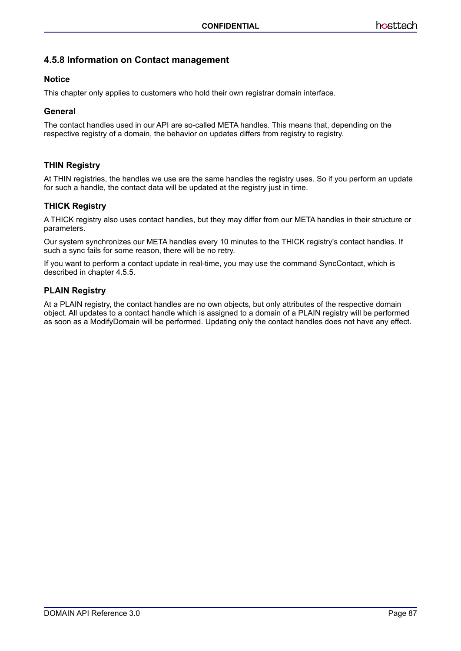# **4.5.8 Information on Contact management**

#### **Notice**

This chapter only applies to customers who hold their own registrar domain interface.

#### **General**

The contact handles used in our API are so-called META handles. This means that, depending on the respective registry of a domain, the behavior on updates differs from registry to registry.

## **THIN Registry**

At THIN registries, the handles we use are the same handles the registry uses. So if you perform an update for such a handle, the contact data will be updated at the registry just in time.

#### **THICK Registry**

A THICK registry also uses contact handles, but they may differ from our META handles in their structure or parameters.

Our system synchronizes our META handles every 10 minutes to the THICK registry's contact handles. If such a sync fails for some reason, there will be no retry.

If you want to perform a contact update in real-time, you may use the command SyncContact, which is described in chapter 4.5.5.

#### **PLAIN Registry**

At a PLAIN registry, the contact handles are no own objects, but only attributes of the respective domain object. All updates to a contact handle which is assigned to a domain of a PLAIN registry will be performed as soon as a ModifyDomain will be performed. Updating only the contact handles does not have any effect.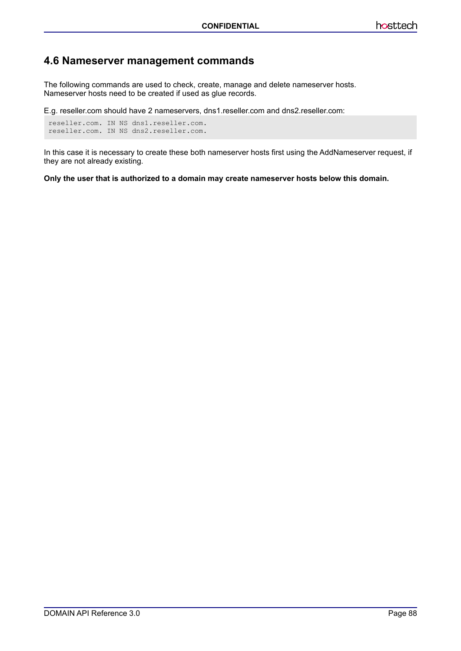# **4.6 Nameserver management commands**

The following commands are used to check, create, manage and delete nameserver hosts. Nameserver hosts need to be created if used as glue records.

E.g. reseller.com should have 2 nameservers, dns1.reseller.com and dns2.reseller.com:

reseller.com. IN NS dns1.reseller.com. reseller.com. IN NS dns2.reseller.com.

In this case it is necessary to create these both nameserver hosts first using the AddNameserver request, if they are not already existing.

**Only the user that is authorized to a domain may create nameserver hosts below this domain.**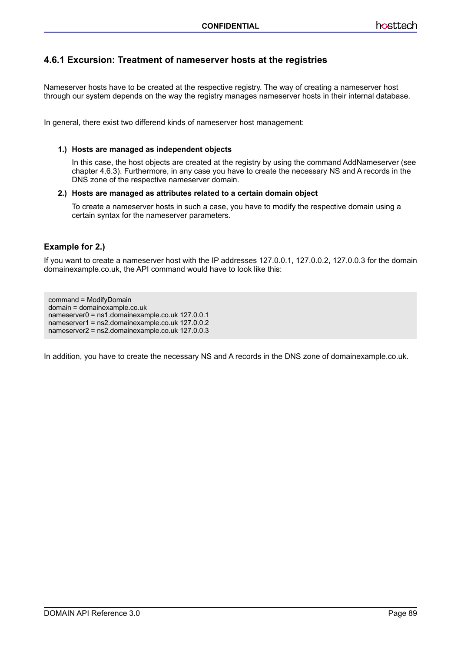# **4.6.1 Excursion: Treatment of nameserver hosts at the registries**

Nameserver hosts have to be created at the respective registry. The way of creating a nameserver host through our system depends on the way the registry manages nameserver hosts in their internal database.

In general, there exist two differend kinds of nameserver host management:

#### **1.) Hosts are managed as independent objects**

In this case, the host objects are created at the registry by using the command AddNameserver (see chapter 4.6.3). Furthermore, in any case you have to create the necessary NS and A records in the DNS zone of the respective nameserver domain.

#### **2.) Hosts are managed as attributes related to a certain domain object**

To create a nameserver hosts in such a case, you have to modify the respective domain using a certain syntax for the nameserver parameters.

#### **Example for 2.)**

If you want to create a nameserver host with the IP addresses 127.0.0.1, 127.0.0.2, 127.0.0.3 for the domain domainexample.co.uk, the API command would have to look like this:

command = ModifyDomain domain = domainexample.co.uk nameserver0 = ns1.domainexample.co.uk 127.0.0.1 nameserver1 = ns2.domainexample.co.uk 127.0.0.2 nameserver2 = ns2.domainexample.co.uk 127.0.0.3

In addition, you have to create the necessary NS and A records in the DNS zone of domainexample.co.uk.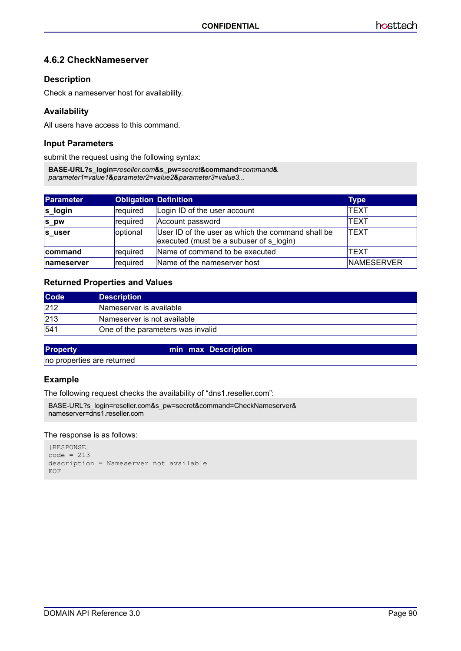# **4.6.2 CheckNameserver**

#### **Description**

Check a nameserver host for availability.

## **Availability**

All users have access to this command.

#### **Input Parameters**

submit the request using the following syntax:

**BASE-URL?s\_login=***reseller.com***&s\_pw=***secret***&command**=*command***&** *parameter1*=*value1***&***parameter2*=*value2***&***parameter3*=*value3...*

| <b>Parameter</b>   |          | <b>Obligation Definition</b>                                                                 | <b>Type</b>       |
|--------------------|----------|----------------------------------------------------------------------------------------------|-------------------|
| s_login            | required | Login ID of the user account                                                                 | <b>TEXT</b>       |
| $ s_p$             | required | Account password                                                                             | <b>TEXT</b>       |
| s user             | optional | User ID of the user as which the command shall be<br>executed (must be a subuser of s login) | <b>TEXT</b>       |
| command            | required | Name of command to be executed                                                               | <b>TEXT</b>       |
| <b>Inameserver</b> | required | Name of the nameserver host                                                                  | <b>NAMESERVER</b> |

#### **Returned Properties and Values**

| <b>Code</b> | <b>Description</b>                |
|-------------|-----------------------------------|
| 212         | Nameserver is available           |
| 213         | Nameserver is not available       |
| 541         | One of the parameters was invalid |

# **Property min max Description**

no properties are returned

#### **Example**

The following request checks the availability of "dns1.reseller.com":

```
BASE-URL?s_login=reseller.com&s_pw=secret&command=CheckNameserver&
nameserver=dns1.reseller.com
```

```
[RESPONSE]
code = 213description = Nameserver not available
EOF
```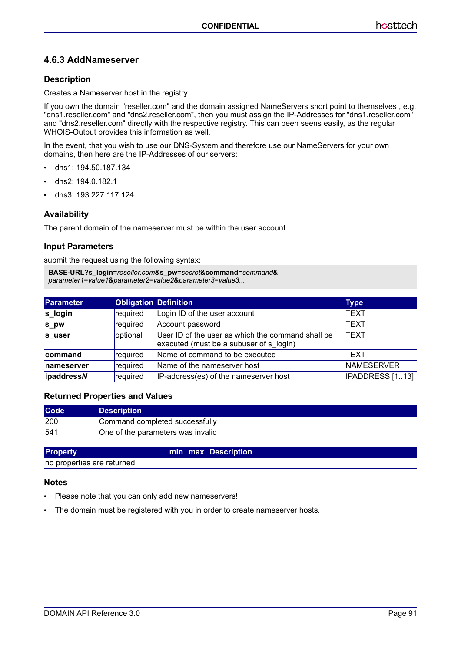# **4.6.3 AddNameserver**

#### **Description**

Creates a Nameserver host in the registry.

If you own the domain "reseller.com" and the domain assigned NameServers short point to themselves , e.g. "dns1.reseller.com" and "dns2.reseller.com", then you must assign the IP-Addresses for "dns1.reseller.com" and "dns2.reseller.com" directly with the respective registry. This can been seens easily, as the regular WHOIS-Output provides this information as well.

In the event, that you wish to use our DNS-System and therefore use our NameServers for your own domains, then here are the IP-Addresses of our servers:

- dns1: 194.50.187.134
- dns2: 194.0.182.1
- dns3: 193.227.117.124

#### **Availability**

The parent domain of the nameserver must be within the user account.

#### **Input Parameters**

submit the request using the following syntax:

**BASE-URL?s\_login=***reseller.com***&s\_pw=***secret***&command**=*command***&** *parameter1*=*value1***&***parameter2*=*value2***&***parameter3*=*value3...*

| <b>Parameter</b> |          | <b>Obligation Definition</b>                                                                                | <b>Type</b>       |  |  |  |
|------------------|----------|-------------------------------------------------------------------------------------------------------------|-------------------|--|--|--|
| s_login          | required | Login ID of the user account                                                                                | <b>TEXT</b>       |  |  |  |
| $ s_p$           | required | Account password                                                                                            | <b>TEXT</b>       |  |  |  |
| s user           | optional | User ID of the user as which the command shall be<br><b>TEXT</b><br>executed (must be a subuser of s_login) |                   |  |  |  |
| command          | required | Name of command to be executed                                                                              | <b>TEXT</b>       |  |  |  |
| nameserver       | required | Name of the nameserver host                                                                                 | <b>NAMESERVER</b> |  |  |  |
| ipaddressN       | required | IP-address(es) of the nameserver host                                                                       | IPADDRESS [113]   |  |  |  |

#### **Returned Properties and Values**

| <b>Code</b> | <b>Description</b>                |
|-------------|-----------------------------------|
| 200         | Command completed successfully    |
| 541         | One of the parameters was invalid |

| <b>Property</b>            | min max Description |
|----------------------------|---------------------|
| no properties are returned |                     |

#### **Notes**

- Please note that you can only add new nameservers!
- The domain must be registered with you in order to create nameserver hosts.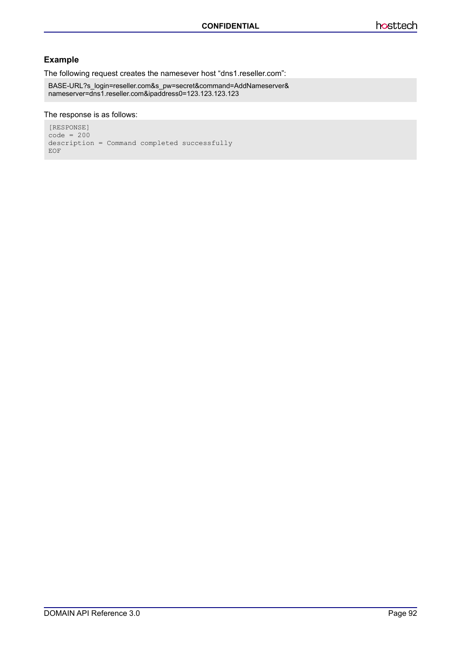# **Example**

The following request creates the namesever host "dns1.reseller.com":

BASE-URL?s\_login=reseller.com&s\_pw=secret&command=AddNameserver& nameserver=dns1.reseller.com&ipaddress0=123.123.123.123

```
[RESPONSE]
code = 200description = Command completed successfully
EOF
```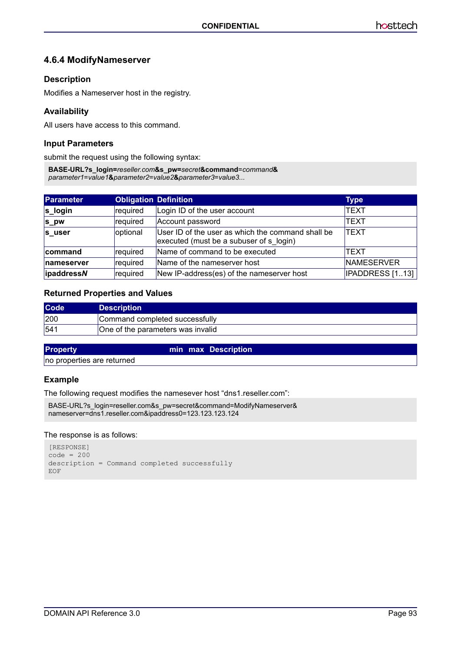# **4.6.4 ModifyNameserver**

#### **Description**

Modifies a Nameserver host in the registry.

#### **Availability**

All users have access to this command.

#### **Input Parameters**

submit the request using the following syntax:

**BASE-URL?s\_login=***reseller.com***&s\_pw=***secret***&command**=*command***&** *parameter1*=*value1***&***parameter2*=*value2***&***parameter3*=*value3...*

| <b>Parameter</b> | <b>Obligation Definition</b> |                                                                                                      | <b>Type</b>             |  |  |  |
|------------------|------------------------------|------------------------------------------------------------------------------------------------------|-------------------------|--|--|--|
| s_login          | required                     | Login ID of the user account                                                                         | TEXT                    |  |  |  |
| $ s_p$           | required                     | Account password                                                                                     | TEXT                    |  |  |  |
| s_user           | optional                     | User ID of the user as which the command shall be<br>TEXT<br>executed (must be a subuser of s login) |                         |  |  |  |
| command          | required                     | Name of command to be executed                                                                       | TEXT                    |  |  |  |
| nameserver       | required                     | Name of the nameserver host                                                                          | NAMESERVER              |  |  |  |
| ipaddressN       | required                     | New IP-address(es) of the nameserver host                                                            | <b>IPADDRESS</b> [1.13] |  |  |  |

#### **Returned Properties and Values**

| <b>Code</b>   | <b>Description</b>                |
|---------------|-----------------------------------|
| 200           | Command completed successfully    |
| $ 54 \rangle$ | One of the parameters was invalid |

**Property min max Description**

no properties are returned

#### **Example**

The following request modifies the namesever host "dns1.reseller.com":

BASE-URL?s\_login=reseller.com&s\_pw=secret&command=ModifyNameserver& nameserver=dns1.reseller.com&ipaddress0=123.123.123.124

```
[RESPONSE]
code = 200description = Command completed successfully
EOF
```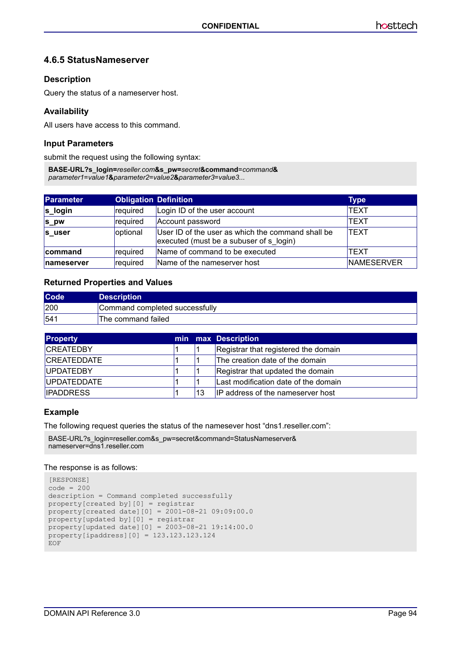# **4.6.5 StatusNameserver**

#### **Description**

Query the status of a nameserver host.

## **Availability**

All users have access to this command.

#### **Input Parameters**

submit the request using the following syntax:

**BASE-URL?s\_login=***reseller.com***&s\_pw=***secret***&command**=*command***&** *parameter1*=*value1***&***parameter2*=*value2***&***parameter3*=*value3...*

| <b>Parameter</b> | <b>Obligation Definition</b> |                                                                                              | <b>Type</b>       |
|------------------|------------------------------|----------------------------------------------------------------------------------------------|-------------------|
| s_login          | required                     | Login ID of the user account                                                                 | <b>TEXT</b>       |
| $ s_p$           | required                     | Account password                                                                             | TEXT              |
| s_user           | optional                     | User ID of the user as which the command shall be<br>executed (must be a subuser of s login) | <b>TEXT</b>       |
| command          | required                     | Name of command to be executed                                                               | TEXT              |
| Inameserver      | required                     | Name of the nameserver host                                                                  | <b>NAMESERVER</b> |

#### **Returned Properties and Values**

| <b>Code</b> | <b>Description</b>             |
|-------------|--------------------------------|
| 200         | Command completed successfully |
| 541         | The command failed             |

| <b>Property</b>     |    | min max Description                  |
|---------------------|----|--------------------------------------|
| <b>CREATEDBY</b>    | 1  | Registrar that registered the domain |
| <b>CREATEDDATE</b>  |    | The creation date of the domain      |
| <b>IUPDATEDBY</b>   |    | Registrar that updated the domain    |
| <b>IUPDATEDDATE</b> |    | Last modification date of the domain |
| <b>IPADDRESS</b>    | 13 | IP address of the nameserver host    |

#### **Example**

The following request queries the status of the namesever host "dns1.reseller.com":

BASE-URL?s\_login=reseller.com&s\_pw=secret&command=StatusNameserver& nameserver=dns1.reseller.com

```
[RESPONSE]
code = 200description = Command completed successfully
property[created by][0] = registrar
property[created date][0] = 2001-08-21 09:09:00.0
property[updated by][0] = registrar
property[updated date][0] = 2003-08-21 19:14:00.0
property[ipaddress][0] = 123.123.123.124
EOF
```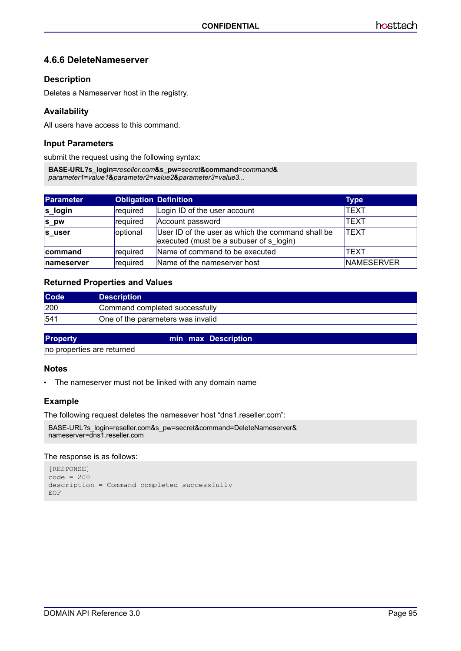# **4.6.6 DeleteNameserver**

#### **Description**

Deletes a Nameserver host in the registry.

#### **Availability**

All users have access to this command.

#### **Input Parameters**

submit the request using the following syntax:

**BASE-URL?s\_login=***reseller.com***&s\_pw=***secret***&command**=*command***&** *parameter1*=*value1***&***parameter2*=*value2***&***parameter3*=*value3...*

| <b>Parameter</b>   | <b>Obligation Definition</b> |                                                                                              | Type              |
|--------------------|------------------------------|----------------------------------------------------------------------------------------------|-------------------|
| s_login            | required                     | Login ID of the user account                                                                 | <b>TEXT</b>       |
| $ s_p$             | required                     | Account password                                                                             | <b>TEXT</b>       |
| s user             | optional                     | User ID of the user as which the command shall be<br>executed (must be a subuser of s login) | <b>TEXT</b>       |
| command            | required                     | Name of command to be executed                                                               | TEXT              |
| <b>Inameserver</b> | required                     | Name of the nameserver host                                                                  | <b>NAMESERVER</b> |

#### **Returned Properties and Values**

| <b>Code</b> | <b>Description</b>                |
|-------------|-----------------------------------|
| 200         | Command completed successfully    |
| 541         | One of the parameters was invalid |

no properties are returned

# **Property min max Description**

#### **Notes**

• The nameserver must not be linked with any domain name

#### **Example**

The following request deletes the namesever host "dns1.reseller.com":

```
BASE-URL?s_login=reseller.com&s_pw=secret&command=DeleteNameserver&
nameserver=dns1.reseller.com
```

```
[RESPONSE]
code = 200
description = Command completed successfully
EOF
```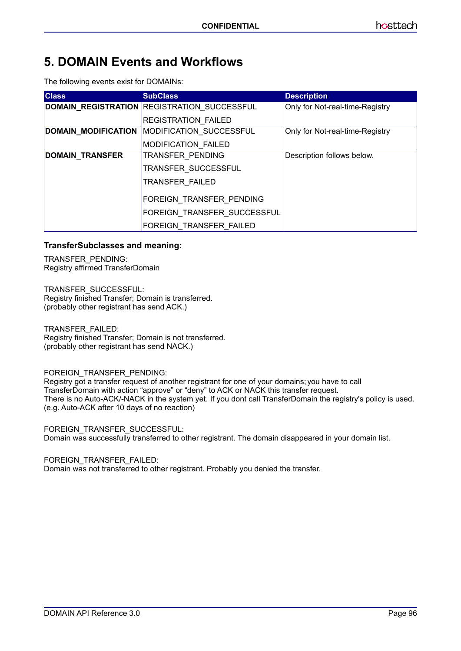# **5. DOMAIN Events and Workflows**

The following events exist for DOMAINs:

| <b>Class</b>           | <b>SubClass</b>                                    | <b>Description</b>              |  |
|------------------------|----------------------------------------------------|---------------------------------|--|
|                        | <b>DOMAIN_REGISTRATION REGISTRATION SUCCESSFUL</b> | Only for Not-real-time-Registry |  |
|                        | <b>REGISTRATION FAILED</b>                         |                                 |  |
| DOMAIN_MODIFICATION    | MODIFICATION_SUCCESSFUL                            | Only for Not-real-time-Registry |  |
|                        | <b>MODIFICATION FAILED</b>                         |                                 |  |
| <b>DOMAIN_TRANSFER</b> | TRANSFER_PENDING                                   | Description follows below.      |  |
|                        | TRANSFER SUCCESSFUL                                |                                 |  |
|                        | TRANSFER FAILED                                    |                                 |  |
|                        | FOREIGN TRANSFER PENDING                           |                                 |  |
|                        | FOREIGN TRANSFER SUCCESSFUL                        |                                 |  |
|                        | FOREIGN TRANSFER FAILED                            |                                 |  |

#### **TransferSubclasses and meaning:**

TRANSFER\_PENDING: Registry affirmed TransferDomain

TRANSFER\_SUCCESSFUL: Registry finished Transfer; Domain is transferred. (probably other registrant has send ACK.)

TRANSFER\_FAILED: Registry finished Transfer; Domain is not transferred. (probably other registrant has send NACK.)

FOREIGN\_TRANSFER\_PENDING:

Registry got a transfer request of another registrant for one of your domains; you have to call TransferDomain with action "approve" or "deny" to ACK or NACK this transfer request. There is no Auto-ACK/-NACK in the system yet. If you dont call TransferDomain the registry's policy is used. (e.g. Auto-ACK after 10 days of no reaction)

FOREIGN\_TRANSFER\_SUCCESSFUL: Domain was successfully transferred to other registrant. The domain disappeared in your domain list.

FOREIGN\_TRANSFER\_FAILED: Domain was not transferred to other registrant. Probably you denied the transfer.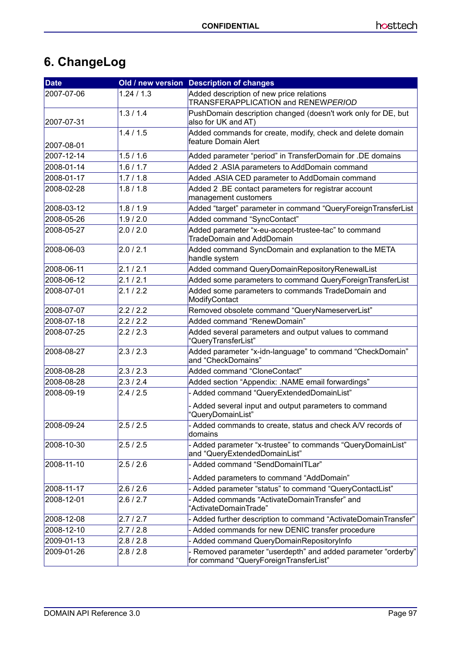# **6. ChangeLog**

| <b>Date</b> |           | Old / new version Description of changes                                                                |
|-------------|-----------|---------------------------------------------------------------------------------------------------------|
| 2007-07-06  | 1.24/1.3  | Added description of new price relations<br>TRANSFERAPPLICATION and RENEWPERIOD                         |
| 2007-07-31  | 1.3/1.4   | PushDomain description changed (doesn't work only for DE, but<br>also for UK and AT)                    |
| 2007-08-01  | 1.4/1.5   | Added commands for create, modify, check and delete domain<br>feature Domain Alert                      |
| 2007-12-14  | 1.5/1.6   | Added parameter "period" in TransferDomain for .DE domains                                              |
| 2008-01-14  | 1.6 / 1.7 | Added 2 .ASIA parameters to AddDomain command                                                           |
| 2008-01-17  | 1.7/1.8   | Added .ASIA CED parameter to AddDomain command                                                          |
| 2008-02-28  | 1.8/1.8   | Added 2 .BE contact parameters for registrar account<br>management customers                            |
| 2008-03-12  | 1.8/1.9   | Added "target" parameter in command "QueryForeignTransferList                                           |
| 2008-05-26  | 1.9 / 2.0 | Added command "SyncContact"                                                                             |
| 2008-05-27  | 2.0 / 2.0 | Added parameter "x-eu-accept-trustee-tac" to command<br><b>TradeDomain and AddDomain</b>                |
| 2008-06-03  | 2.0 / 2.1 | Added command SyncDomain and explanation to the META<br>handle system                                   |
| 2008-06-11  | 2.1 / 2.1 | Added command QueryDomainRepositoryRenewalList                                                          |
| 2008-06-12  | 2.1 / 2.1 | Added some parameters to command QueryForeignTransferList                                               |
| 2008-07-01  | 2.1 / 2.2 | Added some parameters to commands TradeDomain and<br>ModifyContact                                      |
| 2008-07-07  | 2.2 / 2.2 | Removed obsolete command "QueryNameserverList"                                                          |
| 2008-07-18  | 2.2/2.2   | Added command "RenewDomain"                                                                             |
| 2008-07-25  | 2.2/2.3   | Added several parameters and output values to command<br>"QueryTransferList"                            |
| 2008-08-27  | 2.3/2.3   | Added parameter "x-idn-language" to command "CheckDomain"<br>and "CheckDomains"                         |
| 2008-08-28  | 2.3/2.3   | Added command "CloneContact"                                                                            |
| 2008-08-28  | 2.3/2.4   | Added section "Appendix: .NAME email forwardings"                                                       |
| 2008-09-19  | 2.4 / 2.5 | - Added command "QueryExtendedDomainList"                                                               |
|             |           | - Added several input and output parameters to command<br>"QueryDomainList"                             |
| 2008-09-24  | 2.5/2.5   | - Added commands to create, status and check A/V records of<br>domains                                  |
| 2008-10-30  | 2.5/2.5   | - Added parameter "x-trustee" to commands "QueryDomainList"<br>and "QueryExtendedDomainList"            |
| 2008-11-10  | 2.5/2.6   | - Added command "SendDomainITLar"                                                                       |
|             |           | - Added parameters to command "AddDomain"                                                               |
| 2008-11-17  | 2.6 / 2.6 | - Added parameter "status" to command "QueryContactList"                                                |
| 2008-12-01  | 2.6 / 2.7 | - Added commands "ActivateDomainTransfer" and<br>"ActivateDomainTrade"                                  |
| 2008-12-08  | 2.7/2.7   | - Added further description to command "ActivateDomainTransfer"                                         |
| 2008-12-10  | 2.7/2.8   | - Added commands for new DENIC transfer procedure                                                       |
| 2009-01-13  | 2.8 / 2.8 | - Added command QueryDomainRepositoryInfo                                                               |
| 2009-01-26  | 2.8 / 2.8 | - Removed parameter "userdepth" and added parameter "orderby"<br>for command "QueryForeignTransferList" |